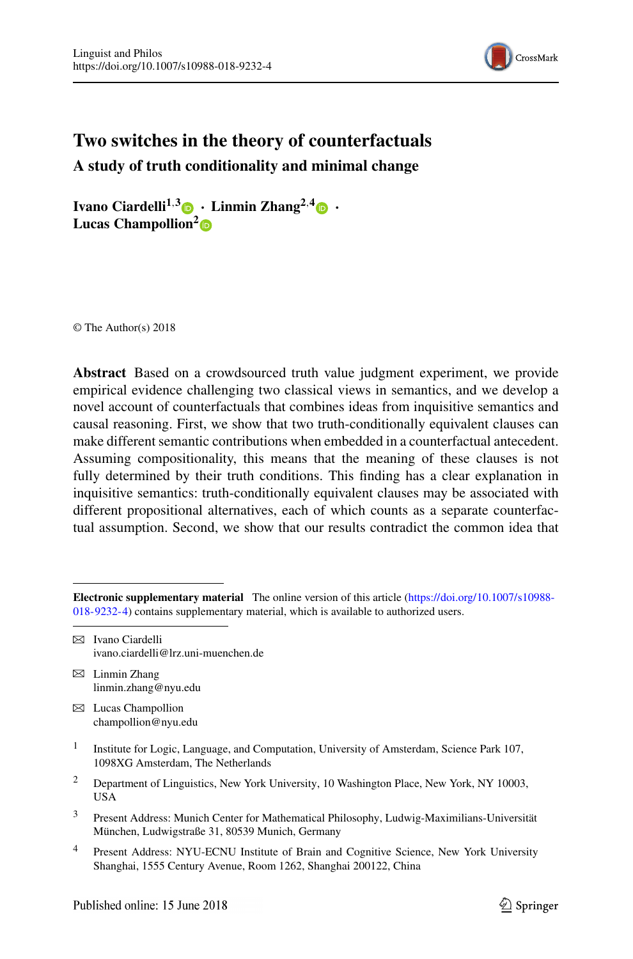

# **Two switches in the theory of counterfactuals A study of truth conditionality and minimal change**

**Ivano Ciardelli**<sup> $1,3$  $1,3$ </sup> **[·](http://orcid.org/0000-0002-4544-5113) Linmin Zhang**<sup> $2,4$  $2,4$ </sup> **·** · **Lucas Champollion<sup>2</sup>**

© The Author(s) 2018

**Abstract** Based on a crowdsourced truth value judgment experiment, we provide empirical evidence challenging two classical views in semantics, and we develop a novel account of counterfactuals that combines ideas from inquisitive semantics and causal reasoning. First, we show that two truth-conditionally equivalent clauses can make different semantic contributions when embedded in a counterfactual antecedent. Assuming compositionality, this means that the meaning of these clauses is not fully determined by their truth conditions. This finding has a clear explanation in inquisitive semantics: truth-conditionally equivalent clauses may be associated with different propositional alternatives, each of which counts as a separate counterfactual assumption. Second, we show that our results contradict the common idea that

- B Ivano Ciardelli ivano.ciardelli@lrz.uni-muenchen.de
- $\boxtimes$  Linmin Zhang linmin.zhang@nyu.edu
- $\boxtimes$  Lucas Champollion champollion@nyu.edu
- <sup>1</sup> Institute for Logic, Language, and Computation, University of Amsterdam, Science Park 107, 1098XG Amsterdam, The Netherlands
- <sup>2</sup> Department of Linguistics, New York University, 10 Washington Place, New York, NY 10003, USA
- <sup>3</sup> Present Address: Munich Center for Mathematical Philosophy, Ludwig-Maximilians-Universität München, Ludwigstraße 31, 80539 Munich, Germany
- <sup>4</sup> Present Address: NYU-ECNU Institute of Brain and Cognitive Science, New York University Shanghai, 1555 Century Avenue, Room 1262, Shanghai 200122, China

**Electronic supplementary material** The online version of this article [\(https://doi.org/10.1007/s10988-](https://doi.org/10.1007/s10988-018-9232-4) [018-9232-4\)](https://doi.org/10.1007/s10988-018-9232-4) contains supplementary material, which is available to authorized users.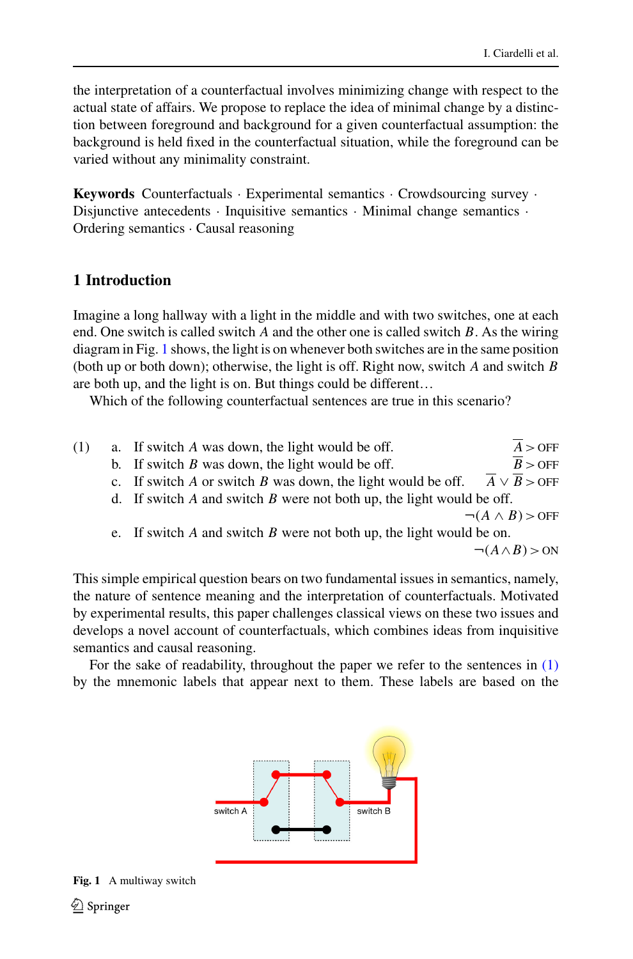the interpretation of a counterfactual involves minimizing change with respect to the actual state of affairs. We propose to replace the idea of minimal change by a distinction between foreground and background for a given counterfactual assumption: the background is held fixed in the counterfactual situation, while the foreground can be varied without any minimality constraint.

**Keywords** Counterfactuals · Experimental semantics · Crowdsourcing survey · Disjunctive antecedents · Inquisitive semantics · Minimal change semantics · Ordering semantics · Causal reasoning

# **1 Introduction**

Imagine a long hallway with a light in the middle and with two switches, one at each end. One switch is called switch *A* and the other one is called switch *B*. As the wiring diagram in Fig. [1](#page-1-0) shows, the light is on whenever both switches are in the same position (both up or both down); otherwise, the light is off. Right now, switch *A* and switch *B* are both up, and the light is on. But things could be different…

<span id="page-1-1"></span>Which of the following counterfactual sentences are true in this scenario?

- (1) a. If switch *A* was down, the light would be off.  $A >$  OFF b. If switch *B* was down, the light would be off.  $B >$  OFF
	- c. If switch *A* or switch *B* was down, the light would be off.  $\overline{A} \vee \overline{B} >$  OFF
	- d. If switch *A* and switch *B* were not both up, the light would be off.  $\neg(A \land B) >$  OFF
	- e. If switch *A* and switch *B* were not both up, the light would be on.

 $\neg(A \land B) > ON$ 

This simple empirical question bears on two fundamental issues in semantics, namely, the nature of sentence meaning and the interpretation of counterfactuals. Motivated by experimental results, this paper challenges classical views on these two issues and develops a novel account of counterfactuals, which combines ideas from inquisitive semantics and causal reasoning.

For the sake of readability, throughout the paper we refer to the sentences in [\(1\)](#page-1-1) by the mnemonic labels that appear next to them. These labels are based on the



<span id="page-1-0"></span>**Fig. 1** A multiway switch

 $\textcircled{2}$  Springer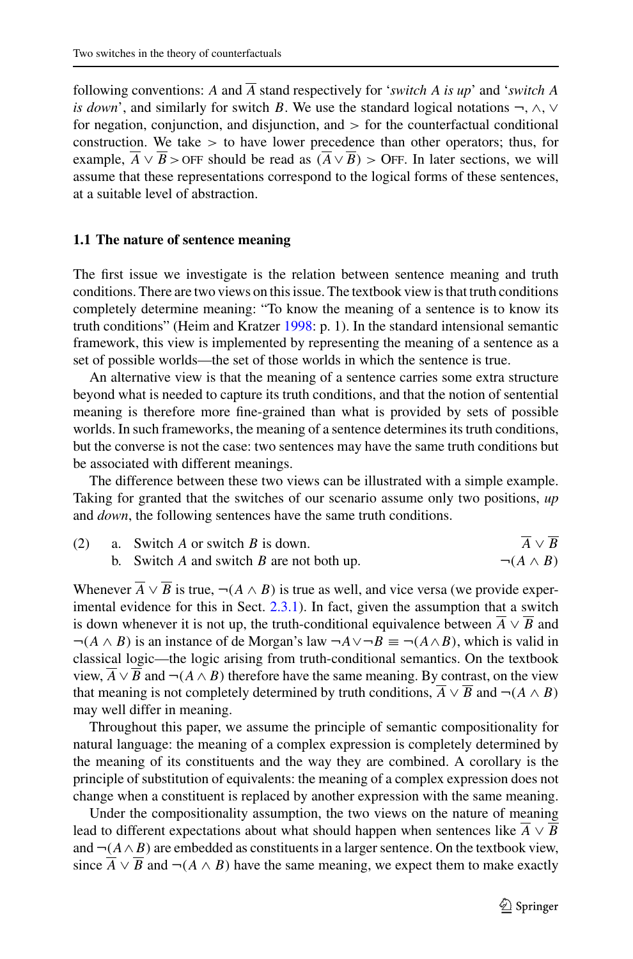following conventions: A and  $\overline{A}$  stand respectively for '*switch A is up*' and '*switch A is down*', and similarly for switch *B*. We use the standard logical notations  $\neg$ ,  $\wedge$ ,  $\vee$ for negation, conjunction, and disjunction, and  $>$  for the counterfactual conditional construction. We take  $>$  to have lower precedence than other operators; thus, for example,  $\overline{A} \vee \overline{B}$  > OFF should be read as  $(\overline{A} \vee \overline{B})$  > OFF. In later sections, we will assume that these representations correspond to the logical forms of these sentences, at a suitable level of abstraction.

### **1.1 The nature of sentence meaning**

The first issue we investigate is the relation between sentence meaning and truth conditions. There are two views on this issue. The textbook view is that truth conditions completely determine meaning: "To know the meaning of a sentence is to know its truth conditions" (Heim and Kratze[r](#page-42-0) [1998:](#page-42-0) p. 1). In the standard intensional semantic framework, this view is implemented by representing the meaning of a sentence as a set of possible worlds—the set of those worlds in which the sentence is true.

An alternative view is that the meaning of a sentence carries some extra structure beyond what is needed to capture its truth conditions, and that the notion of sentential meaning is therefore more fine-grained than what is provided by sets of possible worlds. In such frameworks, the meaning of a sentence determines its truth conditions, but the converse is not the case: two sentences may have the same truth conditions but be associated with different meanings.

The difference between these two views can be illustrated with a simple example. Taking for granted that the switches of our scenario assume only two positions, *up* and *down*, the following sentences have the same truth conditions.

(2) a. Switch *A* or switch *B* is down.<br> **b.** Switch *A* and switch *B* are not both up.  $\overline{A} \vee \overline{B}$ b. Switch *A* and switch *B* are not both up.

Whenever  $\overline{A} \vee \overline{B}$  is true,  $\neg (A \wedge B)$  is true as well, and vice versa (we provide experimental evidence for this in Sect. [2.3.1\)](#page-8-0). In fact, given the assumption that a switch is down whenever it is not up, the truth-conditional equivalence between  $\overline{A} \vee \overline{B}$  and  $\neg(A \land B)$  is an instance of de Morgan's law  $\neg A \lor \neg B \equiv \neg(A \land B)$ , which is valid in classical logic—the logic arising from truth-conditional semantics. On the textbook view,  $\overline{A}$  ∨  $\overline{B}$  and  $\neg$ ( $A \wedge B$ ) therefore have the same meaning. By contrast, on the view that meaning is not completely determined by truth conditions,  $\overline{A} \vee \overline{B}$  and  $\neg (A \wedge B)$ may well differ in meaning.

Throughout this paper, we assume the principle of semantic compositionality for natural language: the meaning of a complex expression is completely determined by the meaning of its constituents and the way they are combined. A corollary is the principle of substitution of equivalents: the meaning of a complex expression does not change when a constituent is replaced by another expression with the same meaning.

Under the compositionality assumption, the two views on the nature of meaning lead to different expectations about what should happen when sentences like  $\overline{A} \vee \overline{B}$ and  $\neg(A \land B)$  are embedded as constituents in a larger sentence. On the textbook view, since  $\overline{A} \vee \overline{B}$  and  $\neg (A \wedge B)$  have the same meaning, we expect them to make exactly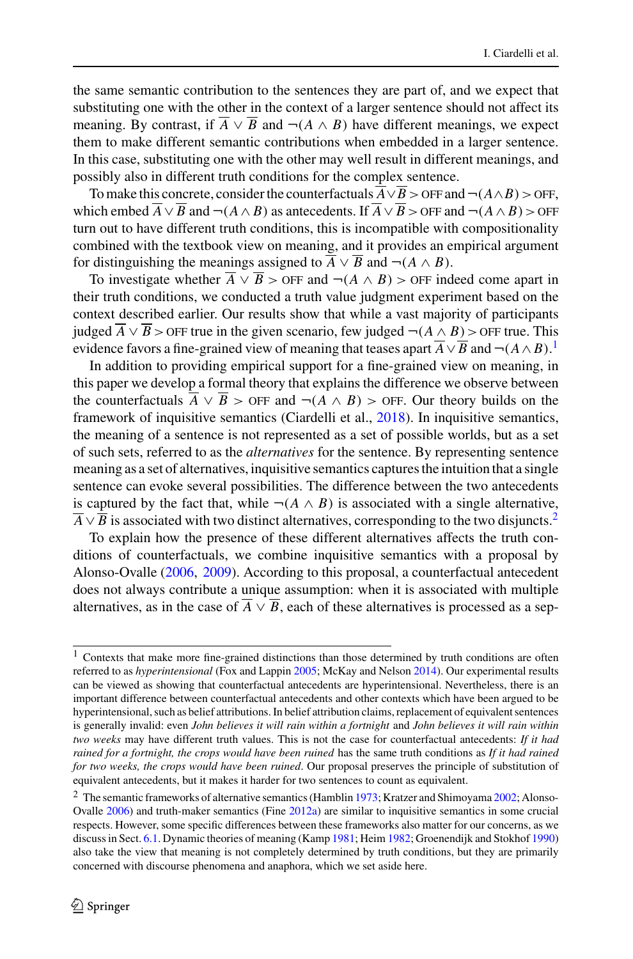the same semantic contribution to the sentences they are part of, and we expect that substituting one with the other in the context of a larger sentence should not affect its meaning. By contrast, if  $\overline{A} \vee \overline{B}$  and  $\neg(A \wedge B)$  have different meanings, we expect them to make different semantic contributions when embedded in a larger sentence. In this case, substituting one with the other may well result in different meanings, and possibly also in different truth conditions for the complex sentence.

To make this concrete, consider the counterfactuals  $\overline{A} \vee \overline{B}$  > OFF and  $\neg (A \wedge B)$  > OFF, which embed  $\overline{A} \vee \overline{B}$  and  $\neg(A \wedge B)$  as antecedents. If  $\overline{A} \vee \overline{B}$  > OFF and  $\neg(A \wedge B)$  > OFF turn out to have different truth conditions, this is incompatible with compositionality combined with the textbook view on meaning, and it provides an empirical argument for distinguishing the meanings assigned to  $\overline{A} \vee \overline{B}$  and  $\neg (A \wedge B)$ .

To investigate whether  $\overline{A} \vee \overline{B}$  > OFF and  $\neg(A \wedge B)$  > OFF indeed come apart in their truth conditions, we conducted a truth value judgment experiment based on the context described earlier. Our results show that while a vast majority of participants judged  $\overline{A}$  ∨  $\overline{B}$  > OFF true in the given scenario, few judged  $\neg$  ( $A \wedge B$ ) > OFF true. This evidence favors a fine-grained view of meaning that teases apart  $\overline{A} \vee \overline{B}$  and  $\neg (A \wedge B)$ .<sup>[1](#page-3-0)</sup>

In addition to providing empirical support for a fine-grained view on meaning, in this paper we develop a formal theory that explains the difference we observe between the counterfactuals  $\overline{A} \vee \overline{B}$  > OFF and  $\neg(A \wedge B)$  > OFF. Our theory builds on the framework of inquisitive semantics (Ciardelli et al., [2018\)](#page-41-0). In inquisitive semantics, the meaning of a sentence is not represented as a set of possible worlds, but as a set of such sets, referred to as the *alternatives* for the sentence. By representing sentence meaning as a set of alternatives, inquisitive semantics captures the intuition that a single sentence can evoke several possibilities. The difference between the two antecedents is captured by the fact that, while  $\neg(A \land B)$  is associated with a single alternative,  $\overline{A} \vee \overline{B}$  is associated with two distinct alternatives, corresponding to the two disjuncts.<sup>2</sup>

To explain how the presence of these different alternatives affects the truth conditions of counterfactuals, we combine inquisitive semantics with a proposal by Alonso-Ovall[e](#page-41-1) [\(2006,](#page-41-1) [2009\)](#page-41-2). According to this proposal, a counterfactual antecedent does not always contribute a unique assumption: when it is associated with multiple alternatives, as in the case of  $\overline{A} \vee \overline{B}$ , each of these alternatives is processed as a sep-

<span id="page-3-0"></span><sup>1</sup> Contexts that make more fine-grained distinctions than those determined by truth conditions are often referred to as *hyperintensional* (Fox and Lappi[n](#page-42-1) [2005](#page-42-1); McKay and Nelso[n](#page-43-0) [2014](#page-43-0)). Our experimental results can be viewed as showing that counterfactual antecedents are hyperintensional. Nevertheless, there is an important difference between counterfactual antecedents and other contexts which have been argued to be hyperintensional, such as belief attributions. In belief attribution claims, replacement of equivalent sentences is generally invalid: even *John believes it will rain within a fortnight* and *John believes it will rain within two weeks* may have different truth values. This is not the case for counterfactual antecedents: *If it had rained for a fortnight, the crops would have been ruined* has the same truth conditions as *If it had rained for two weeks, the crops would have been ruined*. Our proposal preserves the principle of substitution of equivalent antecedents, but it makes it harder for two sentences to count as equivalent.

<span id="page-3-1"></span><sup>&</sup>lt;sup>2</sup> The sema[n](#page-42-2)tic frameworks of alternative semantics (Hamblin [1973;](#page-42-2) Kr[a](#page-43-1)tzer and Shimoyama [2002;](#page-43-1) Alonso-Ovall[e](#page-41-1) [2006\)](#page-41-1) and truth-maker semantics (Fin[e](#page-42-3) [2012a](#page-42-3)) are similar to inquisitive semantics in some crucial respects. However, some specific differences between these frameworks also matter for our concerns, as we discuss in Sect. [6.1.](#page-31-0) Dynamic theories of meaning (Kam[p](#page-42-4) [1981;](#page-42-4) Hei[m](#page-42-5) [1982](#page-42-5); Groenendijk and Stokho[f](#page-42-6) [1990](#page-42-6)) also take the view that meaning is not completely determined by truth conditions, but they are primarily concerned with discourse phenomena and anaphora, which we set aside here.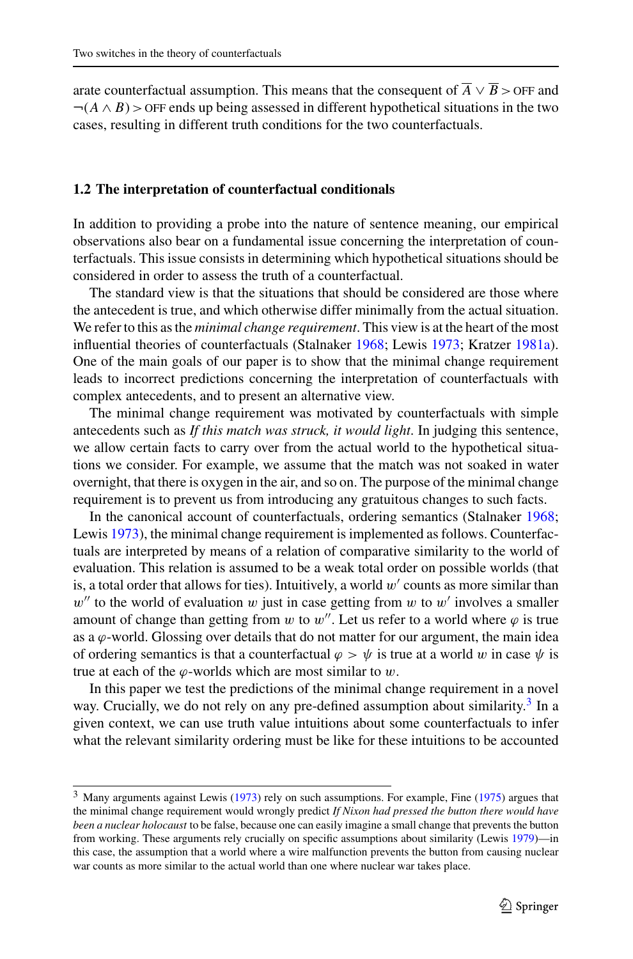arate counterfactual assumption. This means that the consequent of  $\overline{A} \vee \overline{B}$  > OFF and  $\neg(A \land B)$  > OFF ends up being assessed in different hypothetical situations in the two cases, resulting in different truth conditions for the two counterfactuals.

#### <span id="page-4-1"></span>**1.2 The interpretation of counterfactual conditionals**

In addition to providing a probe into the nature of sentence meaning, our empirical observations also bear on a fundamental issue concerning the interpretation of counterfactuals. This issue consists in determining which hypothetical situations should be considered in order to assess the truth of a counterfactual.

The standard view is that the situations that should be considered are those where the antecedent is true, and which otherwise differ minimally from the actual situation. We refer to this as the *minimal change requirement*. This view is at the heart of the most influential theories of counterfactuals (Stalnake[r](#page-43-2) [1968;](#page-43-2) Lewi[s](#page-43-3) [1973](#page-43-3); Kratze[r](#page-42-7) [1981a](#page-42-7)). One of the main goals of our paper is to show that the minimal change requirement leads to incorrect predictions concerning the interpretation of counterfactuals with complex antecedents, and to present an alternative view.

The minimal change requirement was motivated by counterfactuals with simple antecedents such as *If this match was struck, it would light*. In judging this sentence, we allow certain facts to carry over from the actual world to the hypothetical situations we consider. For example, we assume that the match was not soaked in water overnight, that there is oxygen in the air, and so on. The purpose of the minimal change requirement is to prevent us from introducing any gratuitous changes to such facts.

In the canonical account of counterfactuals, ordering semantics (Stalnake[r](#page-43-2) [1968](#page-43-2); Lewi[s](#page-43-3) [1973\)](#page-43-3), the minimal change requirement is implemented as follows. Counterfactuals are interpreted by means of a relation of comparative similarity to the world of evaluation. This relation is assumed to be a weak total order on possible worlds (that is, a total order that allows for ties). Intuitively, a world  $w'$  counts as more similar than  $w''$  to the world of evaluation w just in case getting from w to w' involves a smaller amount of change than getting from w to w''. Let us refer to a world where  $\varphi$  is true as a  $\varphi$ -world. Glossing over details that do not matter for our argument, the main idea of ordering semantics is that a counterfactual  $\varphi > \psi$  is true at a world w in case  $\psi$  is true at each of the  $\varphi$ -worlds which are most similar to w.

In this paper we test the predictions of the minimal change requirement in a novel way. Crucially, we do not rely on any pre-defined assumption about similarity.<sup>3</sup> In a given context, we can use truth value intuitions about some counterfactuals to infer what the relevant similarity ordering must be like for these intuitions to be accounted

<span id="page-4-0"></span><sup>3</sup> Many arguments against Lewi[s](#page-43-3) [\(1973\)](#page-43-3) rely on such assumptions. For example, Fin[e](#page-42-8) [\(1975](#page-42-8)) argues that the minimal change requirement would wrongly predict *If Nixon had pressed the button there would have been a nuclear holocaust* to be false, because one can easily imagine a small change that prevents the button from working. These arguments rely crucially on specific assumptions about similarity (Lewi[s](#page-43-4) [1979](#page-43-4))—in this case, the assumption that a world where a wire malfunction prevents the button from causing nuclear war counts as more similar to the actual world than one where nuclear war takes place.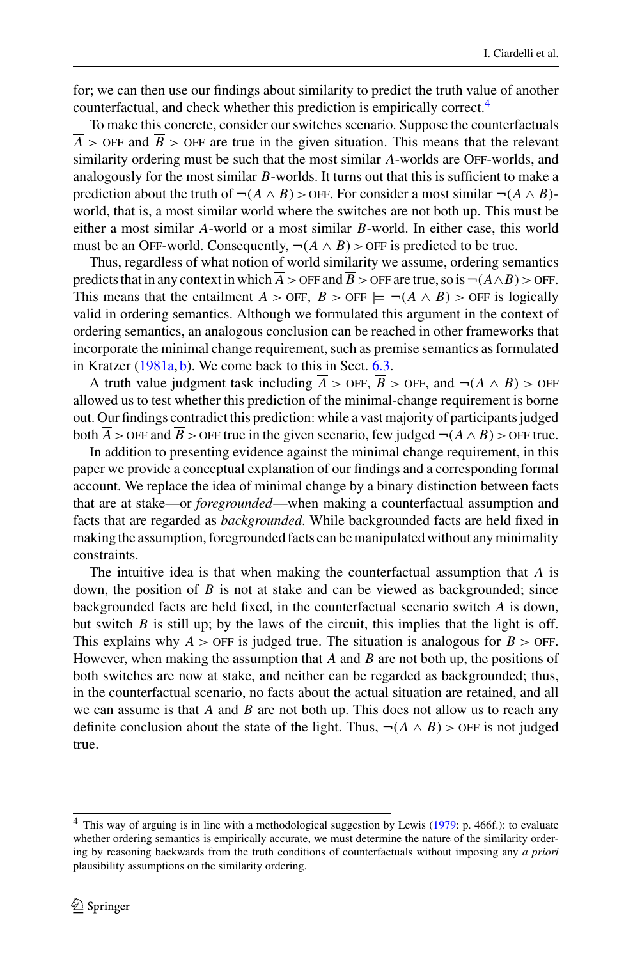for; we can then use our findings about similarity to predict the truth value of another counterfactual, and check whether this prediction is empirically correct.[4](#page-5-0)

To make this concrete, consider our switches scenario. Suppose the counterfactuals  $\overline{A}$  > OFF and  $\overline{B}$  > OFF are true in the given situation. This means that the relevant similarity ordering must be such that the most similar  $\overline{A}$ -worlds are OFF-worlds, and analogously for the most similar  $\overline{B}$ -worlds. It turns out that this is sufficient to make a prediction about the truth of  $\neg(A \land B)$  > OFF. For consider a most similar  $\neg(A \land B)$ world, that is, a most similar world where the switches are not both up. This must be either a most similar  $\overline{A}$ -world or a most similar  $\overline{B}$ -world. In either case, this world must be an OFF-world. Consequently,  $\neg(A \land B) >$  OFF is predicted to be true.

Thus, regardless of what notion of world similarity we assume, ordering semantics predicts that in any context in which  $\overline{A}$  > OFF and  $\overline{B}$  > OFF are true, so is  $\neg(A \wedge B)$  > OFF. This means that the entailment  $\overline{A} >$  OFF,  $\overline{B} >$  OFF  $\models \neg(A \land B) >$  OFF is logically valid in ordering semantics. Although we formulated this argument in the context of ordering semantics, an analogous conclusion can be reached in other frameworks that incorporate the minimal change requirement, such as premise semantics as formulated in Kratze[r](#page-42-7) [\(1981a,](#page-42-7) [b\)](#page-42-9). We come back to this in Sect. [6.3.](#page-34-0)

A truth value judgment task including  $\overline{A} >$  OFF,  $\overline{B} >$  OFF, and  $\neg(A \land B) >$  OFF allowed us to test whether this prediction of the minimal-change requirement is borne out. Our findings contradict this prediction: while a vast majority of participants judged both  $\overline{A}$  > OFF and  $\overline{B}$  > OFF true in the given scenario, few judged  $\neg$  ( $A \wedge B$ ) > OFF true.

In addition to presenting evidence against the minimal change requirement, in this paper we provide a conceptual explanation of our findings and a corresponding formal account. We replace the idea of minimal change by a binary distinction between facts that are at stake—or *foregrounded*—when making a counterfactual assumption and facts that are regarded as *backgrounded*. While backgrounded facts are held fixed in making the assumption, foregrounded facts can be manipulated without any minimality constraints.

The intuitive idea is that when making the counterfactual assumption that *A* is down, the position of *B* is not at stake and can be viewed as backgrounded; since backgrounded facts are held fixed, in the counterfactual scenario switch *A* is down, but switch  $B$  is still up; by the laws of the circuit, this implies that the light is off. This explains why  $\overline{A}$  > OFF is judged true. The situation is analogous for  $\overline{B}$  > OFF. However, when making the assumption that *A* and *B* are not both up, the positions of both switches are now at stake, and neither can be regarded as backgrounded; thus, in the counterfactual scenario, no facts about the actual situation are retained, and all we can assume is that *A* and *B* are not both up. This does not allow us to reach any definite conclusion about the state of the light. Thus,  $\neg(A \land B) >$  OFF is not judged true.

<span id="page-5-0"></span><sup>4</sup> This way of arguing is in line with a methodological suggestion by Lewis [\(1979:](#page-43-4) p. 466f.): to evaluate whether ordering semantics is empirically accurate, we must determine the nature of the similarity ordering by reasoning backwards from the truth conditions of counterfactuals without imposing any *a priori* plausibility assumptions on the similarity ordering.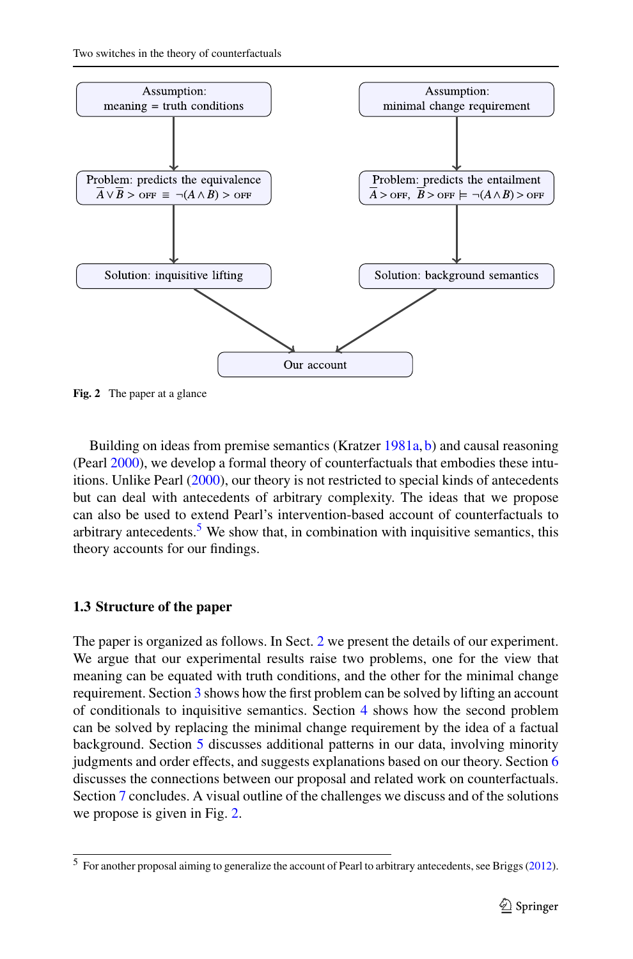

<span id="page-6-1"></span>**Fig. 2** The paper at a glance

Building on ideas from premise semantics (Kratze[r](#page-42-7) [1981a](#page-42-7), [b\)](#page-42-9) and causal reasoning (Pear[l](#page-43-5) [2000\)](#page-43-5), we develop a formal theory of counterfactuals that embodies these intuitions. Unlike Pear[l](#page-43-5) [\(2000\)](#page-43-5), our theory is not restricted to special kinds of antecedents but can deal with antecedents of arbitrary complexity. The ideas that we propose can also be used to extend Pearl's intervention-based account of counterfactuals to arbitrary antecedents.<sup>5</sup> We show that, in combination with inquisitive semantics, this theory accounts for our findings.

### **1.3 Structure of the paper**

The paper is organized as follows. In Sect. [2](#page-7-0) we present the details of our experiment. We argue that our experimental results raise two problems, one for the view that meaning can be equated with truth conditions, and the other for the minimal change requirement. Section [3](#page-17-0) shows how the first problem can be solved by lifting an account of conditionals to inquisitive semantics. Section [4](#page-21-0) shows how the second problem can be solved by replacing the minimal change requirement by the idea of a factual background. Section [5](#page-28-0) discusses additional patterns in our data, involving minority judgments and order effects, and suggests explanations based on our theory. Section [6](#page-31-1) discusses the connections between our proposal and related work on counterfactuals. Section [7](#page-38-0) concludes. A visual outline of the challenges we discuss and of the solutions we propose is given in Fig. [2.](#page-6-1)

<span id="page-6-0"></span><sup>5</sup> For another proposal aiming to generalize the account of Pearl to arbitrary antecedents, see Brigg[s](#page-41-3) [\(2012](#page-41-3)).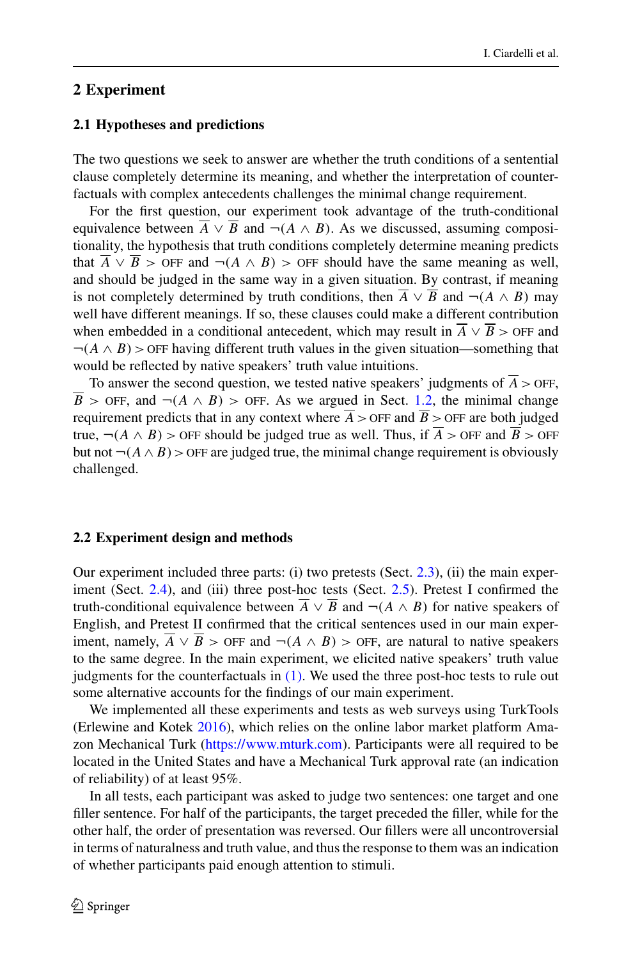### <span id="page-7-0"></span>**2 Experiment**

### **2.1 Hypotheses and predictions**

The two questions we seek to answer are whether the truth conditions of a sentential clause completely determine its meaning, and whether the interpretation of counterfactuals with complex antecedents challenges the minimal change requirement.

For the first question, our experiment took advantage of the truth-conditional equivalence between  $\overline{A} \vee \overline{B}$  and  $\neg(A \wedge B)$ . As we discussed, assuming compositionality, the hypothesis that truth conditions completely determine meaning predicts that  $\overline{A} \vee \overline{B}$  > OFF and  $\neg (A \wedge B)$  > OFF should have the same meaning as well, and should be judged in the same way in a given situation. By contrast, if meaning is not completely determined by truth conditions, then  $\overline{A} \vee \overline{B}$  and  $\neg (A \wedge B)$  may well have different meanings. If so, these clauses could make a different contribution when embedded in a conditional antecedent, which may result in  $\overline{A} \vee \overline{B}$  > OFF and  $\neg(A \land B)$  > OFF having different truth values in the given situation—something that would be reflected by native speakers' truth value intuitions.

To answer the second question, we tested native speakers' judgments of  $A >$  OFF,  $\overline{B}$  > OFF, and  $\neg$ (*A*  $\land$  *B*) > OFF. As we argued in Sect. [1.2,](#page-4-1) the minimal change requirement predicts that in any context where  $\overline{A}$  > OFF and  $\overline{B}$  > OFF are both judged true,  $\neg(A \wedge B)$  > OFF should be judged true as well. Thus, if  $\overline{A}$  > OFF and  $\overline{B}$  > OFF but not  $\neg$ (*A*  $\land$  *B*) > OFF are judged true, the minimal change requirement is obviously challenged.

#### **2.2 Experiment design and methods**

Our experiment included three parts: (i) two pretests (Sect. [2.3\)](#page-8-1), (ii) the main experiment (Sect. [2.4\)](#page-10-0), and (iii) three post-hoc tests (Sect. [2.5\)](#page-11-0). Pretest I confirmed the truth-conditional equivalence between  $\overline{A} \vee \overline{B}$  and  $\neg(A \wedge B)$  for native speakers of English, and Pretest II confirmed that the critical sentences used in our main experiment, namely,  $\overline{A} \vee \overline{B} >$  OFF and  $\neg(A \wedge B) >$  OFF, are natural to native speakers to the same degree. In the main experiment, we elicited native speakers' truth value judgments for the counterfactuals in [\(1\).](#page-1-1) We used the three post-hoc tests to rule out some alternative accounts for the findings of our main experiment.

We implemented all these experiments and tests as web surveys using TurkTools (Erlewine and Kote[k](#page-42-10) [2016](#page-42-10)), which relies on the online labor market platform Amazon Mechanical Turk [\(https://www.mturk.com\)](https://www.mturk.com). Participants were all required to be located in the United States and have a Mechanical Turk approval rate (an indication of reliability) of at least 95%.

In all tests, each participant was asked to judge two sentences: one target and one filler sentence. For half of the participants, the target preceded the filler, while for the other half, the order of presentation was reversed. Our fillers were all uncontroversial in terms of naturalness and truth value, and thus the response to them was an indication of whether participants paid enough attention to stimuli.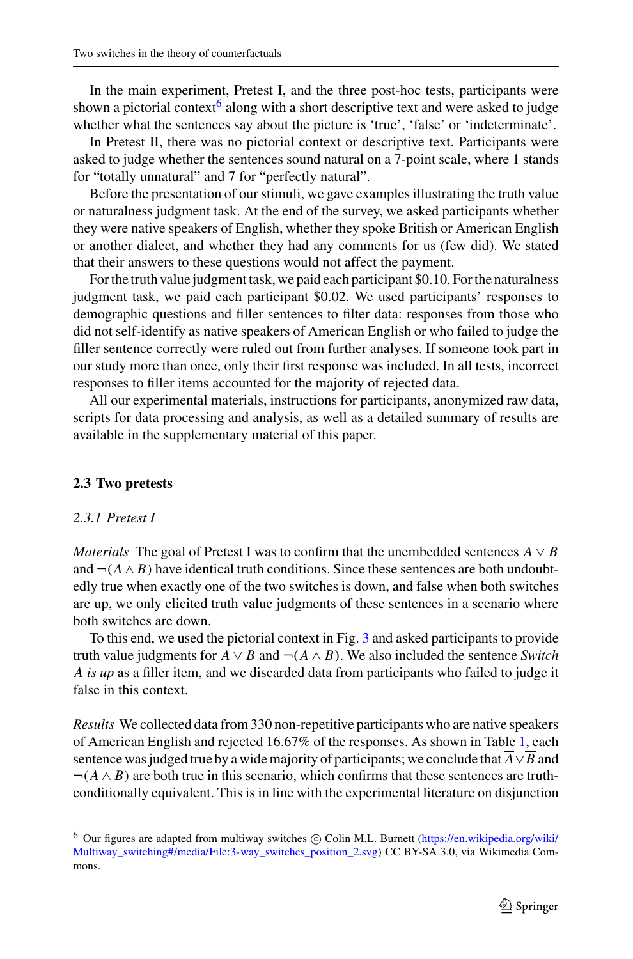In the main experiment, Pretest I, and the three post-hoc tests, participants were shown a pictorial context<sup>6</sup> along with a short descriptive text and were asked to judge whether what the sentences say about the picture is 'true', 'false' or 'indeterminate'.

In Pretest II, there was no pictorial context or descriptive text. Participants were asked to judge whether the sentences sound natural on a 7-point scale, where 1 stands for "totally unnatural" and 7 for "perfectly natural".

Before the presentation of our stimuli, we gave examples illustrating the truth value or naturalness judgment task. At the end of the survey, we asked participants whether they were native speakers of English, whether they spoke British or American English or another dialect, and whether they had any comments for us (few did). We stated that their answers to these questions would not affect the payment.

For the truth value judgment task, we paid each participant \$0.10. For the naturalness judgment task, we paid each participant \$0.02. We used participants' responses to demographic questions and filler sentences to filter data: responses from those who did not self-identify as native speakers of American English or who failed to judge the filler sentence correctly were ruled out from further analyses. If someone took part in our study more than once, only their first response was included. In all tests, incorrect responses to filler items accounted for the majority of rejected data.

All our experimental materials, instructions for participants, anonymized raw data, scripts for data processing and analysis, as well as a detailed summary of results are available in the supplementary material of this paper.

### <span id="page-8-1"></span>**2.3 Two pretests**

#### <span id="page-8-0"></span>*2.3.1 Pretest I*

*Materials* The goal of Pretest I was to confirm that the unembedded sentences  $\overline{A} \vee \overline{B}$ and  $\neg(A \wedge B)$  have identical truth conditions. Since these sentences are both undoubtedly true when exactly one of the two switches is down, and false when both switches are up, we only elicited truth value judgments of these sentences in a scenario where both switches are down.

To this end, we used the pictorial context in Fig. [3](#page-9-0) and asked participants to provide truth value judgments for  $\overline{A} \vee \overline{B}$  and  $\neg(A \wedge B)$ . We also included the sentence *Switch A is up* as a filler item, and we discarded data from participants who failed to judge it false in this context.

*Results* We collected data from 330 non-repetitive participants who are native speakers of American English and rejected 16.67% of the responses. As shown in Table [1,](#page-9-1) each sentence was judged true by a wide majority of participants; we conclude that *A*∨*B* and  $\neg(A \land B)$  are both true in this scenario, which confirms that these sentences are truthconditionally equivalent. This is in line with the experimental literature on disjunction

<span id="page-8-2"></span> $6$  Our figures are adapted from multiway switches  $\odot$  Colin M.L. Burnett [\(https://en.wikipedia.org/wiki/](https://en.wikipedia.org/wiki/Multiway_switching#/media/File:3-way_switches_position_2.svg) [Multiway\\_switching#/media/File:3-way\\_switches\\_position\\_2.svg\)](https://en.wikipedia.org/wiki/Multiway_switching#/media/File:3-way_switches_position_2.svg) CC BY-SA 3.0, via Wikimedia Commons.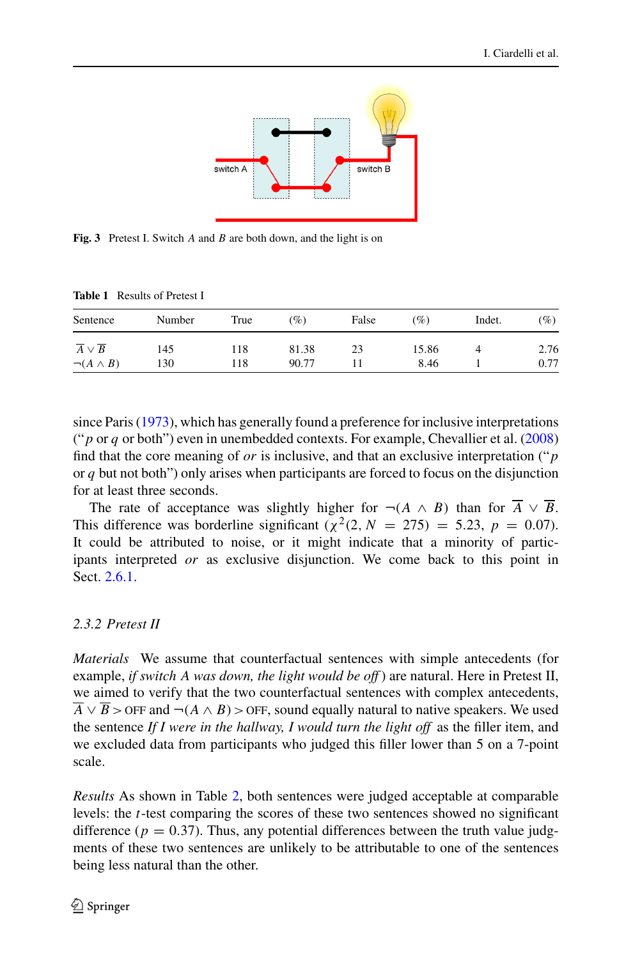

<span id="page-9-0"></span>**Fig. 3** Pretest I. Switch *A* and *B* are both down, and the light is on

| Sentence           | Number | True | $\mathscr{G}_o$ | False | $\%$  | Indet. | $\mathscr{G}_o$ |
|--------------------|--------|------|-----------------|-------|-------|--------|-----------------|
| $A \vee B$         | 145    | 118  | 81.38           | 23    | 15.86 |        | 2.76            |
| $\neg(A \wedge B)$ | 130    | 118  | 90.77           |       | 8.46  |        | 0.77            |

<span id="page-9-1"></span>**Table 1** Results of Pretest I

since Pari[s](#page-43-6) [\(1973\)](#page-43-6), which has generally found a preference for inclusive interpretations ("*p* or *q* or both") even in unembedded contexts. For example, Chevallier et al[.](#page-41-4) [\(2008\)](#page-41-4) find that the core meaning of *or* is inclusive, and that an exclusive interpretation ("*p* or *q* but not both") only arises when participants are forced to focus on the disjunction for at least three seconds.

The rate of acceptance was slightly higher for  $\neg(A \land B)$  than for  $\overline{A} \lor \overline{B}$ . This difference was borderline significant  $(\chi^2(2, N = 275) = 5.23, p = 0.07)$ . It could be attributed to noise, or it might indicate that a minority of participants interpreted *or* as exclusive disjunction. We come back to this point in Sect. [2.6.1.](#page-14-0)

### *2.3.2 Pretest II*

*Materials* We assume that counterfactual sentences with simple antecedents (for example, *if switch A was down, the light would be off*) are natural. Here in Pretest II, we aimed to verify that the two counterfactual sentences with complex antecedents,  $A \vee B$  > OFF and  $\neg (A \wedge B)$  > OFF, sound equally natural to native speakers. We used the sentence *If I were in the hallway, I would turn the light off* as the filler item, and we excluded data from participants who judged this filler lower than 5 on a 7-point scale.

*Results* As shown in Table [2,](#page-10-1) both sentences were judged acceptable at comparable levels: the *t*-test comparing the scores of these two sentences showed no significant difference ( $p = 0.37$ ). Thus, any potential differences between the truth value judgments of these two sentences are unlikely to be attributable to one of the sentences being less natural than the other.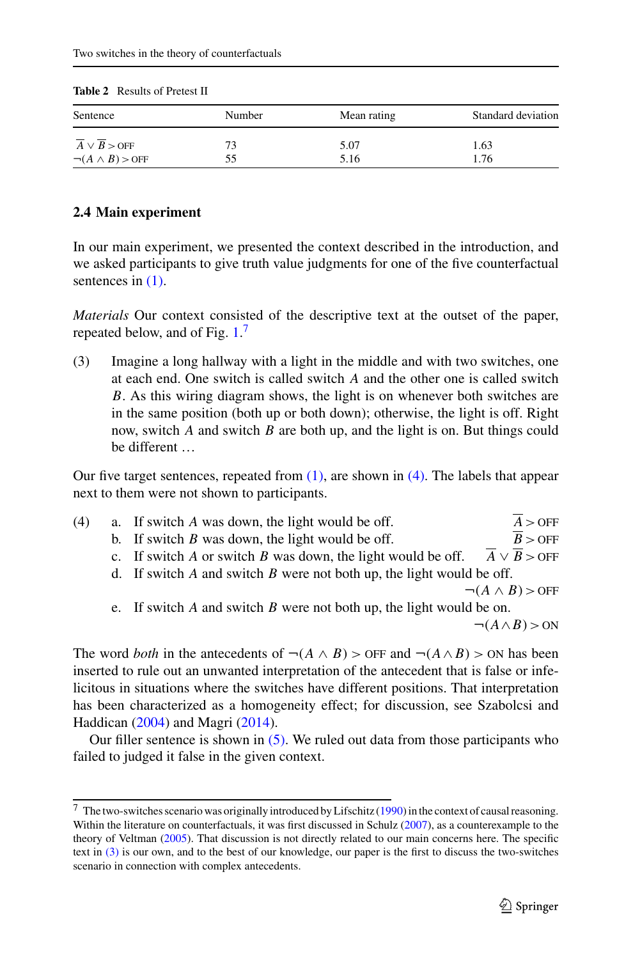| Sentence                | Number | Mean rating | Standard deviation |  |
|-------------------------|--------|-------------|--------------------|--|
| $A \vee B >$ OFF        | 73     | 5.07        | 1.63               |  |
| $\neg(A \land B) >$ OFF | 55     | 5.16        | 1.76               |  |

#### <span id="page-10-1"></span>**Table 2** Results of Pretest II

### <span id="page-10-0"></span>**2.4 Main experiment**

In our main experiment, we presented the context described in the introduction, and we asked participants to give truth value judgments for one of the five counterfactual sentences in  $(1)$ .

<span id="page-10-5"></span>*Materials* Our context consisted of the descriptive text at the outset of the paper, repeated below, and of Fig. [1.](#page-1-0)<sup>[7](#page-10-2)</sup>

(3) Imagine a long hallway with a light in the middle and with two switches, one at each end. One switch is called switch *A* and the other one is called switch *B*. As this wiring diagram shows, the light is on whenever both switches are in the same position (both up or both down); otherwise, the light is off. Right now, switch *A* and switch *B* are both up, and the light is on. But things could be different …

<span id="page-10-3"></span>Our five target sentences, repeated from  $(1)$ , are shown in  $(4)$ . The labels that appear next to them were not shown to participants.

(4) a. If switch *A* was down, the light would be off.  $\overline{A} >$  OFF<br>b. If switch *B* was down, the light would be off.  $\overline{B} >$  OFF b. If switch *B* was down, the light would be off.  $\overline{B} >$  OFF c. If switch *A* or switch *B* was down, the light would be off.  $\overline{A} \vee \overline{B} >$  OFF c. If switch  $A$  or switch  $B$  was down, the light would be off. d. If switch *A* and switch *B* were not both up, the light would be off.  $\neg(A \land B) >$  OFF e. If switch *A* and switch *B* were not both up, the light would be on.  $\neg(A \land B) > ON$ 

The word *both* in the antecedents of  $\neg(A \land B) >$  OFF and  $\neg(A \land B) >$  ON has been inserted to rule out an unwanted interpretation of the antecedent that is false or infelicitous in situations where the switches have different positions. That interpretation has been characterized as a homogeneity effect; for discussion, see Szabolcsi and Haddica[n](#page-44-0) [\(2004\)](#page-44-0) and Magr[i](#page-43-7) [\(2014](#page-43-7)).

<span id="page-10-4"></span>Our filler sentence is shown in  $(5)$ . We ruled out data from those participants who failed to judged it false in the given context.

<span id="page-10-2"></span><sup>7</sup> The two-switches scenario was originally introduced by Lifschit[z](#page-43-8) [\(1990\)](#page-43-8) in the context of causal reasoning. Within the literature on counterfactuals, it was first discussed in Schul[z](#page-43-9) [\(2007\)](#page-43-9), as a counterexample to the theory of Veltma[n](#page-44-1) [\(2005\)](#page-44-1). That discussion is not directly related to our main concerns here. The specific text in [\(3\)](#page-10-5) is our own, and to the best of our knowledge, our paper is the first to discuss the two-switches scenario in connection with complex antecedents.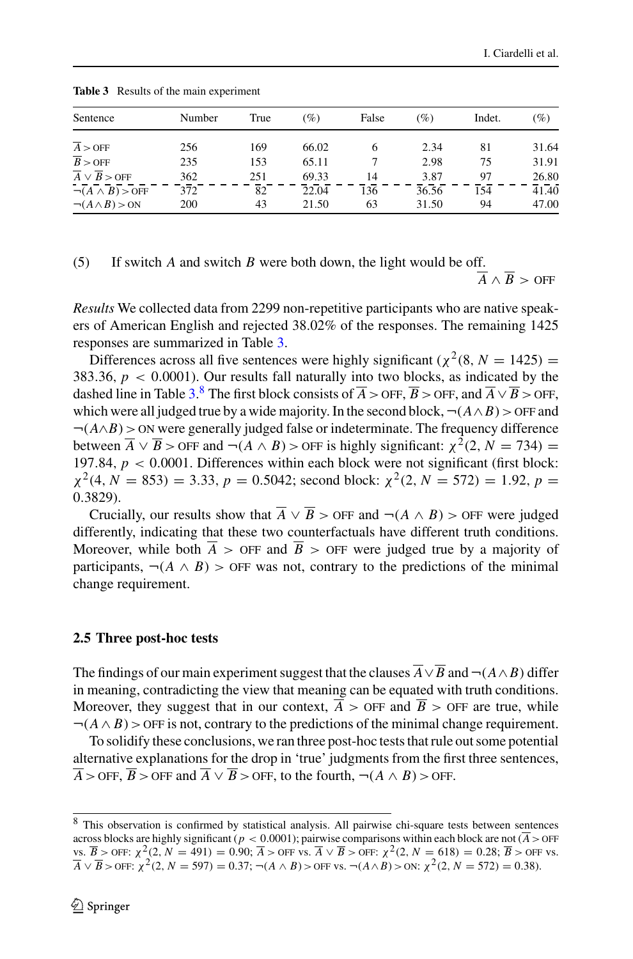| Sentence                               | Number | True | $\%$  | False | (%)   | Indet. | $(\%)$ |
|----------------------------------------|--------|------|-------|-------|-------|--------|--------|
| $A >$ OFF                              | 256    | 169  | 66.02 | 6     | 2.34  | 81     | 31.64  |
| $\overline{B}$ > OFF                   | 235    | 153  | 65.11 |       | 2.98  | 75     | 31.91  |
| $\overline{A} \vee \overline{B}$ > OFF | 362    | 251  | 69.33 | 14    | 3.87  | 97     | 26.80  |
| $\neg(A \land B) >$ OFF                | 372    | 82   | 22.04 | 136   | 36.56 | 154    | 41.40  |
| $\neg(A \wedge B) > ON$                | 200    | 43   | 21.50 | 63    | 31.50 | 94     | 47.00  |

<span id="page-11-1"></span>**Table 3** Results of the main experiment

(5) If switch *A* and switch *B* were both down, the light would be off.  $\overline{A} \wedge \overline{B} > 0$ FF

*Results* We collected data from 2299 non-repetitive participants who are native speakers of American English and rejected 38.02% of the responses. The remaining 1425 responses are summarized in Table [3.](#page-11-1)

Differences across all five sentences were highly significant ( $\chi^2(8, N = 1425)$ ) = 383.36,  $p < 0.0001$ ). Our results fall naturally into two blocks, as indicated by the dashed line in Table [3.](#page-11-1)<sup>[8](#page-11-2)</sup> The first block consists of  $\overline{A}$  > OFF,  $\overline{B}$  > OFF, and  $\overline{A}$   $\vee$   $\overline{B}$  > OFF, which were all judged true by a wide majority. In the second block,  $\neg$  ( $A \wedge B$ ) > OFF and ¬(*A*∧*B*)>on were generally judged false or indeterminate. The frequency difference between  $\overline{A} \vee \overline{B}$  > OFF and  $\neg (A \wedge B)$  > OFF is highly significant:  $\chi^2(2, N = 734)$  = 197.84,  $p < 0.0001$ . Differences within each block were not significant (first block:  $\chi^2$ (4, *N* = 853) = 3.33, *p* = 0.5042; second block:  $\chi^2$ (2, *N* = 572) = 1.92, *p* = 0.3829).

Crucially, our results show that  $\overline{A} \vee \overline{B} >$  OFF and  $\neg(A \wedge B) >$  OFF were judged differently, indicating that these two counterfactuals have different truth conditions. Moreover, while both  $\overline{A} >$  OFF and  $\overline{B} >$  OFF were judged true by a majority of participants,  $\neg(A \land B) >$  OFF was not, contrary to the predictions of the minimal change requirement.

#### <span id="page-11-0"></span>**2.5 Three post-hoc tests**

The findings of our main experiment suggest that the clauses  $\overline{A} \vee \overline{B}$  and  $\neg (A \wedge B)$  differ in meaning, contradicting the view that meaning can be equated with truth conditions. Moreover, they suggest that in our context,  $A >$  OFF and  $B >$  OFF are true, while  $\neg(A \wedge B)$  > OFF is not, contrary to the predictions of the minimal change requirement.

To solidify these conclusions, we ran three post-hoc tests that rule out some potential alternative explanations for the drop in 'true' judgments from the first three sentences,  $\overline{A}$  > OFF,  $\overline{B}$  > OFF and  $\overline{A}$   $\vee$   $\overline{B}$  > OFF, to the fourth,  $\neg(A \wedge B)$  > OFF.

<span id="page-11-2"></span><sup>8</sup> This observation is confirmed by statistical analysis. All pairwise chi-square tests between sentences across blocks are highly significant ( $p < 0.0001$ ); pairwise comparisons within each block are not ( $\overline{A} >$  OFF vs.  $\overline{B} >$  OFF:  $\chi^2(2, N = 491) = 0.90$ ;  $\overline{A} >$  OFF vs.  $\overline{A} \vee \overline{B} >$  OFF:  $\chi^2(2, N = 618) = 0.28$ ;  $\overline{B} >$  OFF vs.  $\overline{A} \vee \overline{B}$  > OFF:  $\chi^2(2, N = 597) = 0.37$ ;  $\neg(A \wedge B)$  > OFF vs.  $\neg(A \wedge B)$  > ON:  $\chi^2(2, N = 572) = 0.38$ ).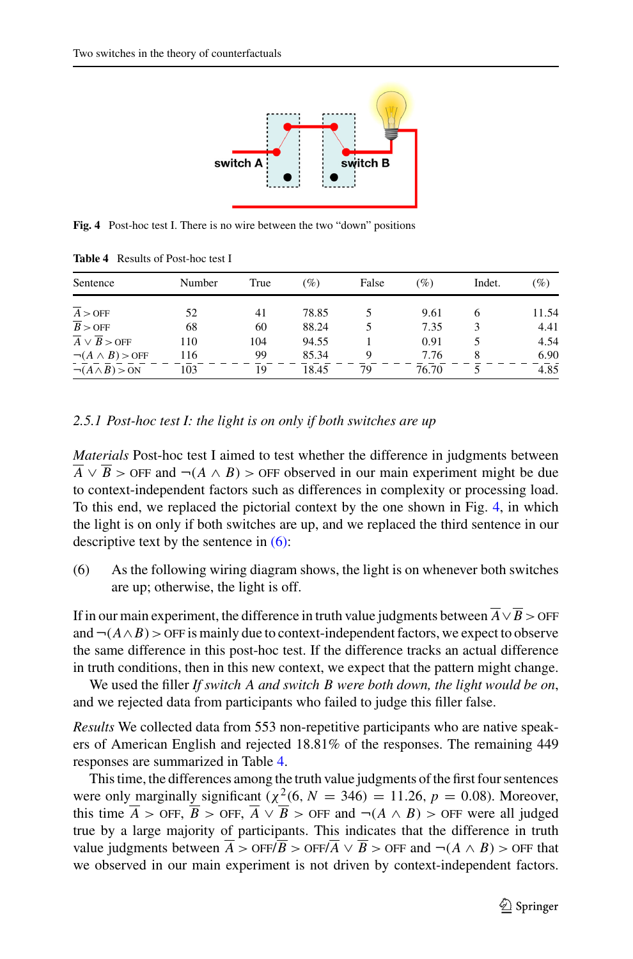

<span id="page-12-0"></span>**Fig. 4** Post-hoc test I. There is no wire between the two "down" positions

| Sentence                               | Number | True | (%)   | False | $(\%)$ | Indet. | $(\%)$ |
|----------------------------------------|--------|------|-------|-------|--------|--------|--------|
| $\overline{A} >$ OFF                   | 52     | 41   | 78.85 |       | 9.61   | 6      | 11.54  |
| $\overline{B}$ > OFF                   | 68     | 60   | 88.24 |       | 7.35   | 3      | 4.41   |
| $\overline{A} \vee \overline{B}$ > OFF | 110    | 104  | 94.55 |       | 0.91   | 5      | 4.54   |
| $\neg(A \land B) >$ OFF                | 116    | 99   | 85.34 | a     | 7.76   | 8      | 6.90   |
| $\neg(A \land B) > ON$                 | 103    | 19   | 18.45 | 79    | 76.70  |        | 4.85   |

<span id="page-12-2"></span>**Table 4** Results of Post-hoc test I

#### *2.5.1 Post-hoc test I: the light is on only if both switches are up*

*Materials* Post-hoc test I aimed to test whether the difference in judgments between  $\overline{A} \vee \overline{B}$  > OFF and  $\neg (A \wedge B)$  > OFF observed in our main experiment might be due to context-independent factors such as differences in complexity or processing load. To this end, we replaced the pictorial context by the one shown in Fig. [4,](#page-12-0) in which the light is on only if both switches are up, and we replaced the third sentence in our descriptive text by the sentence in  $(6)$ :

<span id="page-12-1"></span>(6) As the following wiring diagram shows, the light is on whenever both switches are up; otherwise, the light is off.

If in our main experiment, the difference in truth value judgments between  $\overline{A} \vee \overline{B}$  > OFF and  $\neg(A \land B)$  > OFF is mainly due to context-independent factors, we expect to observe the same difference in this post-hoc test. If the difference tracks an actual difference in truth conditions, then in this new context, we expect that the pattern might change.

We used the filler *If switch A and switch B were both down, the light would be on*, and we rejected data from participants who failed to judge this filler false.

*Results* We collected data from 553 non-repetitive participants who are native speakers of American English and rejected 18.81% of the responses. The remaining 449 responses are summarized in Table [4.](#page-12-2)

This time, the differences among the truth value judgments of the first four sentences were only marginally significant  $(\chi^2(6, N = 346) = 11.26, p = 0.08)$ . Moreover, this time  $\overline{A}$  > OFF,  $\overline{B}$  > OFF,  $\overline{A}$   $\vee$   $\overline{B}$  > OFF and  $\neg(A \wedge B)$  > OFF were all judged true by a large majority of participants. This indicates that the difference in truth value judgments between  $\overline{A} >$  OFF/ $\overline{B} >$  OFF/ $\overline{A} \vee \overline{B} >$  OFF and  $\neg(A \wedge B) >$  OFF that we observed in our main experiment is not driven by context-independent factors.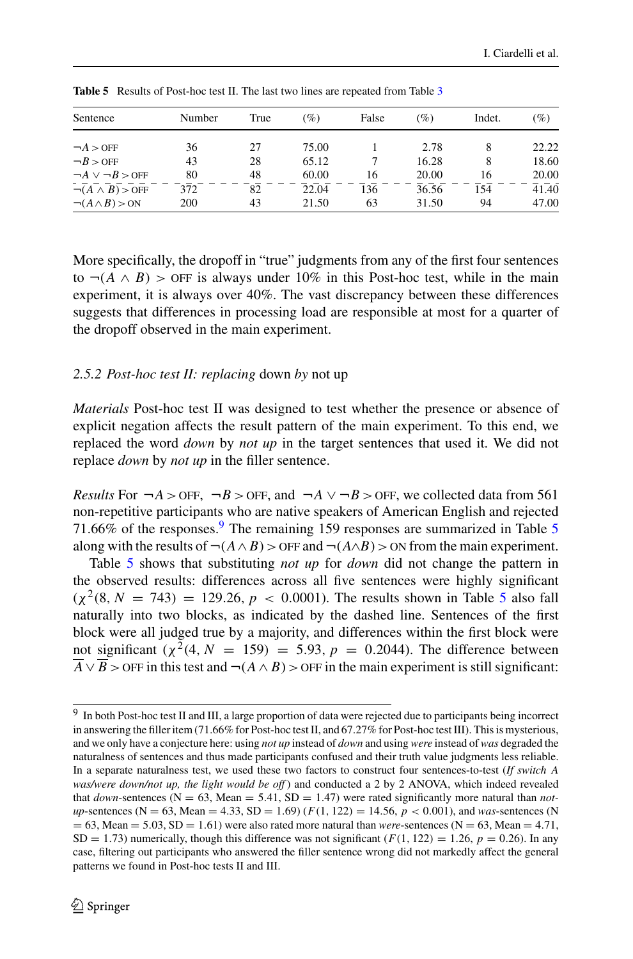| Sentence                   | Number | True | $\%$  | False | (%)   | Indet. | (%)   |
|----------------------------|--------|------|-------|-------|-------|--------|-------|
| $\neg A >$ OFF             | 36     | 27   | 75.00 |       | 2.78  | 8      | 22.22 |
| $\neg B >$ OFF             | 43     | 28   | 65.12 |       | 16.28 | 8      | 18.60 |
| $\neg A \vee \neg B >$ OFF | 80     | 48   | 60.00 | 16    | 20.00 | 16     | 20.00 |
| $\neg(A \land B) >$ OFF    | 372    | 82   | 22.04 | 136   | 36.56 | 154    | 41.40 |
| $\neg(A \land B) > ON$     | 200    | 43   | 21.50 | 63    | 31.50 | 94     | 47.00 |

<span id="page-13-1"></span>Table 5 Results of Post-hoc test II. The last two lines are repeated from Table [3](#page-11-1)

More specifically, the dropoff in "true" judgments from any of the first four sentences to  $\neg(A \land B)$  > OFF is always under 10% in this Post-hoc test, while in the main experiment, it is always over 40%. The vast discrepancy between these differences suggests that differences in processing load are responsible at most for a quarter of the dropoff observed in the main experiment.

#### *2.5.2 Post-hoc test II: replacing* down *by* not up

*Materials* Post-hoc test II was designed to test whether the presence or absence of explicit negation affects the result pattern of the main experiment. To this end, we replaced the word *down* by *not up* in the target sentences that used it. We did not replace *down* by *not up* in the filler sentence.

*Results* For  $\neg A >$  OFF,  $\neg B >$  OFF, and  $\neg A \lor \neg B >$  OFF, we collected data from 561 non-repetitive participants who are native speakers of American English and rejected 71.66% of the responses.<sup>[9](#page-13-0)</sup> The remaining 1[5](#page-13-1)9 responses are summarized in Table 5 along with the results of  $\neg(A \land B)$  > OFF and  $\neg(A \land B)$  > ON from the main experiment.

Table [5](#page-13-1) shows that substituting *not up* for *down* did not change the pattern in the observed results: differences across all five sentences were highly significant  $(\chi^2(8, N = 743) = 129.26, p < 0.0001)$ . The results shown in Table [5](#page-13-1) also fall naturally into two blocks, as indicated by the dashed line. Sentences of the first block were all judged true by a majority, and differences within the first block were not significant  $(\chi^2(4, N = 159) = 5.93, p = 0.2044)$ . The difference between  $\overline{A} \vee \overline{B}$  > OFF in this test and  $\neg (A \wedge B)$  > OFF in the main experiment is still significant:

<span id="page-13-0"></span><sup>&</sup>lt;sup>9</sup> In both Post-hoc test II and III, a large proportion of data were rejected due to participants being incorrect in answering the filler item (71.66% for Post-hoc test II, and 67.27% for Post-hoc test III). This is mysterious, and we only have a conjecture here: using *not up* instead of *down* and using *were* instead of *was* degraded the naturalness of sentences and thus made participants confused and their truth value judgments less reliable. In a separate naturalness test, we used these two factors to construct four sentences-to-test (*If switch A was/were down/not up, the light would be off* ) and conducted a 2 by 2 ANOVA, which indeed revealed that *down*-sentences ( $N = 63$ , Mean = 5.41, SD = 1.47) were rated significantly more natural than *not* $up$ -sentences (N = 63, Mean = 4.33, SD = 1.69) ( $F(1, 122) = 14.56$ ,  $p < 0.001$ ), and *was*-sentences (N  $= 63$ , Mean  $= 5.03$ , SD  $= 1.61$ ) were also rated more natural than *were*-sentences (N  $= 63$ , Mean  $= 4.71$ , SD = 1.73) numerically, though this difference was not significant  $(F(1, 122) = 1.26, p = 0.26)$ . In any case, filtering out participants who answered the filler sentence wrong did not markedly affect the general patterns we found in Post-hoc tests II and III.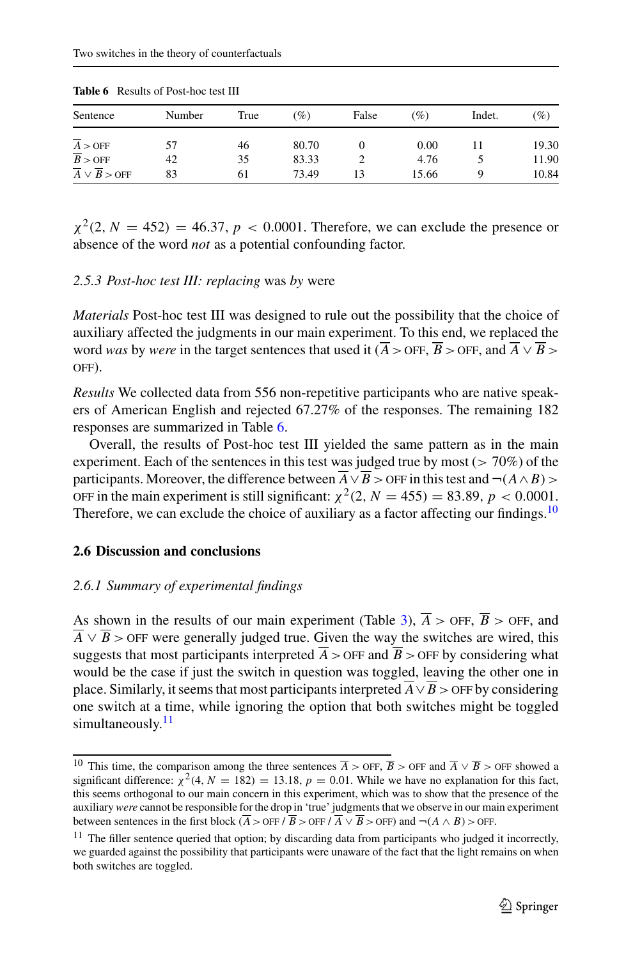| Sentence                               | Number | True | $\mathscr{G}_o$ | False | (%)   | Indet. | $\mathscr{G}_o$ ) |
|----------------------------------------|--------|------|-----------------|-------|-------|--------|-------------------|
| $\overline{A} >$ OFF                   | 57     | 46   | 80.70           |       | 0.00  |        | 19.30             |
| $\overline{B}$ > OFF                   | 42     | 35   | 83.33           |       | 4.76  |        | 11.90             |
| $\overline{A} \vee \overline{B}$ > OFF | 83     | 61   | 73.49           | 13    | 15.66 |        | 10.84             |

<span id="page-14-1"></span>**Table 6** Results of Post-hoc test III

 $\chi^2(2, N = 452) = 46.37, p < 0.0001$ . Therefore, we can exclude the presence or absence of the word *not* as a potential confounding factor.

#### *2.5.3 Post-hoc test III: replacing* was *by* were

*Materials* Post-hoc test III was designed to rule out the possibility that the choice of auxiliary affected the judgments in our main experiment. To this end, we replaced the word *was* by *were* in the target sentences that used it ( $\overline{A}$  > OFF,  $\overline{B}$  > OFF, and  $\overline{A}$   $\vee$   $\overline{B}$  > OFF).

*Results* We collected data from 556 non-repetitive participants who are native speakers of American English and rejected 67.27% of the responses. The remaining 182 responses are summarized in Table [6.](#page-14-1)

Overall, the results of Post-hoc test III yielded the same pattern as in the main experiment. Each of the sentences in this test was judged true by most ( $> 70\%$ ) of the participants. Moreover, the difference between  $\overline{A} \vee \overline{B} >$  OFF in this test and  $\neg (A \wedge B) >$ OFF in the main experiment is still significant:  $\chi^2(2, N = 455) = 83.89$ ,  $p < 0.0001$ . Therefore, we can exclude the choice of auxiliary as a factor affecting our findings.<sup>10</sup>

# <span id="page-14-0"></span>**2.6 Discussion and conclusions**

### *2.6.1 Summary of experimental findings*

As shown in the results of our main experiment (Table [3\)](#page-11-1),  $\overline{A} >$  OFF,  $\overline{B} >$  OFF, and  $\overline{A} \vee \overline{B}$  > OFF were generally judged true. Given the way the switches are wired, this suggests that most participants interpreted  $\overline{A}$  > OFF and  $\overline{B}$  > OFF by considering what would be the case if just the switch in question was toggled, leaving the other one in place. Similarly, it seems that most participants interpreted  $\overline{A} \vee \overline{B}$  > OFF by considering one switch at a time, while ignoring the option that both switches might be toggled simultaneously. $11$ 

<span id="page-14-2"></span><sup>&</sup>lt;sup>10</sup> This time, the comparison among the three sentences  $\overline{A} >$  OFF,  $\overline{B} >$  OFF and  $\overline{A} \vee \overline{B} >$  OFF showed a significant difference:  $\chi^2(4, N = 182) = 13.18, p = 0.01$ . While we have no explanation for this fact, this seems orthogonal to our main concern in this experiment, which was to show that the presence of the auxiliary *were* cannot be responsible for the drop in 'true' judgments that we observe in our main experiment between sentences in the first block  $(\overline{A} > \overline{OF} / \overline{B}) > \overline{OF} / \overline{A} \vee \overline{B} > \overline{OF}$ ) and  $\neg(A \wedge B) > \overline{OF}$ .

<span id="page-14-3"></span> $11$  The filler sentence queried that option; by discarding data from participants who judged it incorrectly, we guarded against the possibility that participants were unaware of the fact that the light remains on when both switches are toggled.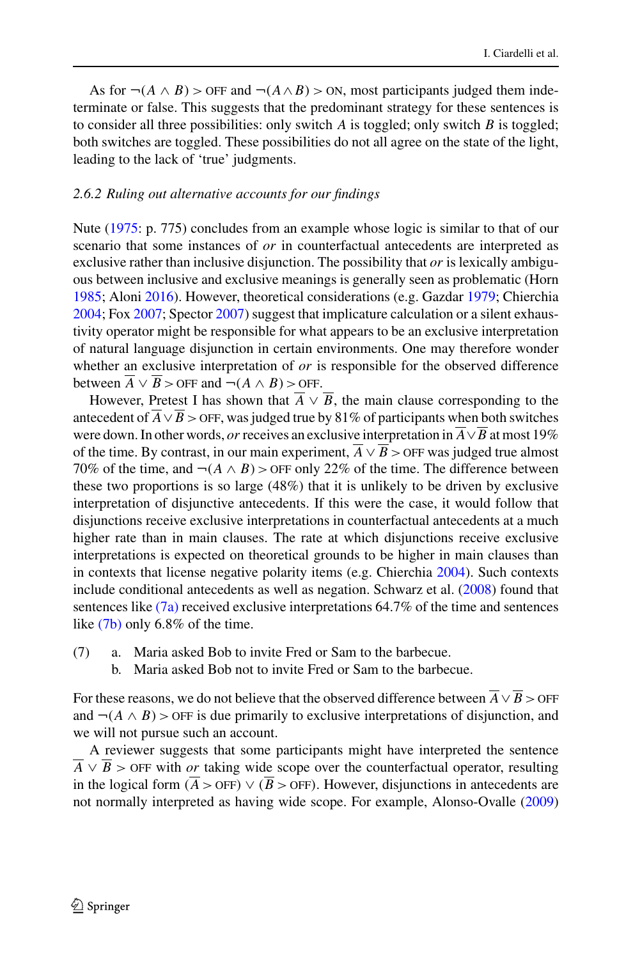As for  $\neg(A \land B) >$  OFF and  $\neg(A \land B) >$  ON, most participants judged them indeterminate or false. This suggests that the predominant strategy for these sentences is to consider all three possibilities: only switch *A* is toggled; only switch *B* is toggled; both switches are toggled. These possibilities do not all agree on the state of the light, leading to the lack of 'true' judgments.

# *2.6.2 Ruling out alternative accounts for our findings*

Nute [\(1975](#page-43-10): p. 775) concludes from an example whose logic is similar to that of our scenario that some instances of *or* in counterfactual antecedents are interpreted as exclusive rather than inclusive disjunction. The possibility that *or* is lexically ambiguous between inclusive and exclusive meanings is generally seen as problematic (Hor[n](#page-42-11) [1985;](#page-42-11) Alon[i](#page-41-5) [2016\)](#page-41-5). However, theoretical considerations (e.g. Gazda[r](#page-42-12) [1979](#page-42-12); Chierchi[a](#page-41-6) [2004;](#page-41-6) Fo[x](#page-42-13) [2007;](#page-42-13) Specto[r](#page-43-11) [2007\)](#page-43-11) suggest that implicature calculation or a silent exhaustivity operator might be responsible for what appears to be an exclusive interpretation of natural language disjunction in certain environments. One may therefore wonder whether an exclusive interpretation of *or* is responsible for the observed difference between  $\overline{A} \vee \overline{B}$  > OFF and  $\neg(A \wedge B)$  > OFF.

However, Pretest I has shown that  $\overline{A} \vee \overline{B}$ , the main clause corresponding to the antecedent of  $\overline{A} \vee \overline{B}$  > OFF, was judged true by 81% of participants when both switches were down. In other words, *or* receives an exclusive interpretation in  $\overline{A} \vee \overline{B}$  at most 19% of the time. By contrast, in our main experiment,  $\overline{A} \vee \overline{B}$  > OFF was judged true almost 70% of the time, and  $\neg$ ( $A \land B$ ) > OFF only 22% of the time. The difference between these two proportions is so large (48%) that it is unlikely to be driven by exclusive interpretation of disjunctive antecedents. If this were the case, it would follow that disjunctions receive exclusive interpretations in counterfactual antecedents at a much higher rate than in main clauses. The rate at which disjunctions receive exclusive interpretations is expected on theoretical grounds to be higher in main clauses than in contexts that license negative polarity items (e.g. Chierchi[a](#page-41-6) [2004](#page-41-6)). Such contexts include conditional antecedents as well as negation. Schwarz et al[.](#page-43-12) [\(2008](#page-43-12)) found that sentences like  $(7a)$  received exclusive interpretations 64.7% of the time and sentences like [\(7b\)](#page-15-1) only 6.8% of the time.

- <span id="page-15-1"></span><span id="page-15-0"></span>(7) a. Maria asked Bob to invite Fred or Sam to the barbecue.
	- b. Maria asked Bob not to invite Fred or Sam to the barbecue.

For these reasons, we do not believe that the observed difference between  $A \vee B >$  OFF and  $\neg(A \land B)$  > OFF is due primarily to exclusive interpretations of disjunction, and we will not pursue such an account.

A reviewer suggests that some participants might have interpreted the sentence  $A \vee B$  > OFF with *or* taking wide scope over the counterfactual operator, resulting in the logical form ( $\overline{A} >$  OFF)  $\vee$  ( $\overline{B} >$  OFF). However, disjunctions in antecedents are not normally interpreted as having wide scope. For example, Alonso-Ovall[e](#page-41-2) [\(2009\)](#page-41-2)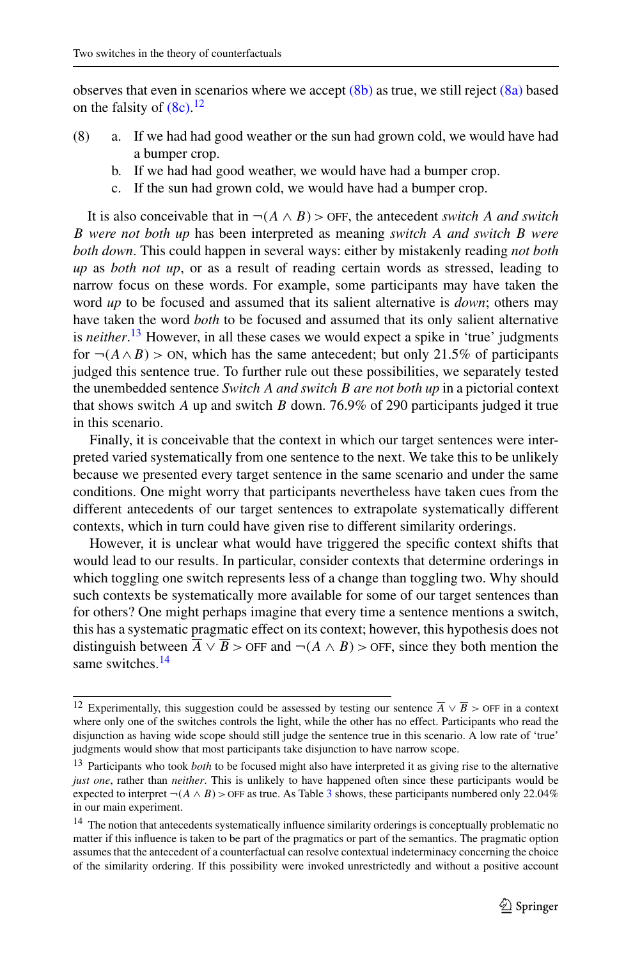observes that even in scenarios where we accept  $(8b)$  as true, we still reject  $(8a)$  based on the falsity of  $(8c)$ .<sup>[12](#page-16-3)</sup>

- <span id="page-16-2"></span><span id="page-16-1"></span><span id="page-16-0"></span>(8) a. If we had had good weather or the sun had grown cold, we would have had a bumper crop.
	- b. If we had had good weather, we would have had a bumper crop.
	- c. If the sun had grown cold, we would have had a bumper crop.

It is also conceivable that in  $\neg(A \land B) >$  OFF, the antecedent *switch A and switch B were not both up* has been interpreted as meaning *switch A and switch B were both down*. This could happen in several ways: either by mistakenly reading *not both up* as *both not up*, or as a result of reading certain words as stressed, leading to narrow focus on these words. For example, some participants may have taken the word *up* to be focused and assumed that its salient alternative is *down*; others may have taken the word *both* to be focused and assumed that its only salient alternative is *neither*. [13](#page-16-4) However, in all these cases we would expect a spike in 'true' judgments for  $\neg(A \land B) >$  ON, which has the same antecedent; but only 21.5% of participants judged this sentence true. To further rule out these possibilities, we separately tested the unembedded sentence *Switch A and switch B are not both up* in a pictorial context that shows switch *A* up and switch *B* down. 76.9% of 290 participants judged it true in this scenario.

Finally, it is conceivable that the context in which our target sentences were interpreted varied systematically from one sentence to the next. We take this to be unlikely because we presented every target sentence in the same scenario and under the same conditions. One might worry that participants nevertheless have taken cues from the different antecedents of our target sentences to extrapolate systematically different contexts, which in turn could have given rise to different similarity orderings.

However, it is unclear what would have triggered the specific context shifts that would lead to our results. In particular, consider contexts that determine orderings in which toggling one switch represents less of a change than toggling two. Why should such contexts be systematically more available for some of our target sentences than for others? One might perhaps imagine that every time a sentence mentions a switch, this has a systematic pragmatic effect on its context; however, this hypothesis does not distinguish between  $\overline{A} \vee \overline{B}$  > OFF and  $\neg(A \wedge B)$  > OFF, since they both mention the same switches.<sup>[14](#page-16-5)</sup>

<span id="page-16-3"></span><sup>&</sup>lt;sup>12</sup> Experimentally, this suggestion could be assessed by testing our sentence  $\overline{A} \vee \overline{B}$  > OFF in a context where only one of the switches controls the light, while the other has no effect. Participants who read the disjunction as having wide scope should still judge the sentence true in this scenario. A low rate of 'true' judgments would show that most participants take disjunction to have narrow scope.

<span id="page-16-4"></span><sup>13</sup> Participants who took *both* to be focused might also have interpreted it as giving rise to the alternative *just one*, rather than *neither*. This is unlikely to have happened often since these participants would be expected to interpret  $\neg(A \land B) >$  OFF as true. As Table [3](#page-11-1) shows, these participants numbered only 22.04% in our main experiment.

<span id="page-16-5"></span><sup>&</sup>lt;sup>14</sup> The notion that antecedents systematically influence similarity orderings is conceptually problematic no matter if this influence is taken to be part of the pragmatics or part of the semantics. The pragmatic option assumes that the antecedent of a counterfactual can resolve contextual indeterminacy concerning the choice of the similarity ordering. If this possibility were invoked unrestrictedly and without a positive account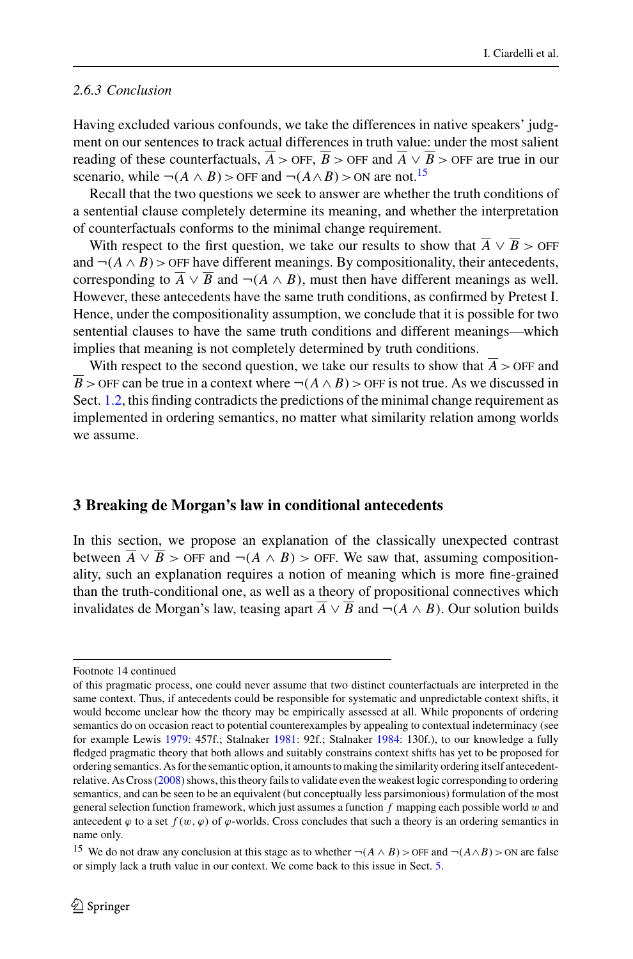### *2.6.3 Conclusion*

Having excluded various confounds, we take the differences in native speakers' judgment on our sentences to track actual differences in truth value: under the most salient reading of these counterfactuals,  $\overline{A} >$  OFF,  $\overline{B} >$  OFF and  $\overline{A} \vee \overline{B} >$  OFF are true in our scenario, while  $\neg(A \land B) >$  OFF and  $\neg(A \land B) >$  ON are not.<sup>15</sup>

Recall that the two questions we seek to answer are whether the truth conditions of a sentential clause completely determine its meaning, and whether the interpretation of counterfactuals conforms to the minimal change requirement.

With respect to the first question, we take our results to show that  $\overline{A} \vee \overline{B} >$  OFF and  $\neg(A \wedge B)$  > OFF have different meanings. By compositionality, their antecedents, corresponding to  $\overline{A} \vee \overline{B}$  and  $\neg (A \wedge B)$ , must then have different meanings as well. However, these antecedents have the same truth conditions, as confirmed by Pretest I. Hence, under the compositionality assumption, we conclude that it is possible for two sentential clauses to have the same truth conditions and different meanings—which implies that meaning is not completely determined by truth conditions.

With respect to the second question, we take our results to show that  $A >$  OFF and  $\overline{B}$  > OFF can be true in a context where  $\neg$  (*A*  $\wedge$  *B*) > OFF is not true. As we discussed in Sect. [1.2,](#page-4-1) this finding contradicts the predictions of the minimal change requirement as implemented in ordering semantics, no matter what similarity relation among worlds we assume.

### <span id="page-17-0"></span>**3 Breaking de Morgan's law in conditional antecedents**

In this section, we propose an explanation of the classically unexpected contrast between  $\overline{A} \vee \overline{B}$  > OFF and  $\neg(A \wedge B)$  > OFF. We saw that, assuming compositionality, such an explanation requires a notion of meaning which is more fine-grained than the truth-conditional one, as well as a theory of propositional connectives which invalidates de Morgan's law, teasing apart  $\overline{A} \vee \overline{B}$  and  $\neg (A \wedge B)$ . Our solution builds

Footnote 14 continued

of this pragmatic process, one could never assume that two distinct counterfactuals are interpreted in the same context. Thus, if antecedents could be responsible for systematic and unpredictable context shifts, it would become unclear how the theory may be empirically assessed at all. While proponents of ordering semantics do on occasion react to potential counterexamples by appealing to contextual indeterminacy (see for example Lewi[s](#page-43-4) [1979:](#page-43-4) 457f.; Stalnake[r](#page-43-13) [1981](#page-43-13): 92f.; Stalnake[r](#page-44-2) [1984:](#page-44-2) 130f.), to our knowledge a fully fledged pragmatic theory that both allows and suitably constrains context shifts has yet to be proposed for ordering semantics. As for the semantic option, it amounts to making the similarity ordering itself antecedentrelative. As Cros[s](#page-42-14) [\(2008\)](#page-42-14) shows, this theory fails to validate even the weakest logic corresponding to ordering semantics, and can be seen to be an equivalent (but conceptually less parsimonious) formulation of the most general selection function framework, which just assumes a function *f* mapping each possible world w and antecedent  $\varphi$  to a set  $f(w, \varphi)$  of  $\varphi$ -worlds. Cross concludes that such a theory is an ordering semantics in name only.

<span id="page-17-1"></span><sup>&</sup>lt;sup>15</sup> We do not draw any conclusion at this stage as to whether  $\neg(A \land B)$ >OFF and  $\neg(A \land B)$ >ON are false or simply lack a truth value in our context. We come back to this issue in Sect. [5.](#page-28-0)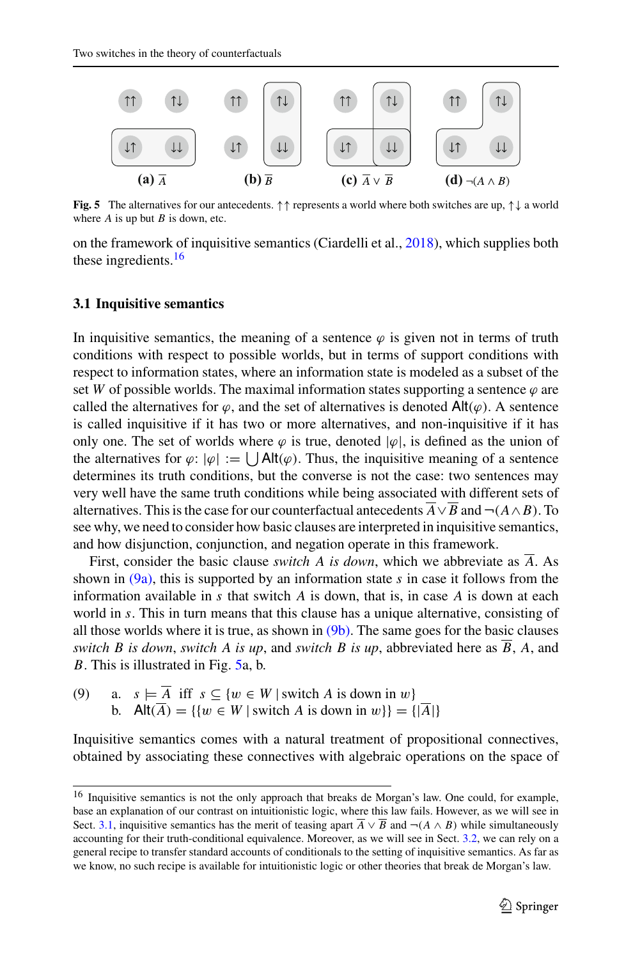

<span id="page-18-3"></span>**Fig. 5** The alternatives for our antecedents. ↑↑ represents a world where both switches are up, ↑↓ a world where *A* is up but *B* is down, etc.

on the framework of inquisitive semantics (Ciardelli et al., [2018](#page-41-0)), which supplies both these ingredients[.16](#page-18-0)

#### <span id="page-18-4"></span>**3.1 Inquisitive semantics**

In inquisitive semantics, the meaning of a sentence  $\varphi$  is given not in terms of truth conditions with respect to possible worlds, but in terms of support conditions with respect to information states, where an information state is modeled as a subset of the set *W* of possible worlds. The maximal information states supporting a sentence  $\varphi$  are called the alternatives for  $\varphi$ , and the set of alternatives is denoted  $\mathsf{Alt}(\varphi)$ . A sentence is called inquisitive if it has two or more alternatives, and non-inquisitive if it has only one. The set of worlds where  $\varphi$  is true, denoted  $|\varphi|$ , is defined as the union of the alternatives for  $\varphi: |\varphi| := \bigcup \text{Alt}(\varphi)$ . Thus, the inquisitive meaning of a sentence determines its truth conditions, but the converse is not the case: two sentences may very well have the same truth conditions while being associated with different sets of alternatives. This is the case for our counterfactual antecedents  $\overline{A} \vee \overline{B}$  and  $\neg (A \wedge B)$ . To see why, we need to consider how basic clauses are interpreted in inquisitive semantics, and how disjunction, conjunction, and negation operate in this framework.

First, consider the basic clause *switch A is down*, which we abbreviate as  $\overline{A}$ . As shown in [\(9a\),](#page-18-1) this is supported by an information state *s* in case it follows from the information available in *s* that switch *A* is down, that is, in case *A* is down at each world in *s*. This in turn means that this clause has a unique alternative, consisting of all those worlds where it is true, as shown in  $(9b)$ . The same goes for the basic clauses *switch B is down*, *switch A is up*, and *switch B is up*, abbreviated here as *B*, *A*, and *B*. This is illustrated in Fig. [5a](#page-18-3), b.

<span id="page-18-2"></span><span id="page-18-1"></span>(9) a.  $s \models \overline{A}$  iff  $s \subseteq \{w \in W \mid \text{switch } A \text{ is down in } w\}$ b. Alt $(\overline{A}) = \{ \{ w \in W \mid \text{switch } A \text{ is down in } w \} \} = \{ \vert \overline{A} \vert \}$ 

Inquisitive semantics comes with a natural treatment of propositional connectives, obtained by associating these connectives with algebraic operations on the space of

<span id="page-18-0"></span><sup>&</sup>lt;sup>16</sup> Inquisitive semantics is not the only approach that breaks de Morgan's law. One could, for example, base an explanation of our contrast on intuitionistic logic, where this law fails. However, as we will see in Sect. [3.1,](#page-18-4) inquisitive semantics has the merit of teasing apart  $\overline{A} \vee \overline{B}$  and  $\neg (A \wedge B)$  while simultaneously accounting for their truth-conditional equivalence. Moreover, as we will see in Sect. [3.2,](#page-19-0) we can rely on a general recipe to transfer standard accounts of conditionals to the setting of inquisitive semantics. As far as we know, no such recipe is available for intuitionistic logic or other theories that break de Morgan's law.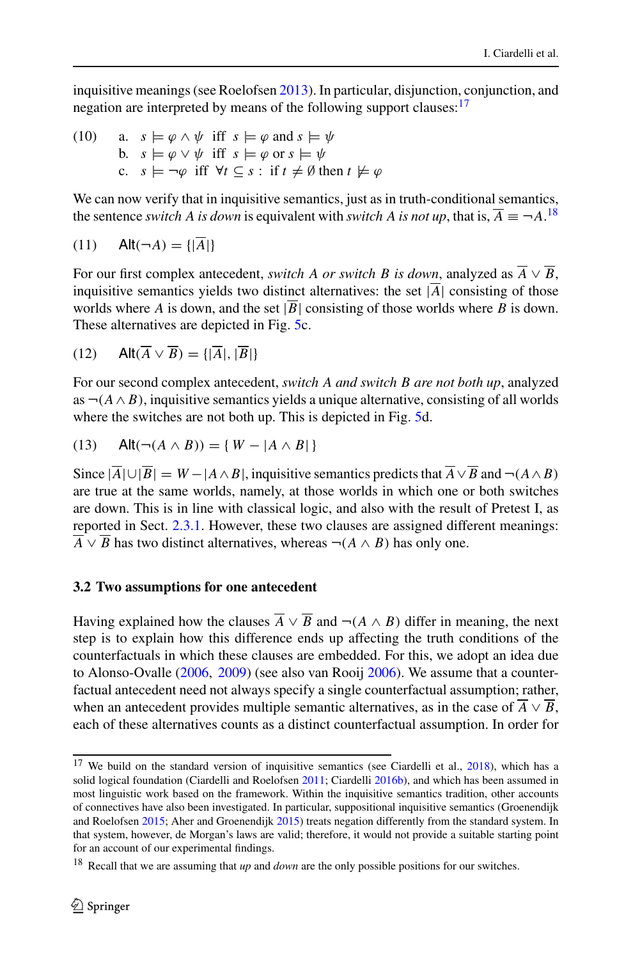inquisitive meanings (see Roelofse[n](#page-43-14) [2013](#page-43-14)). In particular, disjunction, conjunction, and negation are interpreted by means of the following support clauses: $\frac{17}{17}$ 

(10) a. 
$$
s \models \varphi \land \psi
$$
 iff  $s \models \varphi$  and  $s \models \psi$   
b.  $s \models \varphi \lor \psi$  iff  $s \models \varphi$  or  $s \models \psi$   
c.  $s \models \neg \varphi$  iff  $\forall t \subseteq s$ : if  $t \neq \emptyset$  then  $t \not\models \varphi$ 

We can now verify that in inquisitive semantics, just as in truth-conditional semantics, the sentence *switch A is down* is equivalent with *switch A is not up*, that is,  $\overline{A} = \neg A$ .<sup>[18](#page-19-2)</sup>

$$
(11) \quad \text{Alt}(\neg A) = \{|\overline{A}|\}
$$

For our first complex antecedent, *switch A or switch B is down*, analyzed as  $\overline{A} \vee \overline{B}$ , inquisitive semantics yields two distinct alternatives: the set  $|\overline{A}|$  consisting of those worlds where *A* is down, and the set  $|\overline{B}|$  consisting of those worlds where *B* is down. These alternatives are depicted in Fig. [5c](#page-18-3).

(12) 
$$
\mathsf{Alt}(\overline{A} \vee \overline{B}) = \{|\overline{A}|, |\overline{B}|\}
$$

For our second complex antecedent, *switch A and switch B are not both up*, analyzed as  $\neg$ (*A* ∧ *B*), inquisitive semantics yields a unique alternative, consisting of all worlds where the switches are not both up. This is depicted in Fig. [5d](#page-18-3).

$$
(13) \qquad \mathsf{Alt}(\neg(A \land B)) = \{ \, W - |A \land B| \, \}
$$

Since  $|\overline{A}| \cup |\overline{B}| = W - |A \wedge B|$ , inquisitive semantics predicts that  $\overline{A} \vee \overline{B}$  and  $\neg(A \wedge B)$ are true at the same worlds, namely, at those worlds in which one or both switches are down. This is in line with classical logic, and also with the result of Pretest I, as reported in Sect. [2.3.1.](#page-8-0) However, these two clauses are assigned different meanings:  $\overline{A} \vee \overline{B}$  has two distinct alternatives, whereas  $\neg(A \wedge B)$  has only one.

### <span id="page-19-0"></span>**3.2 Two assumptions for one antecedent**

Having explained how the clauses  $\overline{A} \vee \overline{B}$  and  $\neg(A \wedge B)$  differ in meaning, the next step is to explain how this difference ends up affecting the truth conditions of the counterfactuals in which these clauses are embedded. For this, we adopt an idea due to Alonso-Ovall[e](#page-41-1) [\(2006](#page-41-1), [2009](#page-41-2)) (see also van Rooi[j](#page-44-3) [2006](#page-44-3)). We assume that a counterfactual antecedent need not always specify a single counterfactual assumption; rather, when an antecedent provides multiple semantic alternatives, as in the case of  $\overline{A} \vee \overline{B}$ , each of these alternatives counts as a distinct counterfactual assumption. In order for

<span id="page-19-1"></span><sup>&</sup>lt;sup>17</sup> We build on the standard version of inquisitive semantics (see Ciardelli et al., [2018](#page-41-0)), which has a solid logical foundation (Ciardelli and Roelofse[n](#page-41-7) [2011;](#page-41-7) Ciardell[i](#page-41-8) [2016b](#page-41-8)), and which has been assumed in most linguistic work based on the framework. Within the inquisitive semantics tradition, other accounts of connectives have also been investigated. In particular, suppositional inquisitive semantics (Groenendijk and Roelofse[n](#page-42-15) [2015;](#page-42-15) Aher and Groenendij[k](#page-41-9) [2015](#page-41-9)) treats negation differently from the standard system. In that system, however, de Morgan's laws are valid; therefore, it would not provide a suitable starting point for an account of our experimental findings.

<span id="page-19-2"></span><sup>18</sup> Recall that we are assuming that *up* and *down* are the only possible positions for our switches.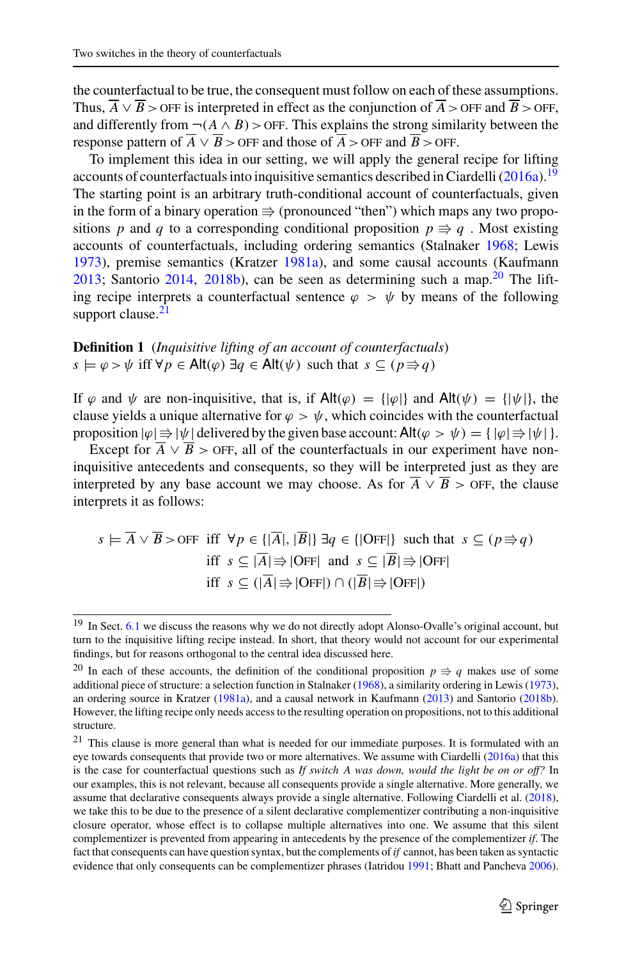the counterfactual to be true, the consequent must follow on each of these assumptions. Thus,  $\overline{A} \vee \overline{B}$  > OFF is interpreted in effect as the conjunction of  $\overline{A}$  > OFF and  $\overline{B}$  > OFF, and differently from  $\neg$ ( $A \wedge B$ ) > OFF. This explains the strong similarity between the response pattern of  $\overline{A} \vee \overline{B}$  > OFF and those of  $\overline{A}$  > OFF and  $\overline{B}$  > OFF.

To implement this idea in our setting, we will apply the general recipe for lifting accounts of counterfactuals [i](#page-41-10)nto inquisitive semantics described in Ciardelli  $(2016a)$  $(2016a)$ .<sup>[19](#page-20-0)</sup> The starting point is an arbitrary truth-conditional account of counterfactuals, given in the form of a binary operation  $\Rightarrow$  (pronounced "then") which maps any two propositions  $p$  and  $q$  to a corresponding conditional proposition  $p \rightrightarrows q$  . Most existing accounts of counterfactuals, including ordering semantics (Stalnake[r](#page-43-2) [1968](#page-43-2); Lewi[s](#page-43-3) [1973\)](#page-43-3), premise semantics (Kratze[r](#page-42-7) [1981a](#page-42-7)), and some causal accounts (Kaufman[n](#page-42-16) [2013;](#page-42-16) Sant[o](#page-43-15)rio [2014,](#page-43-15) [2018b\)](#page-43-16), can be seen as determining such a map.<sup>20</sup> The lifting recipe interprets a counterfactual sentence  $\varphi > \psi$  by means of the following support clause. $21$ 

**Definition 1** (*Inquisitive lifting of an account of counterfactuals*) *s*  $\models \varphi > \psi$  iff  $∀p ∈ Alt(φ) ∃q ∈ Alt(ψ)$  such that  $s ⊆ (p ⇒ q)$ 

If  $\varphi$  and  $\psi$  are non-inquisitive, that is, if  $\mathsf{Alt}(\varphi) = {\varphi}$  and  $\mathsf{Alt}(\psi) = {\psi}$ , the clause yields a unique alternative for  $\varphi > \psi$ , which coincides with the counterfactual proposition  $|\varphi| \Rightarrow |\psi|$  delivered by the given base account:  $\mathsf{Alt}(\varphi > \psi) = \{ |\varphi| \Rightarrow |\psi| \}.$ 

Except for  $\overline{A} \vee \overline{B} >$  OFF, all of the counterfactuals in our experiment have noninquisitive antecedents and consequents, so they will be interpreted just as they are interpreted by any base account we may choose. As for  $\overline{A} \vee \overline{B} >$  OFF, the clause interprets it as follows:

*s*  $\models$  *A* ∨ *B* > OFF iff  $∀p ∈ \{ |A|, |B| \} \exists q ∈ \{ |OFF| \}$  such that  $s ⊆ (p \Rightarrow q)$ iff  $s \subseteq |A| \Rightarrow |\text{OFF}|$  and  $s \subseteq |B| \Rightarrow |\text{OFF}|$ iff *s* ⊆ (|*A*| $\Rightarrow$  |OFF|) ∩ (|*B*| $\Rightarrow$  |OFF|)

<span id="page-20-0"></span><sup>&</sup>lt;sup>19</sup> In Sect. [6.1](#page-31-0) we discuss the reasons why we do not directly adopt Alonso-Ovalle's original account, but turn to the inquisitive lifting recipe instead. In short, that theory would not account for our experimental findings, but for reasons orthogonal to the central idea discussed here.

<span id="page-20-1"></span><sup>&</sup>lt;sup>20</sup> In each of these accounts, the definition of the conditional proposition  $p \Rightarrow q$  makes use of some additional piece of structure: a selection function in Stalnake[r](#page-43-2) [\(1968\)](#page-43-2), a similarity ordering in Lewi[s](#page-43-3) [\(1973](#page-43-3)), an ordering source in Kratze[r](#page-42-7) [\(1981a\)](#page-42-7), and a causal network in Kaufman[n](#page-42-16) [\(2013](#page-42-16)) and Santori[o](#page-43-16) [\(2018b](#page-43-16)). However, the lifting recipe only needs access to the resulting operation on propositions, not to this additional structure.

<span id="page-20-2"></span> $2<sup>1</sup>$  This clause is more general than what is needed for our immediate purposes. It is formulated with an eye towards consequents that prov[i](#page-41-10)de two or more alternatives. We assume with Ciardelli  $(2016a)$  $(2016a)$  that this is the case for counterfactual questions such as *If switch A was down, would the light be on or off?* In our examples, this is not relevant, because all consequents provide a single alternative. More generally, we assume that declarative consequents always provide a single alternative. Following Ciardelli et al[.](#page-41-0) [\(2018](#page-41-0)), we take this to be due to the presence of a silent declarative complementizer contributing a non-inquisitive closure operator, whose effect is to collapse multiple alternatives into one. We assume that this silent complementizer is prevented from appearing in antecedents by the presence of the complementizer *if*. The fact that consequents can have question syntax, but the complements of *if* cannot, has been taken as syntactic evidence that only consequents can be complementizer phrases (Iatrido[u](#page-42-17) [1991;](#page-42-17) Bhatt and Panchev[a](#page-41-11) [2006](#page-41-11)).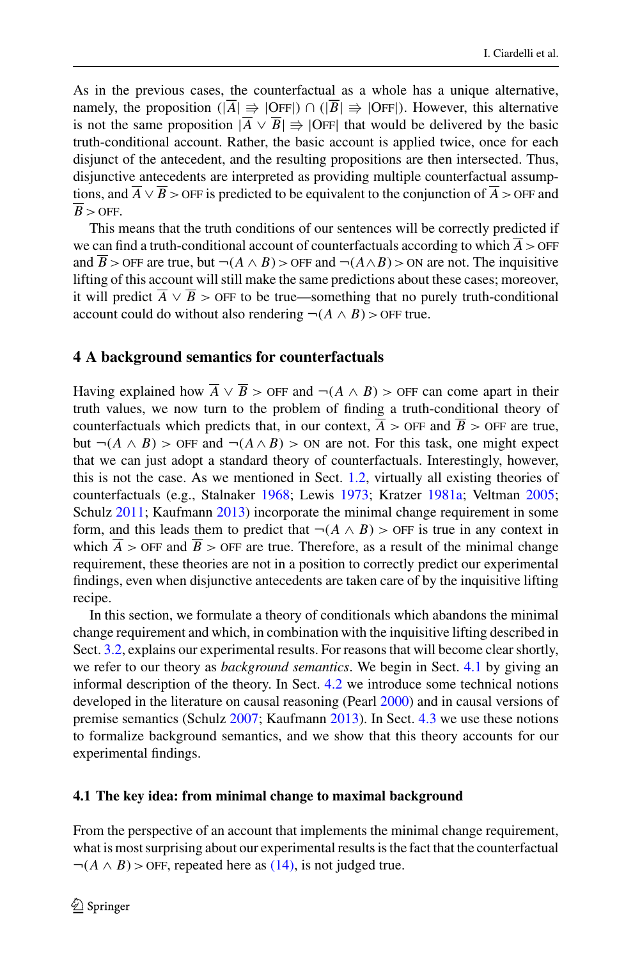As in the previous cases, the counterfactual as a whole has a unique alternative, namely, the proposition  $(|A| \Rightarrow |\text{OFF}|) \cap (|B| \Rightarrow |\text{OFF}|)$ . However, this alternative is not the same proposition  $|A \vee B| \Rightarrow |OFF|$  that would be delivered by the basic truth-conditional account. Rather, the basic account is applied twice, once for each disjunct of the antecedent, and the resulting propositions are then intersected. Thus, disjunctive antecedents are interpreted as providing multiple counterfactual assumptions, and  $\overline{A} \vee \overline{B}$  > OFF is predicted to be equivalent to the conjunction of  $\overline{A}$  > OFF and  $\overline{B}$  > OFF.

This means that the truth conditions of our sentences will be correctly predicted if we can find a truth-conditional account of counterfactuals according to which  $\overline{A}$  > OFF and  $\overline{B}$  > OFF are true, but  $\neg(A \wedge B)$  > OFF and  $\neg(A \wedge B)$  > ON are not. The inquisitive lifting of this account will still make the same predictions about these cases; moreover, it will predict  $\overline{A} \vee \overline{B} >$  OFF to be true—something that no purely truth-conditional account could do without also rendering  $\neg(A \land B) >$  OFF true.

### <span id="page-21-0"></span>**4 A background semantics for counterfactuals**

Having explained how  $\overline{A} \vee \overline{B} >$  OFF and  $\neg (A \wedge B) >$  OFF can come apart in their truth values, we now turn to the problem of finding a truth-conditional theory of counterfactuals which predicts that, in our context,  $\overline{A}$  > OFF and  $\overline{B}$  > OFF are true, but  $\neg(A \land B) >$  OFF and  $\neg(A \land B) >$  ON are not. For this task, one might expect that we can just adopt a standard theory of counterfactuals. Interestingly, however, this is not the case. As we mentioned in Sect. [1.2,](#page-4-1) virtually all existing theories of counterfactuals (e.g., Stalnake[r](#page-43-2) [1968](#page-43-2); Lewi[s](#page-43-3) [1973](#page-43-3); Kratze[r](#page-42-7) [1981a](#page-42-7); Veltma[n](#page-44-1) [2005](#page-44-1); Schul[z](#page-43-17) [2011](#page-43-17); Kaufman[n](#page-42-16) [2013](#page-42-16)) incorporate the minimal change requirement in some form, and this leads them to predict that  $\neg(A \land B) >$  OFF is true in any context in which  $\overline{A}$  > OFF and  $\overline{B}$  > OFF are true. Therefore, as a result of the minimal change requirement, these theories are not in a position to correctly predict our experimental findings, even when disjunctive antecedents are taken care of by the inquisitive lifting recipe.

In this section, we formulate a theory of conditionals which abandons the minimal change requirement and which, in combination with the inquisitive lifting described in Sect. [3.2,](#page-19-0) explains our experimental results. For reasons that will become clear shortly, we refer to our theory as *background semantics*. We begin in Sect. [4.1](#page-21-1) by giving an informal description of the theory. In Sect. [4.2](#page-23-0) we introduce some technical notions developed in the literature on causal reasoning (Pear[l](#page-43-5) [2000](#page-43-5)) and in causal versions of premise semantics (Schul[z](#page-43-9) [2007;](#page-43-9) Kaufman[n](#page-42-16) [2013](#page-42-16)). In Sect. [4.3](#page-25-0) we use these notions to formalize background semantics, and we show that this theory accounts for our experimental findings.

#### <span id="page-21-1"></span>**4.1 The key idea: from minimal change to maximal background**

<span id="page-21-2"></span>From the perspective of an account that implements the minimal change requirement, what is most surprising about our experimental results is the fact that the counterfactual  $\neg(A \land B)$  > OFF, repeated here as [\(14\),](#page-21-2) is not judged true.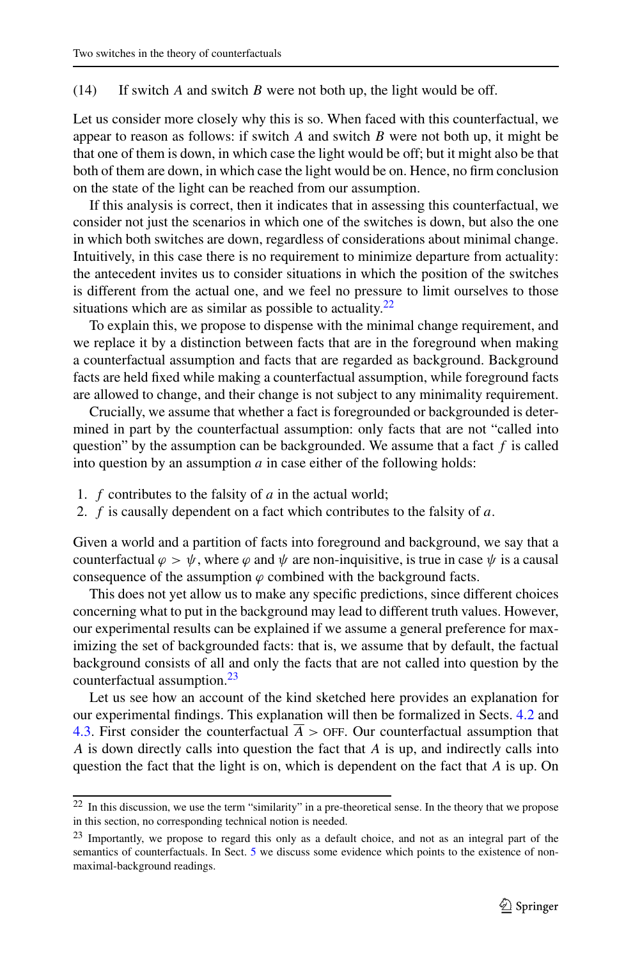### (14) If switch *A* and switch *B* were not both up, the light would be off.

Let us consider more closely why this is so. When faced with this counterfactual, we appear to reason as follows: if switch *A* and switch *B* were not both up, it might be that one of them is down, in which case the light would be off; but it might also be that both of them are down, in which case the light would be on. Hence, no firm conclusion on the state of the light can be reached from our assumption.

If this analysis is correct, then it indicates that in assessing this counterfactual, we consider not just the scenarios in which one of the switches is down, but also the one in which both switches are down, regardless of considerations about minimal change. Intuitively, in this case there is no requirement to minimize departure from actuality: the antecedent invites us to consider situations in which the position of the switches is different from the actual one, and we feel no pressure to limit ourselves to those situations which are as similar as possible to actuality. $2^2$ 

To explain this, we propose to dispense with the minimal change requirement, and we replace it by a distinction between facts that are in the foreground when making a counterfactual assumption and facts that are regarded as background. Background facts are held fixed while making a counterfactual assumption, while foreground facts are allowed to change, and their change is not subject to any minimality requirement.

Crucially, we assume that whether a fact is foregrounded or backgrounded is determined in part by the counterfactual assumption: only facts that are not "called into question" by the assumption can be backgrounded. We assume that a fact  $f$  is called into question by an assumption *a* in case either of the following holds:

- 1. *f* contributes to the falsity of *a* in the actual world;
- 2. *f* is causally dependent on a fact which contributes to the falsity of *a*.

Given a world and a partition of facts into foreground and background, we say that a counterfactual  $\varphi > \psi$ , where  $\varphi$  and  $\psi$  are non-inquisitive, is true in case  $\psi$  is a causal consequence of the assumption  $\varphi$  combined with the background facts.

This does not yet allow us to make any specific predictions, since different choices concerning what to put in the background may lead to different truth values. However, our experimental results can be explained if we assume a general preference for maximizing the set of backgrounded facts: that is, we assume that by default, the factual background consists of all and only the facts that are not called into question by the counterfactual assumption.[23](#page-22-1)

Let us see how an account of the kind sketched here provides an explanation for our experimental findings. This explanation will then be formalized in Sects. [4.2](#page-23-0) and [4.3.](#page-25-0) First consider the counterfactual  $\overline{A} >$  OFF. Our counterfactual assumption that *A* is down directly calls into question the fact that *A* is up, and indirectly calls into question the fact that the light is on, which is dependent on the fact that *A* is up. On

<span id="page-22-0"></span><sup>22</sup> In this discussion, we use the term "similarity" in a pre-theoretical sense. In the theory that we propose in this section, no corresponding technical notion is needed.

<span id="page-22-1"></span><sup>&</sup>lt;sup>23</sup> Importantly, we propose to regard this only as a default choice, and not as an integral part of the semantics of counterfactuals. In Sect. [5](#page-28-0) we discuss some evidence which points to the existence of nonmaximal-background readings.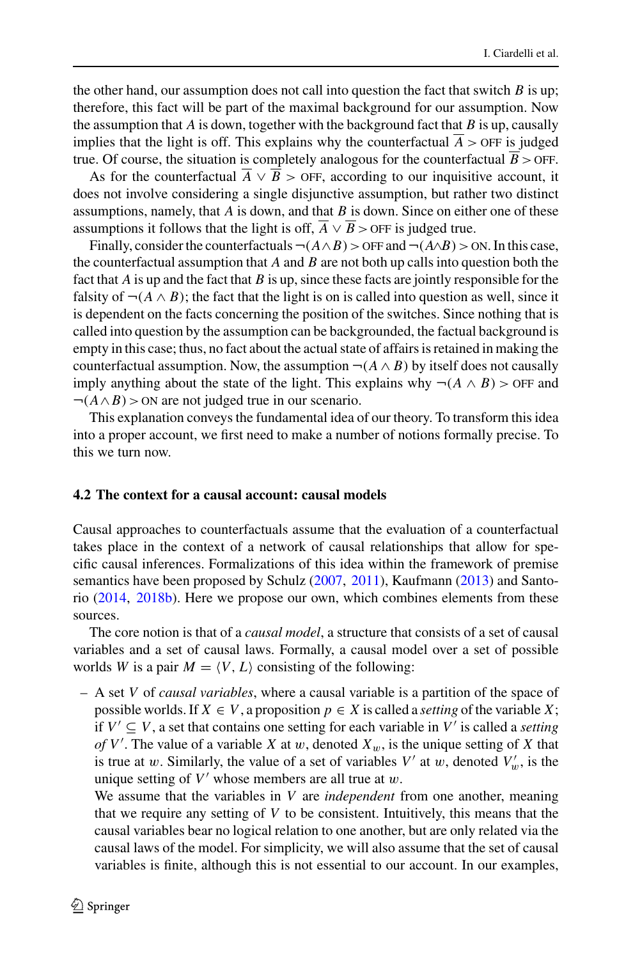the other hand, our assumption does not call into question the fact that switch *B* is up; therefore, this fact will be part of the maximal background for our assumption. Now the assumption that *A* is down, together with the background fact that *B* is up, causally implies that the light is off. This explains why the counterfactual  $\overline{A}$  > OFF is judged true. Of course, the situation is completely analogous for the counterfactual  $\overline{B}$  > OFF.

As for the counterfactual  $\overline{A} \vee \overline{B} >$  OFF, according to our inquisitive account, it does not involve considering a single disjunctive assumption, but rather two distinct assumptions, namely, that *A* is down, and that *B* is down. Since on either one of these assumptions it follows that the light is off,  $\overline{A} \vee \overline{B}$  > OFF is judged true.

Finally, consider the counterfactuals  $\neg(A \land B)$  > OFF and  $\neg(A \land B)$  > ON. In this case, the counterfactual assumption that *A* and *B* are not both up calls into question both the fact that *A* is up and the fact that *B* is up, since these facts are jointly responsible for the falsity of  $\neg(A \land B)$ ; the fact that the light is on is called into question as well, since it is dependent on the facts concerning the position of the switches. Since nothing that is called into question by the assumption can be backgrounded, the factual background is empty in this case; thus, no fact about the actual state of affairs is retained in making the counterfactual assumption. Now, the assumption  $\neg(A \land B)$  by itself does not causally imply anything about the state of the light. This explains why  $\neg (A \wedge B) >$  OFF and  $\neg(A \land B)$  > ON are not judged true in our scenario.

This explanation conveys the fundamental idea of our theory. To transform this idea into a proper account, we first need to make a number of notions formally precise. To this we turn now.

#### <span id="page-23-0"></span>**4.2 The context for a causal account: causal models**

Causal approaches to counterfactuals assume that the evaluation of a counterfactual takes place in the context of a network of causal relationships that allow for specific causal inferences. Formalizations of this idea within the framework of premise semantics have been proposed by Schul[z](#page-43-9) [\(2007,](#page-43-9) [2011\)](#page-43-17), Kaufman[n](#page-42-16) [\(2013\)](#page-42-16) and Santori[o](#page-43-15) [\(2014](#page-43-15), [2018b\)](#page-43-16). Here we propose our own, which combines elements from these sources.

The core notion is that of a *causal model*, a structure that consists of a set of causal variables and a set of causal laws. Formally, a causal model over a set of possible worlds *W* is a pair  $M = \langle V, L \rangle$  consisting of the following:

– A set *V* of *causal variables*, where a causal variable is a partition of the space of possible worlds. If  $X \in V$ , a proposition  $p \in X$  is called a *setting* of the variable  $X$ ; if  $V' ⊆ V$ , a set that contains one setting for each variable in  $V'$  is called a *setting of V*. The value of a variable *X* at *w*, denoted  $X_w$ , is the unique setting of *X* that is true at w. Similarly, the value of a set of variables  $V'$  at w, denoted  $V'_w$ , is the unique setting of  $V'$  whose members are all true at  $w$ .

We assume that the variables in *V* are *independent* from one another, meaning that we require any setting of *V* to be consistent. Intuitively, this means that the causal variables bear no logical relation to one another, but are only related via the causal laws of the model. For simplicity, we will also assume that the set of causal variables is finite, although this is not essential to our account. In our examples,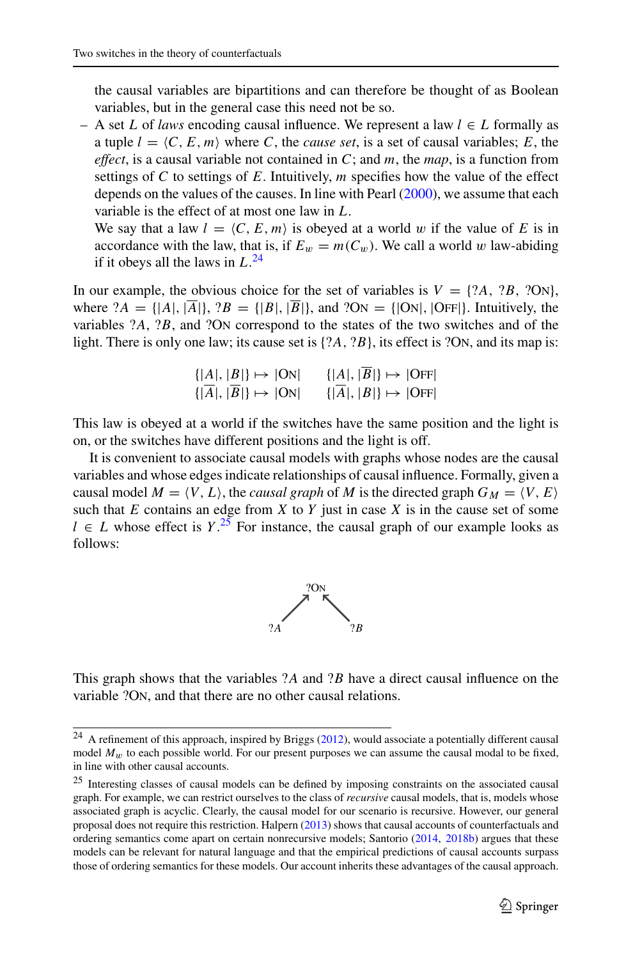the causal variables are bipartitions and can therefore be thought of as Boolean variables, but in the general case this need not be so.

– A set *L* of *laws* encoding causal influence. We represent a law *l* ∈ *L* formally as a tuple  $l = \langle C, E, m \rangle$  where C, the *cause set*, is a set of causal variables; E, the *effect*, is a causal variable not contained in *C*; and *m*, the *map*, is a function from settings of *C* to settings of *E*. Intuitively, *m* specifies how the value of the effect depends on the values of the causes. In line with Pear[l](#page-43-5) [\(2000](#page-43-5)), we assume that each variable is the effect of at most one law in *L*.

We say that a law  $l = \langle C, E, m \rangle$  is obeyed at a world w if the value of E is in accordance with the law, that is, if  $E_w = m(C_w)$ . We call a world w law-abiding if it obeys all the laws in *L*. [24](#page-24-0)

In our example, the obvious choice for the set of variables is  $V = \{?A, ?B, ?ON\}$ , where  $?A = \{|A|, |\overline{A}|\}$ ,  $?B = \{|B|, |\overline{B}|\}$ , and  $?ON = \{|ON|, |OFF|\}$ . Intuitively, the variables ?*A*, ?*B*, and ?On correspond to the states of the two switches and of the light. There is only one law; its cause set is {?*A*, ?*B*}, its effect is ?On, and its map is:

| $\{ A ,  B \} \mapsto  ON $ | $\{ A ,  B \} \mapsto  OFF $ |
|-----------------------------|------------------------------|
| $\{ A ,  B \} \mapsto  ON $ | $\{ A ,  B \} \mapsto  OFF $ |

This law is obeyed at a world if the switches have the same position and the light is on, or the switches have different positions and the light is off.

It is convenient to associate causal models with graphs whose nodes are the causal variables and whose edges indicate relationships of causal influence. Formally, given a causal model  $M = \langle V, L \rangle$ , the *causal graph* of M is the directed graph  $G_M = \langle V, E \rangle$ such that  $E$  contains an edge from  $X$  to  $Y$  just in case  $X$  is in the cause set of some *l* ∈ *L* whose effect is  $Y^{25}$  $Y^{25}$  $Y^{25}$ . For instance, the causal graph of our example looks as follows:



This graph shows that the variables ?*A* and ?*B* have a direct causal influence on the variable ?On, and that there are no other causal relations.

<span id="page-24-0"></span> $24$  A refinement of thi[s](#page-41-3) approach, inspired by Briggs [\(2012\)](#page-41-3), would associate a potentially different causal model  $M_w$  to each possible world. For our present purposes we can assume the causal modal to be fixed, in line with other causal accounts.

<span id="page-24-1"></span><sup>&</sup>lt;sup>25</sup> Interesting classes of causal models can be defined by imposing constraints on the associated causal graph. For example, we can restrict ourselves to the class of *recursive* causal models, that is, models whose associated graph is acyclic. Clearly, the causal model for our scenario is recursive. However, our general proposal does not require this restriction. Halper[n](#page-42-18) [\(2013](#page-42-18)) shows that causal accounts of counterfactuals and ordering semantics come apart on certain nonrecursive models; Santori[o](#page-43-15) [\(2014](#page-43-15), [2018b\)](#page-43-16) argues that these models can be relevant for natural language and that the empirical predictions of causal accounts surpass those of ordering semantics for these models. Our account inherits these advantages of the causal approach.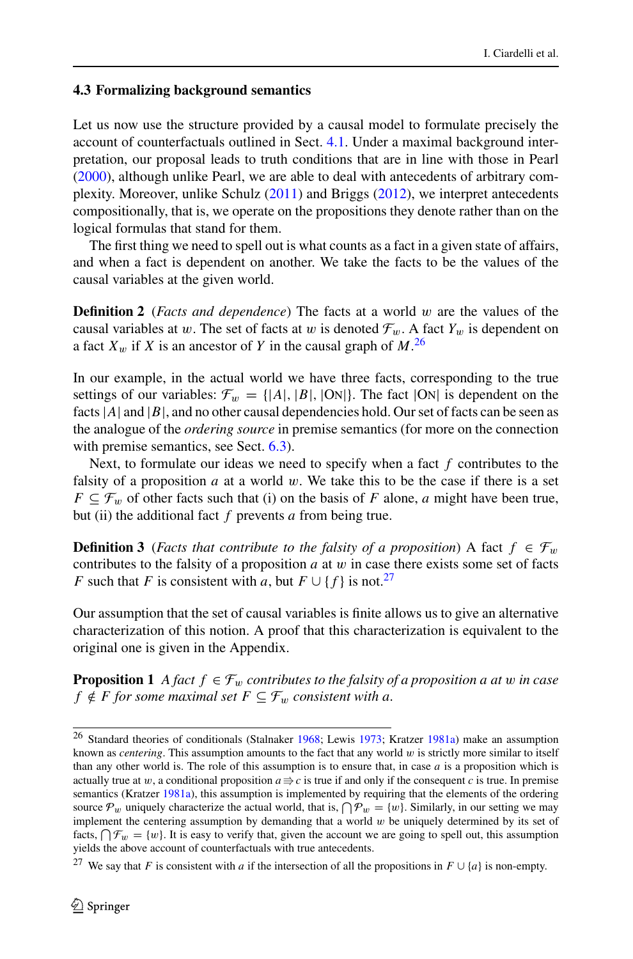# <span id="page-25-0"></span>**4.3 Formalizing background semantics**

Let us now use the structure provided by a causal model to formulate precisely the account of counterfactuals outlined in Sect. [4.1.](#page-21-1) Under a maximal background interpretation, our proposal leads to truth conditions that are in line with those in Pear[l](#page-43-5) [\(2000\)](#page-43-5), although unlike Pearl, we are able to deal with antecedents of arbitrary complexity. Moreover, unlike Schul[z](#page-43-17)  $(2011)$  and Brigg[s](#page-41-3)  $(2012)$  $(2012)$ , we interpret antecedents compositionally, that is, we operate on the propositions they denote rather than on the logical formulas that stand for them.

The first thing we need to spell out is what counts as a fact in a given state of affairs, and when a fact is dependent on another. We take the facts to be the values of the causal variables at the given world.

**Definition 2** (*Facts and dependence*) The facts at a world w are the values of the causal variables at w. The set of facts at w is denoted  $\mathcal{F}_w$ . A fact  $Y_w$  is dependent on a fact  $X_w$  if *X* is an ancestor of *Y* in the causal graph of *M*.<sup>[26](#page-25-1)</sup>

In our example, in the actual world we have three facts, corresponding to the true settings of our variables:  $\mathcal{F}_w = \{|A|, |B|, |\text{ON}|\}.$  The fact  $|\text{ON}|$  is dependent on the facts  $|A|$  and  $|B|$ , and no other causal dependencies hold. Our set of facts can be seen as the analogue of the *ordering source* in premise semantics (for more on the connection with premise semantics, see Sect. [6.3\)](#page-34-0).

Next, to formulate our ideas we need to specify when a fact *f* contributes to the falsity of a proposition *a* at a world w. We take this to be the case if there is a set  $F \subseteq \mathcal{F}_w$  of other facts such that (i) on the basis of *F* alone, *a* might have been true, but (ii) the additional fact *f* prevents *a* from being true.

**Definition 3** (*Facts that contribute to the falsity of a proposition*) A fact  $f \in \mathcal{F}_w$ contributes to the falsity of a proposition *a* at w in case there exists some set of facts *F* such that *F* is consistent with *a*, but  $F \cup \{f\}$  is not.<sup>27</sup>

Our assumption that the set of causal variables is finite allows us to give an alternative characterization of this notion. A proof that this characterization is equivalent to the original one is given in the Appendix.

<span id="page-25-3"></span>**Proposition 1** *A fact f*  $\in \mathcal{F}_w$  *contributes to the falsity of a proposition a at w in case f*  $\notin$  *F* for some maximal set *F*  $\subseteq$  *F*<sub>w</sub> consistent with a.

<span id="page-25-1"></span><sup>&</sup>lt;sup>26</sup> Standa[r](#page-42-7)d theories of conditionals (Stalnaker [1968](#page-43-2); Lewi[s](#page-43-3) [1973](#page-43-3); Kratzer [1981a](#page-42-7)) make an assumption known as *centering*. This assumption amounts to the fact that any world w is strictly more similar to itself than any other world is. The role of this assumption is to ensure that, in case *a* is a proposition which is actually true at w, a conditional proposition  $a \Rightarrow c$  is true if and only if the consequent c is true. In premise semantics (K[r](#page-42-7)atzer [1981a](#page-42-7)), this assumption is implemented by requiring that the elements of the ordering source  $\mathcal{P}_w$  uniquely characterize the actual world, that is,  $\bigcap \mathcal{P}_w = \{w\}$ . Similarly, in our setting we may implement the centering assumption by demanding that a world  $w$  be uniquely determined by its set of facts,  $\bigcap \mathcal{F}_w = \{w\}$ . It is easy to verify that, given the account we are going to spell out, this assumption yields the above account of counterfactuals with true antecedents.

<span id="page-25-2"></span><sup>&</sup>lt;sup>27</sup> We say that *F* is consistent with *a* if the intersection of all the propositions in  $F \cup \{a\}$  is non-empty.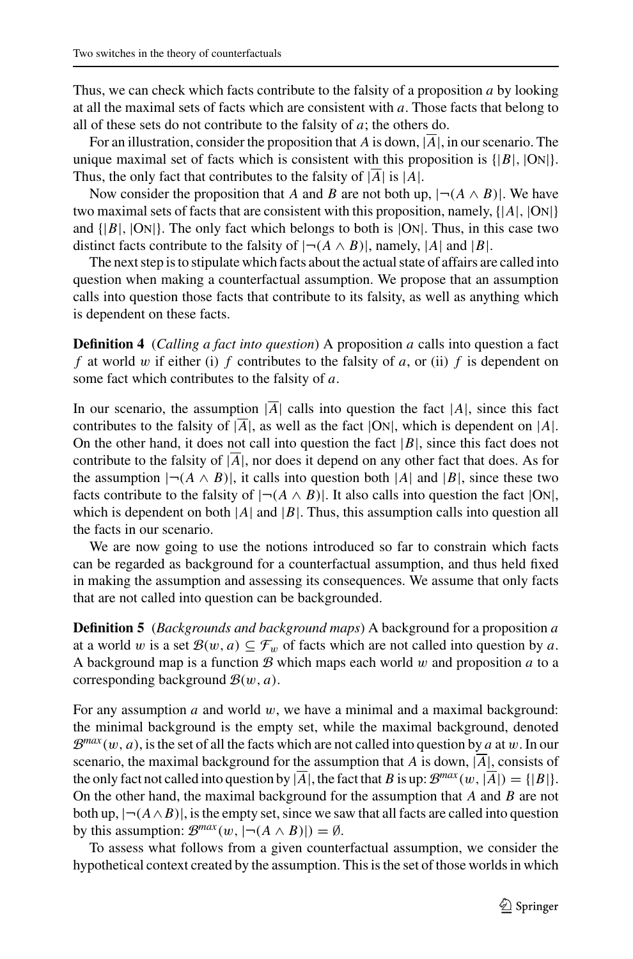Thus, we can check which facts contribute to the falsity of a proposition *a* by looking at all the maximal sets of facts which are consistent with *a*. Those facts that belong to all of these sets do not contribute to the falsity of *a*; the others do.

For an illustration, consider the proposition that *A* is down, |*A*|, in our scenario. The unique maximal set of facts which is consistent with this proposition is  $\{|B|, |ON|\}$ . Thus, the only fact that contributes to the falsity of  $|\overline{A}|$  is  $|A|$ .

Now consider the proposition that *A* and *B* are not both up,  $\neg (A \land B)$ . We have two maximal sets of facts that are consistent with this proposition, namely, {|*A*|, |On|} and  $\{|B|, |ON|\}$ . The only fact which belongs to both is  $|ON|$ . Thus, in this case two distinct facts contribute to the falsity of  $|\neg(A \land B)|$ , namely,  $|A|$  and  $|B|$ .

The next step is to stipulate which facts about the actual state of affairs are called into question when making a counterfactual assumption. We propose that an assumption calls into question those facts that contribute to its falsity, as well as anything which is dependent on these facts.

**Definition 4** (*Calling a fact into question*) A proposition *a* calls into question a fact *f* at world w if either (i) *f* contributes to the falsity of *a*, or (ii) *f* is dependent on some fact which contributes to the falsity of *a*.

In our scenario, the assumption  $|\overline{A}|$  calls into question the fact  $|A|$ , since this fact contributes to the falsity of  $|\overline{A}|$ , as well as the fact  $|ON|$ , which is dependent on  $|A|$ . On the other hand, it does not call into question the fact  $|B|$ , since this fact does not contribute to the falsity of  $|\overline{A}|$ , nor does it depend on any other fact that does. As for the assumption  $|\neg(A \land B)|$ , it calls into question both |*A*| and |*B*|, since these two facts contribute to the falsity of  $\vert \neg (A \land B) \vert$ . It also calls into question the fact  $\vert \text{ON} \vert$ , which is dependent on both  $|A|$  and  $|B|$ . Thus, this assumption calls into question all the facts in our scenario.

We are now going to use the notions introduced so far to constrain which facts can be regarded as background for a counterfactual assumption, and thus held fixed in making the assumption and assessing its consequences. We assume that only facts that are not called into question can be backgrounded.

**Definition 5** (*Backgrounds and background maps*) A background for a proposition *a* at a world w is a set  $\mathcal{B}(w, a) \subseteq \mathcal{F}_w$  of facts which are not called into question by a. A background map is a function  $B$  which maps each world  $w$  and proposition  $a$  to a corresponding background B(w, *a*).

For any assumption *a* and world w, we have a minimal and a maximal background: the minimal background is the empty set, while the maximal background, denoted  $B^{max}(w, a)$ , is the set of all the facts which are not called into question by *a* at *w*. In our scenario, the maximal background for the assumption that *A* is down,  $|\overline{A}|$ , consists of the only fact not called into question by  $|\overline{A}|$ , the fact that *B* is up:  $\mathcal{B}^{max}(w, |\overline{A}|) = \{ |B| \}.$ On the other hand, the maximal background for the assumption that *A* and *B* are not both up,  $|\neg(A \land B)|$ , is the empty set, since we saw that all facts are called into question by this assumption:  $\mathcal{B}^{max}(w, |\neg(A \land B)|) = \emptyset$ .

To assess what follows from a given counterfactual assumption, we consider the hypothetical context created by the assumption. This is the set of those worlds in which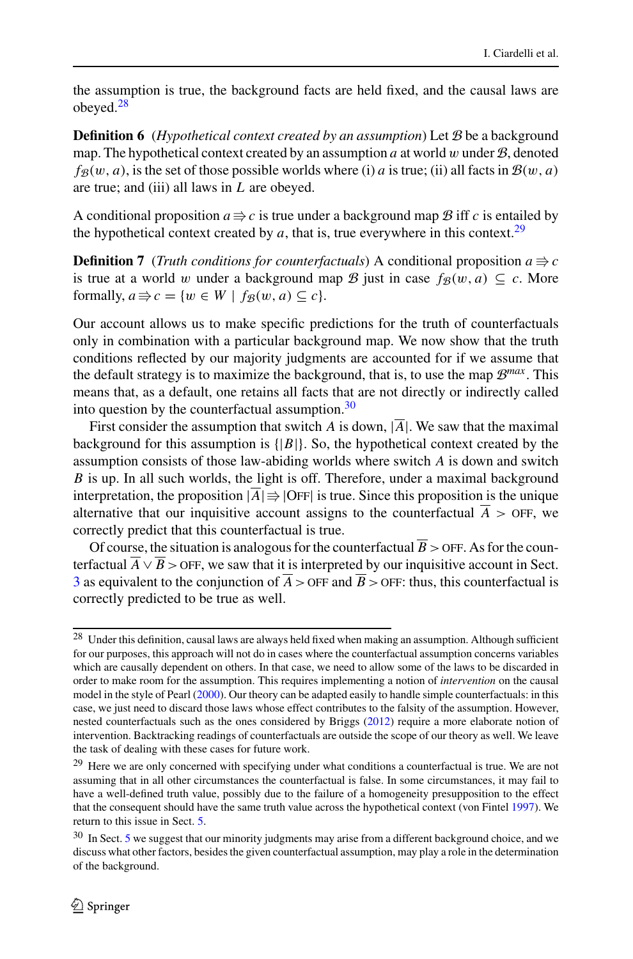the assumption is true, the background facts are held fixed, and the causal laws are obeyed.[28](#page-27-0)

**Definition 6** (*Hypothetical context created by an assumption*) Let B be a background map. The hypothetical context created by an assumption  $a$  at world  $w$  under  $B$ , denoted  $f_{\mathcal{B}}(w, a)$ , is the set of those possible worlds where (i) *a* is true; (ii) all facts in  $\mathcal{B}(w, a)$ are true; and (iii) all laws in *L* are obeyed.

A conditional proposition  $a \Rightarrow c$  is true under a background map B iff *c* is entailed by the hypothetical context created by  $a$ , that is, true everywhere in this context.<sup>29</sup>

**Definition 7** (*Truth conditions for counterfactuals*) A conditional proposition  $a \Rightarrow c$ is true at a world w under a background map B just in case  $f_B(w, a) \subseteq c$ . More formally,  $a \Rightarrow c = \{w \in W \mid f_{\mathcal{B}}(w, a) \subseteq c\}.$ 

Our account allows us to make specific predictions for the truth of counterfactuals only in combination with a particular background map. We now show that the truth conditions reflected by our majority judgments are accounted for if we assume that the default strategy is to maximize the background, that is, to use the map  $\mathcal{B}^{max}$ . This means that, as a default, one retains all facts that are not directly or indirectly called into question by the counterfactual assumption.[30](#page-27-2)

First consider the assumption that switch *A* is down,  $|\overline{A}|$ . We saw that the maximal background for this assumption is  $\{ |B| \}$ . So, the hypothetical context created by the assumption consists of those law-abiding worlds where switch *A* is down and switch *B* is up. In all such worlds, the light is off. Therefore, under a maximal background interpretation, the proposition  $|A| \Rightarrow |OFF|$  is true. Since this proposition is the unique alternative that our inquisitive account assigns to the counterfactual  $\overline{A} >$  OFF, we correctly predict that this counterfactual is true.

Of course, the situation is analogous for the counterfactual  $\overline{B}$  > OFF. As for the counterfactual  $\overline{A} \vee \overline{B}$  > OFF, we saw that it is interpreted by our inquisitive account in Sect. [3](#page-17-0) as equivalent to the conjunction of  $\overline{A}$  > OFF and  $\overline{B}$  > OFF: thus, this counterfactual is correctly predicted to be true as well.

<span id="page-27-0"></span> $28$  Under this definition, causal laws are always held fixed when making an assumption. Although sufficient for our purposes, this approach will not do in cases where the counterfactual assumption concerns variables which are causally dependent on others. In that case, we need to allow some of the laws to be discarded in order to make room for the assumption. This requires implementing a notion of *intervention* on the causal model in the style of Pearl [\(2000\)](#page-43-5). Our theory can be adapted easily to handle simple counterfactuals: in this case, we just need to discard those laws whose effect contributes to the falsity of the assumption. However, nested counterfactuals such as the ones considered by Brigg[s](#page-41-3) [\(2012](#page-41-3)) require a more elaborate notion of intervention. Backtracking readings of counterfactuals are outside the scope of our theory as well. We leave the task of dealing with these cases for future work.

<span id="page-27-1"></span><sup>&</sup>lt;sup>29</sup> Here we are only concerned with specifying under what conditions a counterfactual is true. We are not assuming that in all other circumstances the counterfactual is false. In some circumstances, it may fail to have a well-defined truth value, possibly due to the failure of a homogeneity presupposition to the effect that the consequent should have the same truth value across the hypothetical context (von Finte[l](#page-44-4) [1997](#page-44-4)). We return to this issue in Sect. [5.](#page-28-0)

<span id="page-27-2"></span><sup>&</sup>lt;sup>30</sup> In Sect. [5](#page-28-0) we suggest that our minority judgments may arise from a different background choice, and we discuss what other factors, besides the given counterfactual assumption, may play a role in the determination of the background.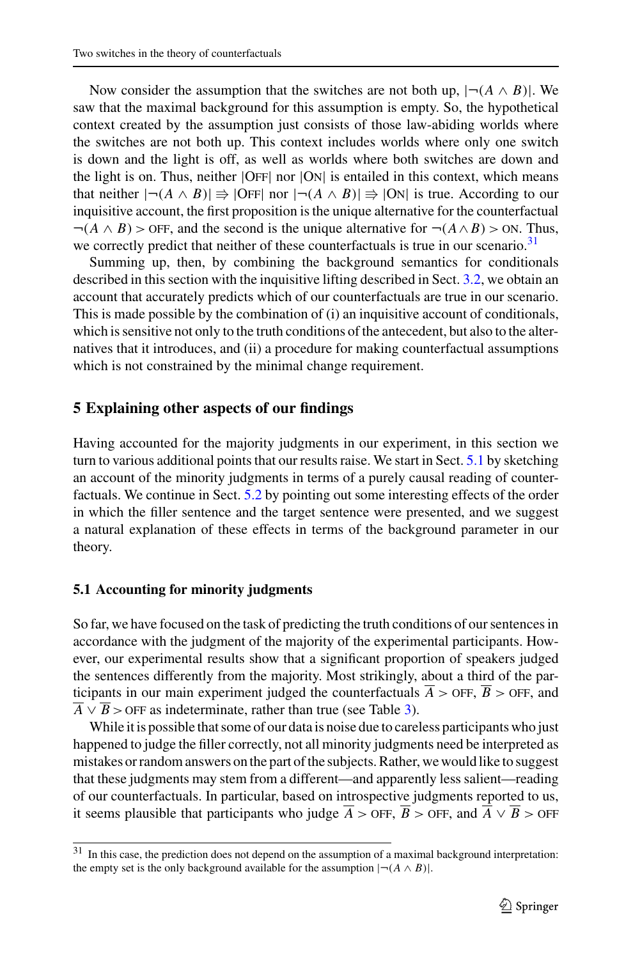Now consider the assumption that the switches are not both up,  $|¬(A ∧ B)|$ . We saw that the maximal background for this assumption is empty. So, the hypothetical context created by the assumption just consists of those law-abiding worlds where the switches are not both up. This context includes worlds where only one switch is down and the light is off, as well as worlds where both switches are down and the light is on. Thus, neither  $|OFF|$  nor  $|ON|$  is entailed in this context, which means that neither  $|\neg(A \land B)| \Rightarrow |\text{OFF}|$  nor  $|\neg(A \land B)| \Rightarrow |\text{ON}|$  is true. According to our inquisitive account, the first proposition is the unique alternative for the counterfactual  $\neg(A \land B) >$  OFF, and the second is the unique alternative for  $\neg(A \land B) >$  ON. Thus, we correctly predict that neither of these counterfactuals is true in our scenario.<sup>[31](#page-28-1)</sup>

Summing up, then, by combining the background semantics for conditionals described in this section with the inquisitive lifting described in Sect. [3.2,](#page-19-0) we obtain an account that accurately predicts which of our counterfactuals are true in our scenario. This is made possible by the combination of (i) an inquisitive account of conditionals, which is sensitive not only to the truth conditions of the antecedent, but also to the alternatives that it introduces, and (ii) a procedure for making counterfactual assumptions which is not constrained by the minimal change requirement.

# <span id="page-28-0"></span>**5 Explaining other aspects of our findings**

Having accounted for the majority judgments in our experiment, in this section we turn to various additional points that our results raise. We start in Sect. [5.1](#page-28-2) by sketching an account of the minority judgments in terms of a purely causal reading of counterfactuals. We continue in Sect. [5.2](#page-30-0) by pointing out some interesting effects of the order in which the filler sentence and the target sentence were presented, and we suggest a natural explanation of these effects in terms of the background parameter in our theory.

# <span id="page-28-2"></span>**5.1 Accounting for minority judgments**

So far, we have focused on the task of predicting the truth conditions of our sentences in accordance with the judgment of the majority of the experimental participants. However, our experimental results show that a significant proportion of speakers judged the sentences differently from the majority. Most strikingly, about a third of the participants in our main experiment judged the counterfactuals  $A >$  OFF,  $B >$  OFF, and  $A \vee B$  > OFF as indeterminate, rather than true (see Table [3\)](#page-11-1).

While it is possible that some of our data is noise due to careless participants who just happened to judge the filler correctly, not all minority judgments need be interpreted as mistakes or random answers on the part of the subjects. Rather, we would like to suggest that these judgments may stem from a different—and apparently less salient—reading of our counterfactuals. In particular, based on introspective judgments reported to us, it seems plausible that participants who judge  $\overline{A} >$  OFF,  $\overline{B} >$  OFF, and  $\overline{A} \vee \overline{B} >$  OFF

<span id="page-28-1"></span> $31\,$  In this case, the prediction does not depend on the assumption of a maximal background interpretation: the empty set is the only background available for the assumption  $|¬(A ∧ B)|$ .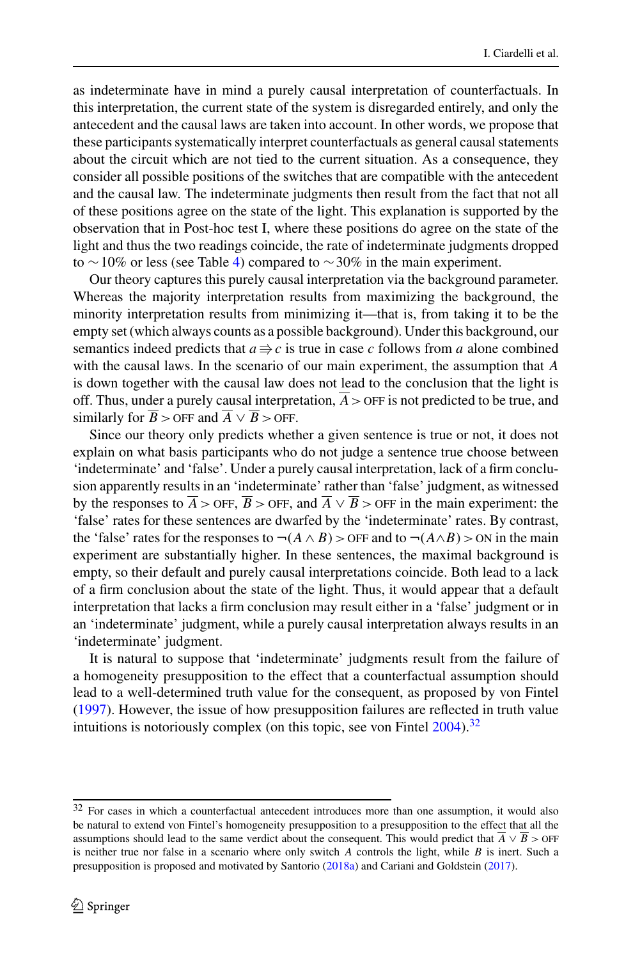as indeterminate have in mind a purely causal interpretation of counterfactuals. In this interpretation, the current state of the system is disregarded entirely, and only the antecedent and the causal laws are taken into account. In other words, we propose that these participants systematically interpret counterfactuals as general causal statements about the circuit which are not tied to the current situation. As a consequence, they consider all possible positions of the switches that are compatible with the antecedent and the causal law. The indeterminate judgments then result from the fact that not all of these positions agree on the state of the light. This explanation is supported by the observation that in Post-hoc test I, where these positions do agree on the state of the light and thus the two readings coincide, the rate of indeterminate judgments dropped to ∼10% or less (see Table [4\)](#page-12-2) compared to  $\sim$ 30% in the main experiment.

Our theory captures this purely causal interpretation via the background parameter. Whereas the majority interpretation results from maximizing the background, the minority interpretation results from minimizing it—that is, from taking it to be the empty set (which always counts as a possible background). Under this background, our semantics indeed predicts that  $a \Rightarrow c$  is true in case *c* follows from *a* alone combined with the causal laws. In the scenario of our main experiment, the assumption that *A* is down together with the causal law does not lead to the conclusion that the light is off. Thus, under a purely causal interpretation,  $\overline{A}$  > OFF is not predicted to be true, and similarly for  $\overline{B} >$  OFF and  $\overline{A} \vee \overline{B} >$  OFF.

Since our theory only predicts whether a given sentence is true or not, it does not explain on what basis participants who do not judge a sentence true choose between 'indeterminate' and 'false'. Under a purely causal interpretation, lack of a firm conclusion apparently results in an 'indeterminate' rather than 'false' judgment, as witnessed by the responses to  $\overline{A} >$  OFF,  $\overline{B} >$  OFF, and  $\overline{A} \vee \overline{B} >$  OFF in the main experiment: the 'false' rates for these sentences are dwarfed by the 'indeterminate' rates. By contrast, the 'false' rates for the responses to  $\neg(A \land B)$  > OFF and to  $\neg(A \land B)$  > ON in the main experiment are substantially higher. In these sentences, the maximal background is empty, so their default and purely causal interpretations coincide. Both lead to a lack of a firm conclusion about the state of the light. Thus, it would appear that a default interpretation that lacks a firm conclusion may result either in a 'false' judgment or in an 'indeterminate' judgment, while a purely causal interpretation always results in an 'indeterminate' judgment.

It is natural to suppose that 'indeterminate' judgments result from the failure of a homogeneity presupposition to the effect that a counterfactual assumption should lead to a well-determined truth value for the consequent, as proposed by von Finte[l](#page-44-4) [\(1997\)](#page-44-4). However, the issue of how presupposition failures are reflected in truth value intuitions is notorious[l](#page-44-5)y complex (on this topic, see von Fintel  $2004$ ).<sup>[32](#page-29-0)</sup>

<span id="page-29-0"></span><sup>32</sup> For cases in which a counterfactual antecedent introduces more than one assumption, it would also be natural to extend von Fintel's homogeneity presupposition to a presupposition to the effect that all the assumptions should lead to the same verdict about the consequent. This would predict that  $\overline{A} \vee \overline{B} >$  off is neither true nor false in a scenario where only switch *A* controls the light, while *B* is inert. Such a presupposition is proposed and motivated by Santori[o](#page-43-18) [\(2018a](#page-43-18)) and Cariani and Goldstei[n](#page-41-12) [\(2017\)](#page-41-12).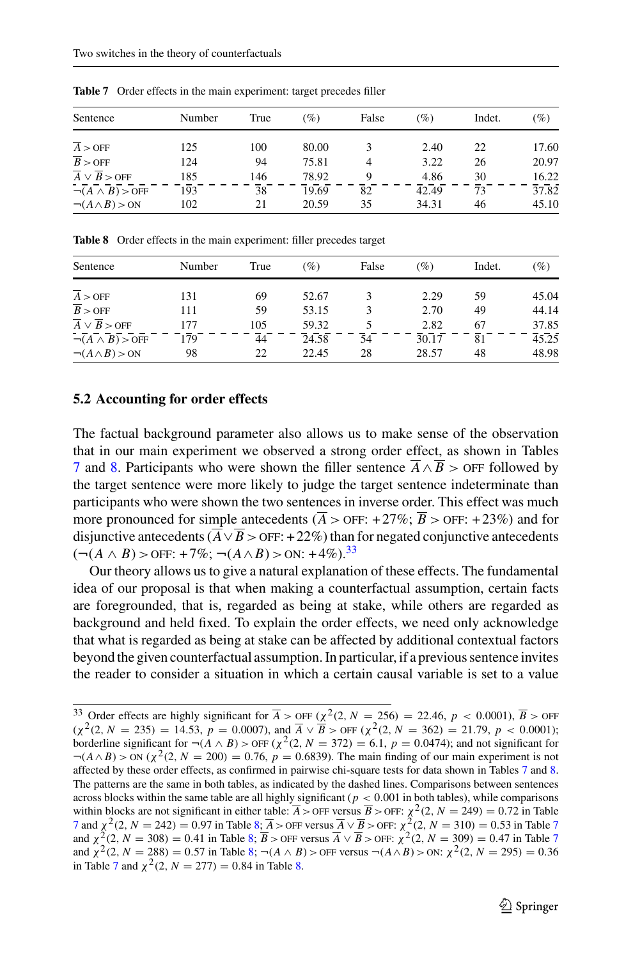| Sentence                               | Number | True | (%)   | False | $(\%)$ | Indet. | (%)   |
|----------------------------------------|--------|------|-------|-------|--------|--------|-------|
| $A >$ OFF                              | 125    | 100  | 80.00 |       | 2.40   | 22     | 17.60 |
| $\overline{B}$ > OFF                   | 124    | 94   | 75.81 | 4     | 3.22   | 26     | 20.97 |
| $\overline{A} \vee \overline{B}$ > OFF | 185    | 146  | 78.92 | Q     | 4.86   | 30     | 16.22 |
| $\neg(A \land B) >$ OFF                | 193    | 38   | 19.69 | 82    | 42.49  | 73     | 37.82 |
| $\neg(A \wedge B)$ > ON                | 102    | 21   | 20.59 | 35    | 34.31  | 46     | 45.10 |

<span id="page-30-1"></span>**Table 7** Order effects in the main experiment: target precedes filler

<span id="page-30-2"></span>**Table 8** Order effects in the main experiment: filler precedes target

| Sentence                               | Number | True | $(\%)$ | False | (%)   | Indet. | $(\%)$ |
|----------------------------------------|--------|------|--------|-------|-------|--------|--------|
| $A >$ OFF                              | 131    | 69   | 52.67  |       | 2.29  | 59     | 45.04  |
| $\overline{B}$ > OFF                   | 111    | 59   | 53.15  | 3     | 2.70  | 49     | 44.14  |
| $\overline{A} \vee \overline{B}$ > OFF | 177    | 105  | 59.32  |       | 2.82  | 67     | 37.85  |
| $\neg(A \land B) >$ OFF                | 179    | 44   | 24.58  | 54    | 30.17 | 81     | 45.25  |
| $\neg(A \wedge B) > ON$                | 98     | 22   | 22.45  | 28    | 28.57 | 48     | 48.98  |

#### <span id="page-30-0"></span>**5.2 Accounting for order effects**

The factual background parameter also allows us to make sense of the observation that in our main experiment we observed a strong order effect, as shown in Tables [7](#page-30-1) and [8.](#page-30-2) Participants who were shown the filler sentence  $\overline{A} \wedge \overline{B}$  > OFF followed by the target sentence were more likely to judge the target sentence indeterminate than participants who were shown the two sentences in inverse order. This effect was much more pronounced for simple antecedents  $(\overline{A} >$  OFF: +27%;  $\overline{B} >$  OFF: +23%) and for disjunctive antecedents ( $\overline{A} \vee \overline{B}$  > OFF: +22%) than for negated conjunctive antecedents  $(\neg (A \land B) >$  OFF: +7%;  $\neg (A \land B) >$  ON: +4%).<sup>33</sup>

Our theory allows us to give a natural explanation of these effects. The fundamental idea of our proposal is that when making a counterfactual assumption, certain facts are foregrounded, that is, regarded as being at stake, while others are regarded as background and held fixed. To explain the order effects, we need only acknowledge that what is regarded as being at stake can be affected by additional contextual factors beyond the given counterfactual assumption. In particular, if a previous sentence invites the reader to consider a situation in which a certain causal variable is set to a value

<span id="page-30-3"></span><sup>&</sup>lt;sup>33</sup> Order effects are highly significant for  $\overline{A} >$  OFF ( $\chi^2(2, N = 256) = 22.46$ ,  $p < 0.0001$ ),  $\overline{B} >$  OFF  $(\chi^2(2, N = 235) = 14.53, p = 0.0007)$ , and  $\overline{A} \vee \overline{B} >$  OFF  $(\chi^2(2, N = 362) = 21.79, p < 0.0001)$ ; borderline significant for  $\neg (A \wedge B)$  > OFF ( $\chi^2(2, N = 372) = 6.1$ ,  $p = 0.0474$ ); and not significant for  $\neg(A \wedge B) > \text{ON } (\chi^2(2, N = 200) = 0.76, p = 0.6839)$ . The main finding of our main experiment is not affected by these order effects, as confirmed in pairwise chi-square tests for data shown in Tables [7](#page-30-1) and [8.](#page-30-2) The patterns are the same in both tables, as indicated by the dashed lines. Comparisons between sentences across blocks within the same table are all highly significant ( $p < 0.001$  in both tables), while comparisons within blocks are not significant in either table:  $\overline{A}$  > OFF versus  $\overline{B}$  > OFF:  $\chi^2(2, N = 249) = 0.72$  in Table [7](#page-30-1) and  $\chi^2(2, N = 242) = 0.97$  in Table [8;](#page-30-2)  $\overline{A} >$  OFF versus  $\overline{A} \vee \overline{B} >$  OFF:  $\chi^2(2, N = 310) = 0.53$  in Table 7 and  $\chi^2(2, N = 308) = 0.41$  in Table [8;](#page-30-2)  $\overline{B} >$  OFF versus  $\overline{A} \vee \overline{B} >$  OFF:  $\chi^2(2, N = 309) = 0.47$  $\chi^2(2, N = 309) = 0.47$  in Table 7 and  $\chi^2(2, N = 288) = 0.57$  in Table [8;](#page-30-2)  $\neg(A \wedge B) >$  OFF versus  $\neg(A \wedge B) >$  ON:  $\chi^2(2, N = 295) = 0.36$ in Table [7](#page-30-1) and  $\chi^2(2, N = 277) = 0.84$  in Table [8.](#page-30-2)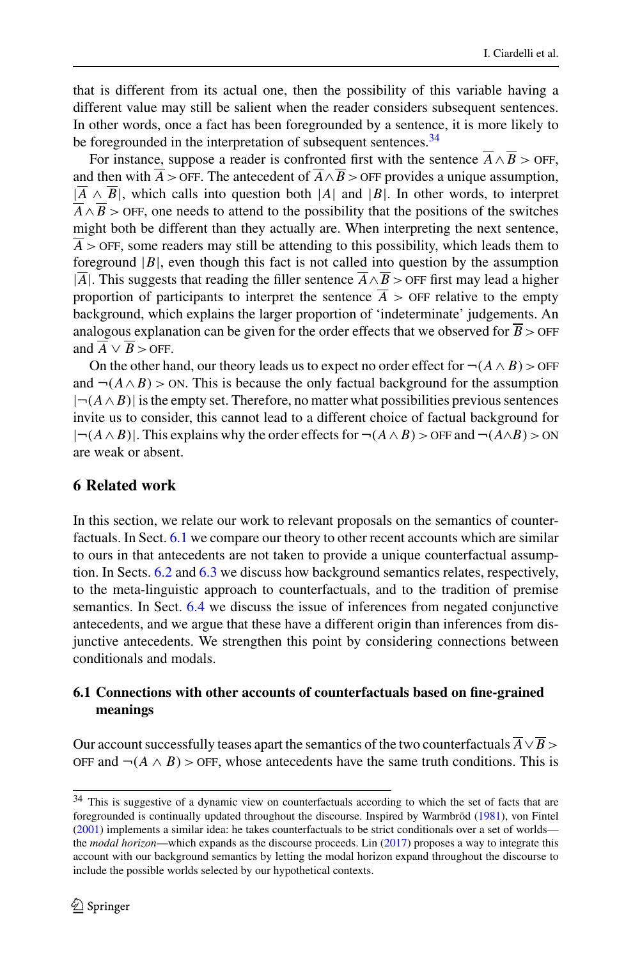that is different from its actual one, then the possibility of this variable having a different value may still be salient when the reader considers subsequent sentences. In other words, once a fact has been foregrounded by a sentence, it is more likely to be foregrounded in the interpretation of subsequent sentences.<sup>[34](#page-31-2)</sup>

For instance, suppose a reader is confronted first with the sentence  $\overline{A} \wedge \overline{B}$  > OFF, and then with  $\overline{A} >$  OFF. The antecedent of  $\overline{A} \wedge \overline{B} >$  OFF provides a unique assumption,  $|\overline{A} \wedge \overline{B}|$ , which calls into question both |*A*| and |*B*|. In other words, to interpret  $\overline{A} \wedge \overline{B}$  > OFF, one needs to attend to the possibility that the positions of the switches might both be different than they actually are. When interpreting the next sentence,  $\overline{A}$  > OFF, some readers may still be attending to this possibility, which leads them to foreground  $|B|$ , even though this fact is not called into question by the assumption  $|\overline{A}|$ . This suggests that reading the filler sentence  $\overline{A} \wedge \overline{B}$  > OFF first may lead a higher proportion of participants to interpret the sentence  $\overline{A}$  > OFF relative to the empty background, which explains the larger proportion of 'indeterminate' judgements. An analogous explanation can be given for the order effects that we observed for  $\overline{B}$  > OFF and  $\overline{A} \vee \overline{B} >$  OFF.

On the other hand, our theory leads us to expect no order effect for  $\neg (A \wedge B)$  > OFF and  $\neg(A \land B)$  > ON. This is because the only factual background for the assumption  $|\neg(A \land B)|$  is the empty set. Therefore, no matter what possibilities previous sentences invite us to consider, this cannot lead to a different choice of factual background for  $|\neg(A \land B)|$ . This explains why the order effects for  $\neg(A \land B) >$  OFF and  $\neg(A \land B) >$  ON are weak or absent.

# <span id="page-31-1"></span>**6 Related work**

In this section, we relate our work to relevant proposals on the semantics of counterfactuals. In Sect. [6.1](#page-31-0) we compare our theory to other recent accounts which are similar to ours in that antecedents are not taken to provide a unique counterfactual assumption. In Sects. [6.2](#page-33-0) and [6.3](#page-34-0) we discuss how background semantics relates, respectively, to the meta-linguistic approach to counterfactuals, and to the tradition of premise semantics. In Sect. [6.4](#page-36-0) we discuss the issue of inferences from negated conjunctive antecedents, and we argue that these have a different origin than inferences from disjunctive antecedents. We strengthen this point by considering connections between conditionals and modals.

# <span id="page-31-0"></span>**6.1 Connections with other accounts of counterfactuals based on fine-grained meanings**

Our account successfully teases apart the semantics of the two counterfactuals  $\overline{A} \vee \overline{B}$  > OFF and  $\neg$ (*A* ∧ *B*) > OFF, whose antecedents have the same truth conditions. This is

<span id="page-31-2"></span><sup>34</sup> This is suggestive of a dynamic view on counterfactuals according to which the set of facts that are foregroun[d](#page-44-6)ed is continually updated throughout the discourse. Inspired by Warmbrod [\(1981](#page-44-6)), von Finte[l](#page-44-7) [\(2001](#page-44-7)) implements a similar idea: he takes counterfactuals to be strict conditionals over a set of worlds the *modal horizon*—which expands as the discourse proceeds. Li[n](#page-43-19) [\(2017\)](#page-43-19) proposes a way to integrate this account with our background semantics by letting the modal horizon expand throughout the discourse to include the possible worlds selected by our hypothetical contexts.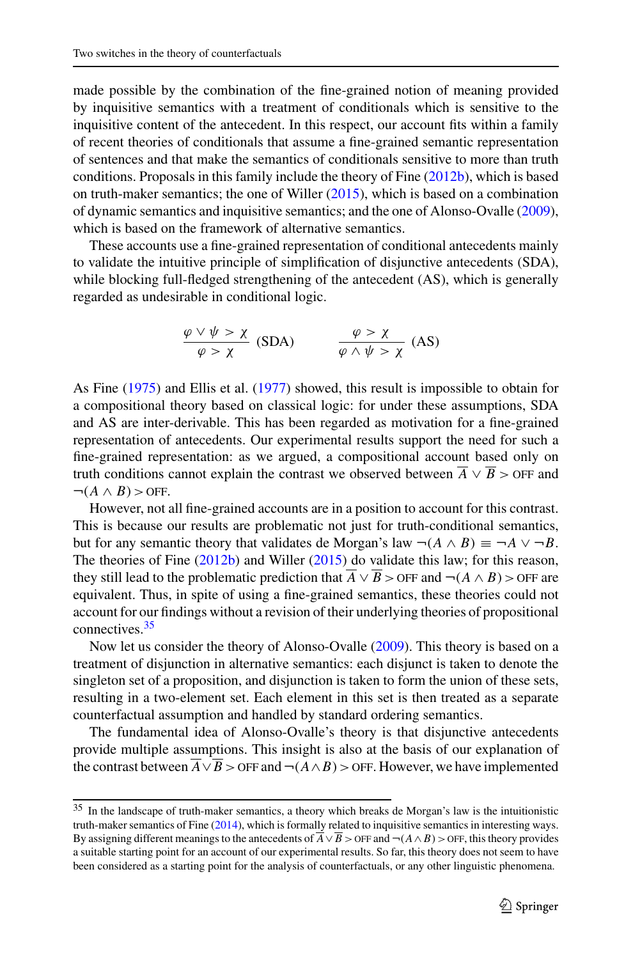made possible by the combination of the fine-grained notion of meaning provided by inquisitive semantics with a treatment of conditionals which is sensitive to the inquisitive content of the antecedent. In this respect, our account fits within a family of recent theories of conditionals that assume a fine-grained semantic representation of sentences and that make the semantics of conditionals sensitive to more than truth conditions. Proposals in this family include the theory of Fin[e](#page-42-19) [\(2012b\)](#page-42-19), which is based on truth-maker semantics; the one of Wille[r](#page-44-8) [\(2015\)](#page-44-8), which is based on a combination of dynamic semantics and inquisitive semantics; and the one of Alonso-Ovall[e](#page-41-2) [\(2009](#page-41-2)), which is based on the framework of alternative semantics.

These accounts use a fine-grained representation of conditional antecedents mainly to validate the intuitive principle of simplification of disjunctive antecedents (SDA), while blocking full-fledged strengthening of the antecedent (AS), which is generally regarded as undesirable in conditional logic.

$$
\frac{\varphi \lor \psi > \chi}{\varphi > \chi} \text{ (SDA)} \qquad \frac{\varphi > \chi}{\varphi \land \psi > \chi} \text{ (AS)}
$$

As Fin[e](#page-42-8) [\(1975](#page-42-8)) and Ellis et al[.](#page-42-20) [\(1977\)](#page-42-20) showed, this result is impossible to obtain for a compositional theory based on classical logic: for under these assumptions, SDA and AS are inter-derivable. This has been regarded as motivation for a fine-grained representation of antecedents. Our experimental results support the need for such a fine-grained representation: as we argued, a compositional account based only on truth conditions cannot explain the contrast we observed between  $\overline{A} \vee \overline{B}$  > OFF and  $\neg(A \land B) >$  OFF.

However, not all fine-grained accounts are in a position to account for this contrast. This is because our results are problematic not just for truth-conditional semantics, but for any semantic theory that validates de Morgan's law  $\neg(A \land B) \equiv \neg A \lor \neg B$ . The theories of Fin[e](#page-42-19) [\(2012b](#page-42-19)) and Wille[r](#page-44-8) [\(2015\)](#page-44-8) do validate this law; for this reason, they still lead to the problematic prediction that  $\overline{A} \vee \overline{B}$  > OFF and  $\neg (A \wedge B)$  > OFF are equivalent. Thus, in spite of using a fine-grained semantics, these theories could not account for our findings without a revision of their underlying theories of propositional connectives[.35](#page-32-0)

Now let us consider the theory of Alonso-Ovall[e](#page-41-2) [\(2009\)](#page-41-2). This theory is based on a treatment of disjunction in alternative semantics: each disjunct is taken to denote the singleton set of a proposition, and disjunction is taken to form the union of these sets, resulting in a two-element set. Each element in this set is then treated as a separate counterfactual assumption and handled by standard ordering semantics.

The fundamental idea of Alonso-Ovalle's theory is that disjunctive antecedents provide multiple assumptions. This insight is also at the basis of our explanation of the contrast between  $\overline{A} \vee \overline{B}$  > OFF and  $\neg$  ( $A \wedge B$ ) > OFF. However, we have implemented

<span id="page-32-0"></span><sup>35</sup> In the landscape of truth-maker semantics, a theory which breaks de Morgan's law is the intuitionistic truth-maker semantics of Fin[e](#page-42-21) [\(2014](#page-42-21)), which is formally related to inquisitive semantics in interesting ways. By assigning different meanings to the antecedents of  $\overline{A} \vee \overline{B} >$  OFF and  $\neg$  (*A*∧ *B*) > OFF, this theory provides a suitable starting point for an account of our experimental results. So far, this theory does not seem to have been considered as a starting point for the analysis of counterfactuals, or any other linguistic phenomena.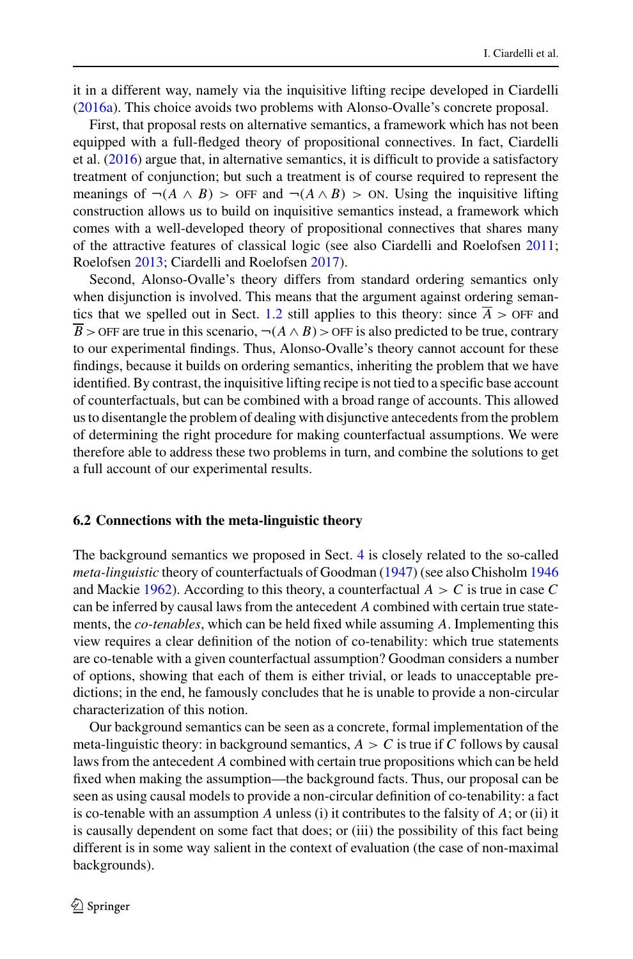it in a different way, namely via the inquisitive lifting recipe developed in Ciardell[i](#page-41-10) [\(2016a](#page-41-10)). This choice avoids two problems with Alonso-Ovalle's concrete proposal.

First, that proposal rests on alternative semantics, a framework which has not been equipped with a full-fledged theory of propositional connectives. In fact, Ciardelli et al[.](#page-42-22) [\(2016](#page-42-22)) argue that, in alternative semantics, it is difficult to provide a satisfactory treatment of conjunction; but such a treatment is of course required to represent the meanings of  $\neg(A \land B) >$  OFF and  $\neg(A \land B) >$  ON. Using the inquisitive lifting construction allows us to build on inquisitive semantics instead, a framework which comes with a well-developed theory of propositional connectives that shares many of the attractive features of classical logic (see also Ciardelli and Roelofse[n](#page-41-7) [2011](#page-41-7); Roelofse[n](#page-43-14) [2013;](#page-43-14) Ciardelli and Roelofse[n](#page-42-23) [2017\)](#page-42-23).

Second, Alonso-Ovalle's theory differs from standard ordering semantics only when disjunction is involved. This means that the argument against ordering seman-tics that we spelled out in Sect. [1.2](#page-4-1) still applies to this theory: since  $\overline{A} >$  OFF and  $\overline{B}$  > OFF are true in this scenario,  $\neg$  (*A*  $\land$  *B*) > OFF is also predicted to be true, contrary to our experimental findings. Thus, Alonso-Ovalle's theory cannot account for these findings, because it builds on ordering semantics, inheriting the problem that we have identified. By contrast, the inquisitive lifting recipe is not tied to a specific base account of counterfactuals, but can be combined with a broad range of accounts. This allowed us to disentangle the problem of dealing with disjunctive antecedents from the problem of determining the right procedure for making counterfactual assumptions. We were therefore able to address these two problems in turn, and combine the solutions to get a full account of our experimental results.

#### <span id="page-33-0"></span>**6.2 Connections with the meta-linguistic theory**

The background semantics we proposed in Sect. [4](#page-21-0) is closely related to the so-called *meta-linguistic* theory of counterfactuals of Goodma[n](#page-42-24) [\(1947\)](#page-42-24) (see also Chishol[m](#page-41-13) [1946](#page-41-13) and Macki[e](#page-43-20) [1962](#page-43-20)). According to this theory, a counterfactual  $A > C$  is true in case  $C$ can be inferred by causal laws from the antecedent *A* combined with certain true statements, the *co-tenables*, which can be held fixed while assuming *A*. Implementing this view requires a clear definition of the notion of co-tenability: which true statements are co-tenable with a given counterfactual assumption? Goodman considers a number of options, showing that each of them is either trivial, or leads to unacceptable predictions; in the end, he famously concludes that he is unable to provide a non-circular characterization of this notion.

Our background semantics can be seen as a concrete, formal implementation of the meta-linguistic theory: in background semantics,  $A > C$  is true if C follows by causal laws from the antecedent *A* combined with certain true propositions which can be held fixed when making the assumption—the background facts. Thus, our proposal can be seen as using causal models to provide a non-circular definition of co-tenability: a fact is co-tenable with an assumption *A* unless (i) it contributes to the falsity of *A*; or (ii) it is causally dependent on some fact that does; or (iii) the possibility of this fact being different is in some way salient in the context of evaluation (the case of non-maximal backgrounds).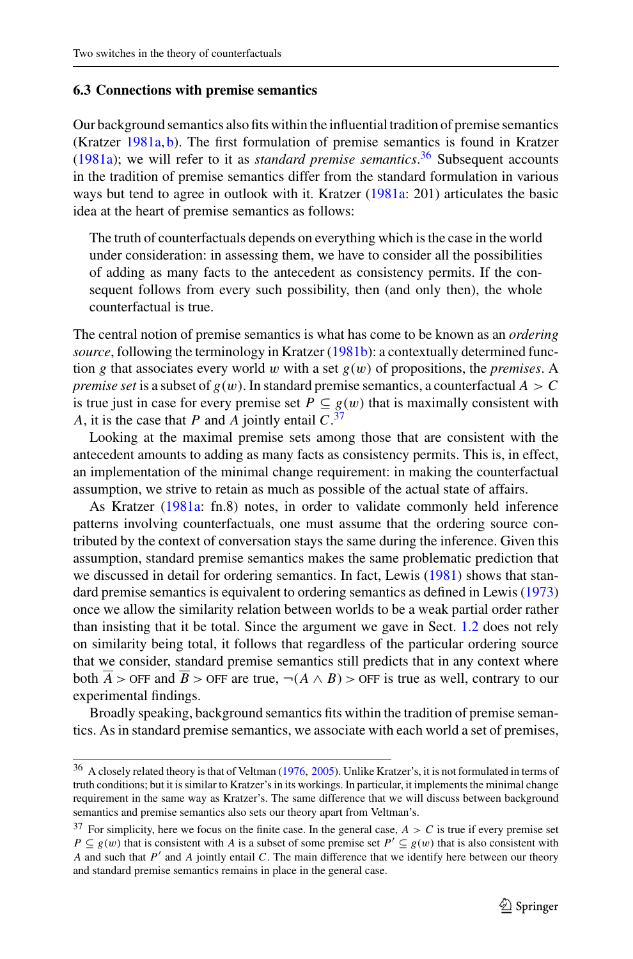#### <span id="page-34-0"></span>**6.3 Connections with premise semantics**

Our background semantics also fits within the influential tradition of premise semantics (Kratze[r](#page-42-7) [1981a,](#page-42-7) [b\)](#page-42-9). The first formulation of premise semantics is found in Kratze[r](#page-42-7) [\(1981a](#page-42-7)); we will refer to it as *standard premise semantics*. [36](#page-34-1) Subsequent accounts in the tradition of premise semantics differ from the standard formulation in various ways but tend to agree in outlook with it. Kratzer [\(1981a](#page-42-7): 201) articulates the basic idea at the heart of premise semantics as follows:

The truth of counterfactuals depends on everything which is the case in the world under consideration: in assessing them, we have to consider all the possibilities of adding as many facts to the antecedent as consistency permits. If the consequent follows from every such possibility, then (and only then), the whole counterfactual is true.

The central notion of premise semantics is what has come to be known as an *ordering source*, following the terminology in Kratze[r](#page-42-9) [\(1981b](#page-42-9)): a contextually determined function *g* that associates every world w with a set  $g(w)$  of propositions, the *premises*. A *premise set* is a subset of  $g(w)$ . In standard premise semantics, a counterfactual  $A > C$ is true just in case for every premise set  $P \subseteq g(w)$  that is maximally consistent with *A*, it is the case that *P* and *A* jointly entail *C*. [37](#page-34-2)

Looking at the maximal premise sets among those that are consistent with the antecedent amounts to adding as many facts as consistency permits. This is, in effect, an implementation of the minimal change requirement: in making the counterfactual assumption, we strive to retain as much as possible of the actual state of affairs.

As Kratzer [\(1981a](#page-42-7): fn.8) notes, in order to validate commonly held inference patterns involving counterfactuals, one must assume that the ordering source contributed by the context of conversation stays the same during the inference. Given this assumption, standard premise semantics makes the same problematic prediction that we di[s](#page-43-21)cussed in detail for ordering semantics. In fact, Lewis [\(1981\)](#page-43-21) shows that standard premise semantics is equivalent to ordering semantics as defined in Lewi[s](#page-43-3) [\(1973\)](#page-43-3) once we allow the similarity relation between worlds to be a weak partial order rather than insisting that it be total. Since the argument we gave in Sect. [1.2](#page-4-1) does not rely on similarity being total, it follows that regardless of the particular ordering source that we consider, standard premise semantics still predicts that in any context where both  $\overline{A}$  > OFF and  $\overline{B}$  > OFF are true,  $\neg(A \wedge B)$  > OFF is true as well, contrary to our experimental findings.

Broadly speaking, background semantics fits within the tradition of premise semantics. As in standard premise semantics, we associate with each world a set of premises,

<span id="page-34-1"></span><sup>&</sup>lt;sup>36</sup> A closely related theory is that of Veltma[n](#page-44-9) [\(1976,](#page-44-9) [2005](#page-44-1)). Unlike Kratzer's, it is not formulated in terms of truth conditions; but it is similar to Kratzer's in its workings. In particular, it implements the minimal change requirement in the same way as Kratzer's. The same difference that we will discuss between background semantics and premise semantics also sets our theory apart from Veltman's.

<span id="page-34-2"></span> $37$  For simplicity, here we focus on the finite case. In the general case,  $A > C$  is true if every premise set *P* ⊆ *g*(*w*) that is consistent with *A* is a subset of some premise set *P*<sup> $\prime$ </sup> ⊆ *g*(*w*) that is also consistent with *A* and such that *P'* and *A* jointly entail *C*. The main difference that we identify here between our theory and standard premise semantics remains in place in the general case.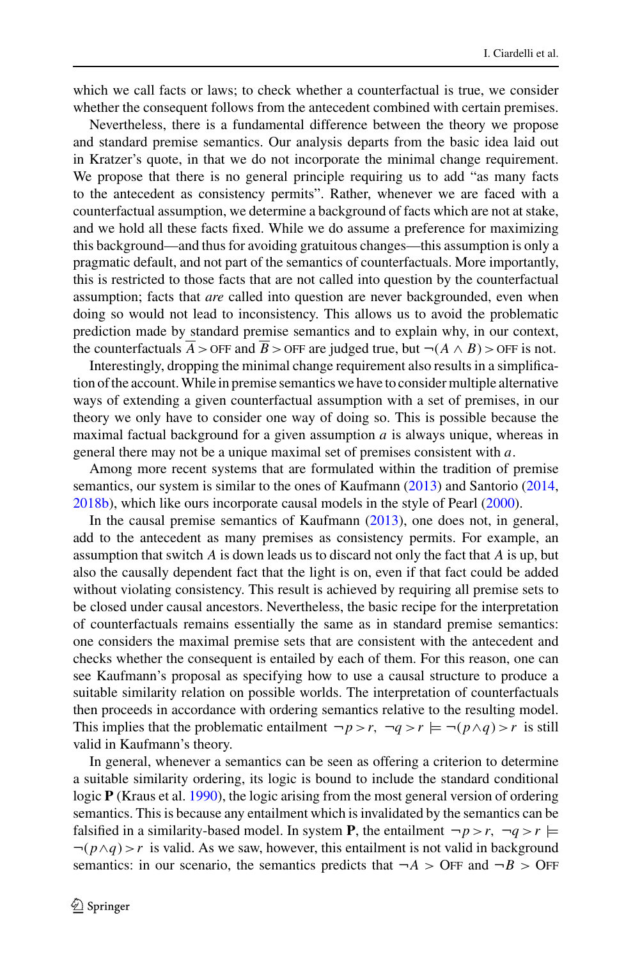which we call facts or laws; to check whether a counterfactual is true, we consider whether the consequent follows from the antecedent combined with certain premises.

Nevertheless, there is a fundamental difference between the theory we propose and standard premise semantics. Our analysis departs from the basic idea laid out in Kratzer's quote, in that we do not incorporate the minimal change requirement. We propose that there is no general principle requiring us to add "as many facts to the antecedent as consistency permits". Rather, whenever we are faced with a counterfactual assumption, we determine a background of facts which are not at stake, and we hold all these facts fixed. While we do assume a preference for maximizing this background—and thus for avoiding gratuitous changes—this assumption is only a pragmatic default, and not part of the semantics of counterfactuals. More importantly, this is restricted to those facts that are not called into question by the counterfactual assumption; facts that *are* called into question are never backgrounded, even when doing so would not lead to inconsistency. This allows us to avoid the problematic prediction made by standard premise semantics and to explain why, in our context, the counterfactuals  $\overline{A}$  > OFF and  $\overline{B}$  > OFF are judged true, but  $\neg(A \land B)$  > OFF is not.

Interestingly, dropping the minimal change requirement also results in a simplification of the account.While in premise semantics we have to consider multiple alternative ways of extending a given counterfactual assumption with a set of premises, in our theory we only have to consider one way of doing so. This is possible because the maximal factual background for a given assumption *a* is always unique, whereas in general there may not be a unique maximal set of premises consistent with *a*.

Among more recent systems that are formulated within the tradition of premise semantics, our system is similar to the ones of Kaufman[n](#page-42-16) [\(2013\)](#page-42-16) and Santori[o](#page-43-15) [\(2014,](#page-43-15) [2018b\)](#page-43-16), which like ours incorporate causal models in the style of Pear[l](#page-43-5) [\(2000](#page-43-5)).

In the causal premise semantics of Kaufman[n](#page-42-16) [\(2013\)](#page-42-16), one does not, in general, add to the antecedent as many premises as consistency permits. For example, an assumption that switch *A* is down leads us to discard not only the fact that *A* is up, but also the causally dependent fact that the light is on, even if that fact could be added without violating consistency. This result is achieved by requiring all premise sets to be closed under causal ancestors. Nevertheless, the basic recipe for the interpretation of counterfactuals remains essentially the same as in standard premise semantics: one considers the maximal premise sets that are consistent with the antecedent and checks whether the consequent is entailed by each of them. For this reason, one can see Kaufmann's proposal as specifying how to use a causal structure to produce a suitable similarity relation on possible worlds. The interpretation of counterfactuals then proceeds in accordance with ordering semantics relative to the resulting model. This implies that the problematic entailment  $\neg p > r$ ,  $\neg q > r$   $\models \neg (p \land q) > r$  is still valid in Kaufmann's theory.

In general, whenever a semantics can be seen as offering a criterion to determine a suitable similarity ordering, its logic is bound to include the standard conditional logic **P** (Kraus et al[.](#page-43-22) [1990](#page-43-22)), the logic arising from the most general version of ordering semantics. This is because any entailment which is invalidated by the semantics can be falsified in a similarity-based model. In system **P**, the entailment  $\neg p > r$ ,  $\neg q > r$   $\models$  $\neg(p \land q) > r$  is valid. As we saw, however, this entailment is not valid in background semantics: in our scenario, the semantics predicts that  $\neg A >$  OFF and  $\neg B >$  OFF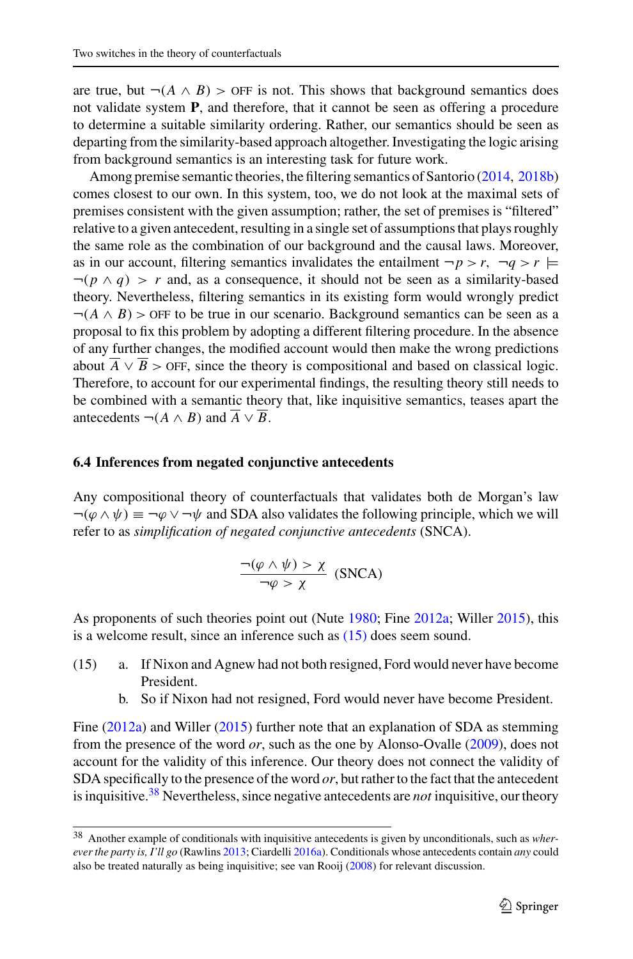are true, but  $\neg(A \land B) >$  OFF is not. This shows that background semantics does not validate system **P**, and therefore, that it cannot be seen as offering a procedure to determine a suitable similarity ordering. Rather, our semantics should be seen as departing from the similarity-based approach altogether. Investigating the logic arising from background semantics is an interesting task for future work.

Among premise semantic theories, the filtering semantics of Santori[o](#page-43-15) [\(2014](#page-43-15), [2018b\)](#page-43-16) comes closest to our own. In this system, too, we do not look at the maximal sets of premises consistent with the given assumption; rather, the set of premises is "filtered" relative to a given antecedent, resulting in a single set of assumptions that plays roughly the same role as the combination of our background and the causal laws. Moreover, as in our account, filtering semantics invalidates the entailment  $\neg p > r$ ,  $\neg q > r$  $\neg(p \land q) > r$  and, as a consequence, it should not be seen as a similarity-based theory. Nevertheless, filtering semantics in its existing form would wrongly predict  $\neg(A \land B)$  > OFF to be true in our scenario. Background semantics can be seen as a proposal to fix this problem by adopting a different filtering procedure. In the absence of any further changes, the modified account would then make the wrong predictions about  $\overline{A} \vee \overline{B}$  > OFF, since the theory is compositional and based on classical logic. Therefore, to account for our experimental findings, the resulting theory still needs to be combined with a semantic theory that, like inquisitive semantics, teases apart the antecedents  $\neg(A \land B)$  and  $\overline{A} \lor \overline{B}$ .

### <span id="page-36-0"></span>**6.4 Inferences from negated conjunctive antecedents**

Any compositional theory of counterfactuals that validates both de Morgan's law  $\neg(\varphi \land \psi) \equiv \neg \varphi \lor \neg \psi$  and SDA also validates the following principle, which we will refer to as *simplification of negated conjunctive antecedents* (SNCA).

$$
\frac{\neg(\varphi \land \psi) > \chi}{\neg \varphi > \chi} \text{ (SNCA)}
$$

<span id="page-36-1"></span>As propon[e](#page-42-3)nts of such theories point out (Nute [1980;](#page-43-23) Fine [2012a;](#page-42-3) Wille[r](#page-44-8) [2015](#page-44-8)), this is a welcome result, since an inference such as [\(15\)](#page-36-1) does seem sound.

- (15) a. If Nixon and Agnew had not both resigned, Ford would never have become President.
	- b. So if Nixon had not resigned, Ford would never have become President.

Fin[e](#page-42-3) [\(2012a\)](#page-42-3) and Wille[r](#page-44-8) [\(2015](#page-44-8)) further note that an explanation of SDA as stemming from the presence of the word *or*, such as the one by Alonso-Ovall[e](#page-41-2) [\(2009](#page-41-2)), does not account for the validity of this inference. Our theory does not connect the validity of SDA specifically to the presence of the word *or*, but rather to the fact that the antecedent is inquisitive[.38](#page-36-2) Nevertheless, since negative antecedents are *not* inquisitive, our theory

<span id="page-36-2"></span><sup>38</sup> Another example of conditionals with inquisitive antecedents is given by unconditionals, such as *wherever the party is, I'll go* (Rawlin[s](#page-43-24) [2013;](#page-43-24) Ciardell[i](#page-41-10) [2016a](#page-41-10)). Conditionals whose antecedents contain *any* could also be treated naturally as being inquisitive; see van Rooi[j](#page-44-10) [\(2008\)](#page-44-10) for relevant discussion.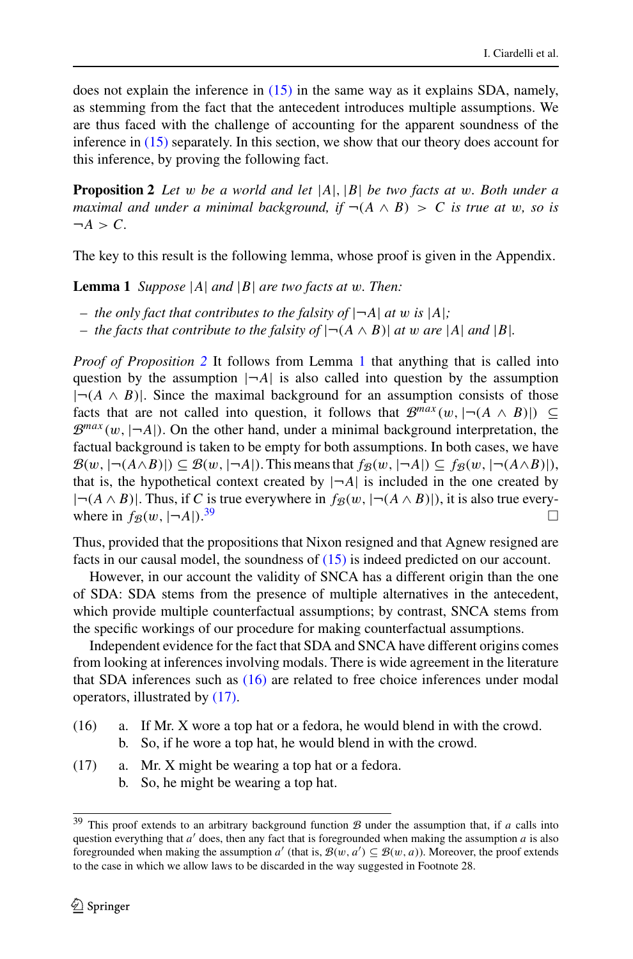does not explain the inference in  $(15)$  in the same way as it explains SDA, namely, as stemming from the fact that the antecedent introduces multiple assumptions. We are thus faced with the challenge of accounting for the apparent soundness of the inference in [\(15\)](#page-36-1) separately. In this section, we show that our theory does account for this inference, by proving the following fact.

<span id="page-37-0"></span>**Proposition 2** *Let* w *be a world and let* |*A*|, |*B*| *be two facts at* w*. Both under a maximal and under a minimal background, if*  $\neg(A \wedge B) > C$  *is true at w, so is*  $\neg A > C$ .

<span id="page-37-1"></span>The key to this result is the following lemma, whose proof is given in the Appendix.

**Lemma 1** *Suppose* |*A*| *and* |*B*| *are two facts at* w*. Then:*

- *the only fact that contributes to the falsity of*  $|\neg A|$  *at w is*  $|A|$ ;
- *− the facts that contribute to the falsity of*  $|¬(A ∧ B)|$  *at* w *are*  $|A|$  *and*  $|B|$ *.*

*Proof of Proposition [2](#page-37-0)* It follows from Lemma [1](#page-37-1) that anything that is called into question by the assumption  $|\neg A|$  is also called into question by the assumption  $|\neg(A \land B)|$ . Since the maximal background for an assumption consists of those facts that are not called into question, it follows that  $\mathcal{B}^{max}(w, |\neg(A \land B)|) \subset$  $B^{max}(w, |\neg A|)$ . On the other hand, under a minimal background interpretation, the factual background is taken to be empty for both assumptions. In both cases, we have  $\mathcal{B}(w, |\neg(A \land B)|) \subseteq \mathcal{B}(w, |\neg A|)$ . This means that  $f_{\mathcal{B}}(w, |\neg A|) \subseteq f_{\mathcal{B}}(w, |\neg(A \land B)|)$ , that is, the hypothetical context created by  $|\neg A|$  is included in the one created by  $|\neg(A \land B)|$ . Thus, if *C* is true everywhere in *f<sub>B</sub>*(w,  $|\neg(A \land B)|$ ), it is also true everywhere in *f<sub>B</sub>*(w,  $|\neg(A \land B)|$ ). where in  $f_{\mathcal{B}}(w, |\neg A|)$ .<sup>39</sup>  $\overline{39}$  $\overline{39}$  $\overline{39}$ 

Thus, provided that the propositions that Nixon resigned and that Agnew resigned are facts in our causal model, the soundness of [\(15\)](#page-36-1) is indeed predicted on our account.

However, in our account the validity of SNCA has a different origin than the one of SDA: SDA stems from the presence of multiple alternatives in the antecedent, which provide multiple counterfactual assumptions; by contrast, SNCA stems from the specific workings of our procedure for making counterfactual assumptions.

Independent evidence for the fact that SDA and SNCA have different origins comes from looking at inferences involving modals. There is wide agreement in the literature that SDA inferences such as [\(16\)](#page-37-3) are related to free choice inferences under modal operators, illustrated by [\(17\).](#page-37-4)

- <span id="page-37-4"></span><span id="page-37-3"></span>(16) a. If Mr. X wore a top hat or a fedora, he would blend in with the crowd. b. So, if he wore a top hat, he would blend in with the crowd.
- (17) a. Mr. X might be wearing a top hat or a fedora.
	- b. So, he might be wearing a top hat.

<span id="page-37-2"></span> $39$  This proof extends to an arbitrary background function  $B$  under the assumption that, if  $a$  calls into question everything that  $a'$  does, then any fact that is foregrounded when making the assumption  $a$  is also foregrounded when making the assumption *a'* (that is,  $\mathcal{B}(w, a') \subseteq \mathcal{B}(w, a)$ ). Moreover, the proof extends to the case in which we allow laws to be discarded in the way suggested in Footnote 28.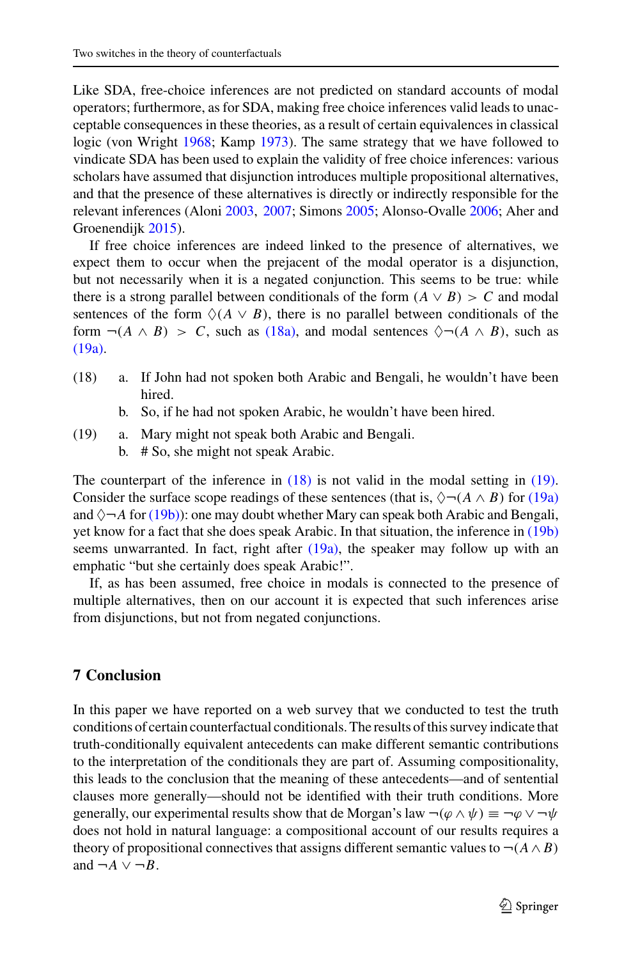Like SDA, free-choice inferences are not predicted on standard accounts of modal operators; furthermore, as for SDA, making free choice inferences valid leads to unacceptable consequences in these theories, as a result of certain equivalences in classical logic (von Wrigh[t](#page-44-11) [1968;](#page-44-11) Kam[p](#page-42-25) [1973](#page-42-25)). The same strategy that we have followed to vindicate SDA has been used to explain the validity of free choice inferences: various scholars have assumed that disjunction introduces multiple propositional alternatives, and that the presence of these alternatives is directly or indirectly responsible for the relevant inferences (Alon[i](#page-41-14) [2003](#page-41-14), [2007;](#page-41-15) Simon[s](#page-43-25) [2005](#page-43-25); Alonso-Ovall[e](#page-41-1) [2006](#page-41-1); Aher and Groenendij[k](#page-41-9) [2015\)](#page-41-9).

If free choice inferences are indeed linked to the presence of alternatives, we expect them to occur when the prejacent of the modal operator is a disjunction, but not necessarily when it is a negated conjunction. This seems to be true: while there is a strong parallel between conditionals of the form  $(A \vee B) > C$  and modal sentences of the form  $\Diamond$ ( $A \lor B$ ), there is no parallel between conditionals of the form  $\neg(A \land B) > C$ , such as [\(18a\),](#page-38-1) and modal sentences  $\Diamond \neg(A \land B)$ , such as [\(19a\).](#page-38-2)

- <span id="page-38-3"></span><span id="page-38-1"></span>(18) a. If John had not spoken both Arabic and Bengali, he wouldn't have been hired.
	- b. So, if he had not spoken Arabic, he wouldn't have been hired.
- <span id="page-38-5"></span><span id="page-38-4"></span><span id="page-38-2"></span>(19) a. Mary might not speak both Arabic and Bengali.
	- b. # So, she might not speak Arabic.

The counterpart of the inference in [\(18\)](#page-38-3) is not valid in the modal setting in [\(19\).](#page-38-4) Consider the surface scope readings of these sentences (that is,  $\Diamond \neg (A \land B)$  for [\(19a\)](#page-38-2) and  $\Diamond \neg A$  for [\(19b\)\)](#page-38-5): one may doubt whether Mary can speak both Arabic and Bengali, yet know for a fact that she does speak Arabic. In that situation, the inference in [\(19b\)](#page-38-5) seems unwarranted. In fact, right after  $(19a)$ , the speaker may follow up with an emphatic "but she certainly does speak Arabic!".

If, as has been assumed, free choice in modals is connected to the presence of multiple alternatives, then on our account it is expected that such inferences arise from disjunctions, but not from negated conjunctions.

# <span id="page-38-0"></span>**7 Conclusion**

In this paper we have reported on a web survey that we conducted to test the truth conditions of certain counterfactual conditionals. The results of this survey indicate that truth-conditionally equivalent antecedents can make different semantic contributions to the interpretation of the conditionals they are part of. Assuming compositionality, this leads to the conclusion that the meaning of these antecedents—and of sentential clauses more generally—should not be identified with their truth conditions. More generally, our experimental results show that de Morgan's law  $\neg(\varphi \land \psi) \equiv \neg \varphi \lor \neg \psi$ does not hold in natural language: a compositional account of our results requires a theory of propositional connectives that assigns different semantic values to  $\neg(A \land B)$ and  $\neg A \lor \neg B$ .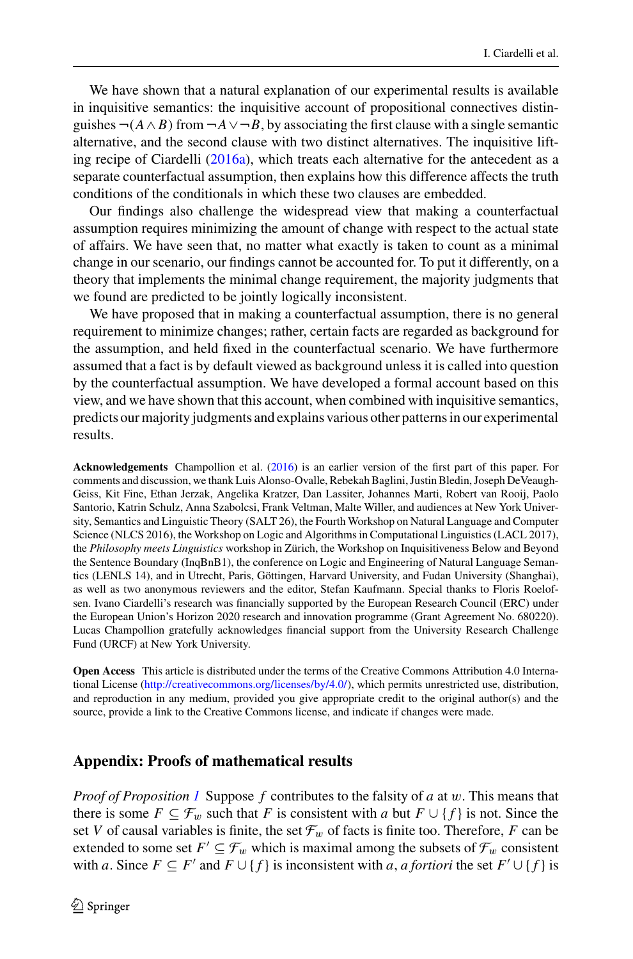We have shown that a natural explanation of our experimental results is available in inquisitive semantics: the inquisitive account of propositional connectives distinguishes  $\neg$ (*A*∧*B*) from  $\neg$ *A*  $\vee$   $\neg$ *B*, by associating the first clause with a single semantic alternative, and the second clause with two distinct alternatives. The inquisitive lifting recipe of Ciardell[i](#page-41-10) [\(2016a\)](#page-41-10), which treats each alternative for the antecedent as a separate counterfactual assumption, then explains how this difference affects the truth conditions of the conditionals in which these two clauses are embedded.

Our findings also challenge the widespread view that making a counterfactual assumption requires minimizing the amount of change with respect to the actual state of affairs. We have seen that, no matter what exactly is taken to count as a minimal change in our scenario, our findings cannot be accounted for. To put it differently, on a theory that implements the minimal change requirement, the majority judgments that we found are predicted to be jointly logically inconsistent.

We have proposed that in making a counterfactual assumption, there is no general requirement to minimize changes; rather, certain facts are regarded as background for the assumption, and held fixed in the counterfactual scenario. We have furthermore assumed that a fact is by default viewed as background unless it is called into question by the counterfactual assumption. We have developed a formal account based on this view, and we have shown that this account, when combined with inquisitive semantics, predicts our majority judgments and explains various other patterns in our experimental results.

**Acknowledgements** Champollion et al[.](#page-41-16) [\(2016](#page-41-16)) is an earlier version of the first part of this paper. For comments and discussion, we thank Luis Alonso-Ovalle, Rebekah Baglini, Justin Bledin, Joseph DeVeaugh-Geiss, Kit Fine, Ethan Jerzak, Angelika Kratzer, Dan Lassiter, Johannes Marti, Robert van Rooij, Paolo Santorio, Katrin Schulz, Anna Szabolcsi, Frank Veltman, Malte Willer, and audiences at New York University, Semantics and Linguistic Theory (SALT 26), the Fourth Workshop on Natural Language and Computer Science (NLCS 2016), the Workshop on Logic and Algorithms in Computational Linguistics (LACL 2017), the *Philosophy meets Linguistics* workshop in Zürich, the Workshop on Inquisitiveness Below and Beyond the Sentence Boundary (InqBnB1), the conference on Logic and Engineering of Natural Language Semantics (LENLS 14), and in Utrecht, Paris, Göttingen, Harvard University, and Fudan University (Shanghai), as well as two anonymous reviewers and the editor, Stefan Kaufmann. Special thanks to Floris Roelofsen. Ivano Ciardelli's research was financially supported by the European Research Council (ERC) under the European Union's Horizon 2020 research and innovation programme (Grant Agreement No. 680220). Lucas Champollion gratefully acknowledges financial support from the University Research Challenge Fund (URCF) at New York University.

**Open Access** This article is distributed under the terms of the Creative Commons Attribution 4.0 International License [\(http://creativecommons.org/licenses/by/4.0/\)](http://creativecommons.org/licenses/by/4.0/), which permits unrestricted use, distribution, and reproduction in any medium, provided you give appropriate credit to the original author(s) and the source, provide a link to the Creative Commons license, and indicate if changes were made.

# **Appendix: Proofs of mathematical results**

*Proof of Proposition [1](#page-25-3)* Suppose *f* contributes to the falsity of *a* at w. This means that there is some  $F \subseteq \mathcal{F}_w$  such that *F* is consistent with *a* but  $F \cup \{f\}$  is not. Since the set *V* of causal variables is finite, the set  $\mathcal{F}_w$  of facts is finite too. Therefore, *F* can be extended to some set  $F' \subseteq \mathcal{F}_w$  which is maximal among the subsets of  $\mathcal{F}_w$  consistent with *a*. Since  $F \subseteq F'$  and  $F \cup \{f\}$  is inconsistent with *a*, *a fortiori* the set  $F' \cup \{f\}$  is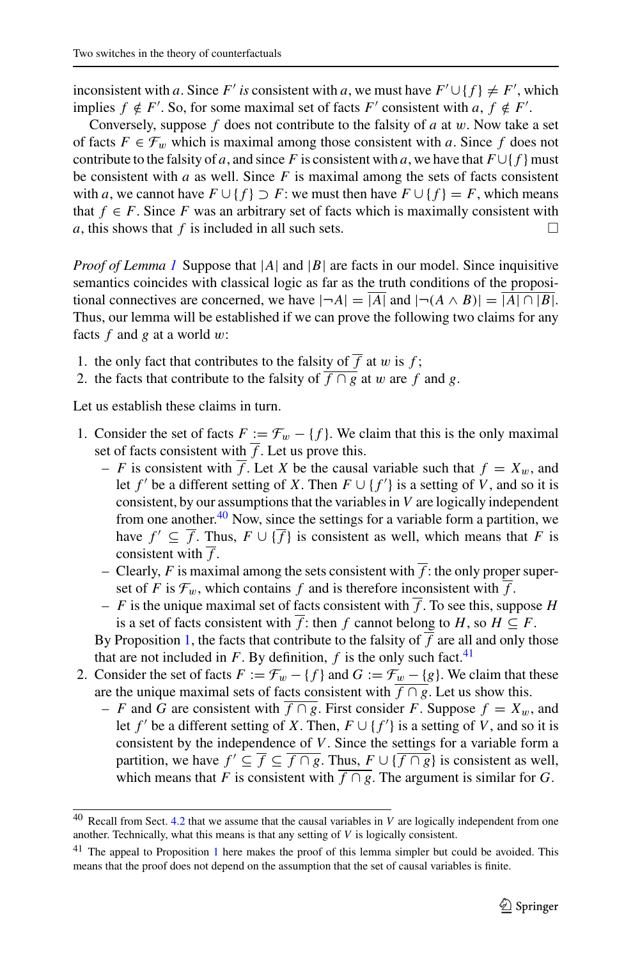inconsistent with *a*. Since *F'* is consistent with *a*, we must have  $F' \cup \{f\} \neq F'$ , which implies  $f \notin F'$ . So, for some maximal set of facts  $F'$  consistent with  $a, f \notin F'$ .

Conversely, suppose *f* does not contribute to the falsity of *a* at w. Now take a set of facts  $F \in \mathcal{F}_w$  which is maximal among those consistent with *a*. Since f does not contribute to the falsity of *a*, and since *F* is consistent with *a*, we have that  $F \cup \{f\}$  must be consistent with *a* as well. Since *F* is maximal among the sets of facts consistent with *a*, we cannot have  $F \cup \{f\} \supset F$ : we must then have  $F \cup \{f\} = F$ , which means that *f* ∈ *F*. Since *F* was an arbitrary set of facts which is maximally consistent with *a*, this shows that *f* is included in all such sets. *a*, this shows that *f* is included in all such sets.

*Proof of Lemma [1](#page-37-1)* Suppose that |*A*| and |*B*| are facts in our model. Since inquisitive semantics coincides with classical logic as far as the truth conditions of the propositional connectives are concerned, we have  $|\neg A| = |A|$  and  $|\neg (A \wedge B)| = |A| \cap |B|$ . Thus, our lemma will be established if we can prove the following two claims for any facts *f* and *g* at a world w:

- 1. the only fact that contributes to the falsity of  $\overline{f}$  at w is f;
- 2. the facts that contribute to the falsity of  $\overline{f \cap g}$  at w are f and g.

Let us establish these claims in turn.

- 1. Consider the set of facts  $F := \mathcal{F}_w \{f\}$ . We claim that this is the only maximal set of facts consistent with  $\overline{f}$ . Let us prove this.
	- *F* is consistent with  $\overline{f}$ . Let *X* be the causal variable such that  $f = X_w$ , and let *f'* be a different setting of *X*. Then  $F \cup \{f'\}$  is a setting of *V*, and so it is consistent, by our assumptions that the variables in *V* are logically independent from one another.[40](#page-40-0) Now, since the settings for a variable form a partition, we have  $f' \subseteq \overline{f}$ . Thus,  $F \cup \{\overline{f}\}\$ is consistent as well, which means that *F* is consistent with  $\overline{f}$ .
	- Clearly, F is maximal among the sets consistent with  $\overline{f}$ : the only proper superset of *F* is  $\mathcal{F}_w$ , which contains *f* and is therefore inconsistent with  $\overline{f}$ .
	- $-$  *F* is the unique maximal set of facts consistent with  $\overline{f}$ . To see this, suppose *H* is a set of facts consistent with  $\overline{f}$ : then  $f$  cannot belong to  $H$ , so  $H \subseteq F$ .

By Proposition [1,](#page-25-3) the facts that contribute to the falsity of  $\overline{f}$  are all and only those that are not included in  $F$ . By definition,  $f$  is the only such fact.<sup>[41](#page-40-1)</sup>

- 2. Consider the set of facts  $F := \mathcal{F}_w \{f\}$  and  $G := \mathcal{F}_w \{g\}$ . We claim that these are the unique maximal sets of facts consistent with  $\overline{f \cap g}$ . Let us show this.
	- *F* and *G* are consistent with *f* ∩ *g*. First consider *F*. Suppose *f* = *X*w, and let *f'* be a different setting of *X*. Then,  $F \cup \{f'\}$  is a setting of *V*, and so it is consistent by the independence of *V*. Since the settings for a variable form a partition, we have  $f' \subseteq \overline{f} \subseteq \overline{f \cap g}$ . Thus,  $F \cup \{\overline{f \cap g}\}$  is consistent as well, which means that *F* is consistent with  $\overline{f \cap g}$ . The argument is similar for *G*.

<span id="page-40-0"></span><sup>40</sup> Recall from Sect. [4.2](#page-23-0) that we assume that the causal variables in *V* are logically independent from one another. Technically, what this means is that any setting of *V* is logically consistent.

<span id="page-40-1"></span><sup>&</sup>lt;sup>4[1](#page-25-3)</sup> The appeal to Proposition 1 here makes the proof of this lemma simpler but could be avoided. This means that the proof does not depend on the assumption that the set of causal variables is finite.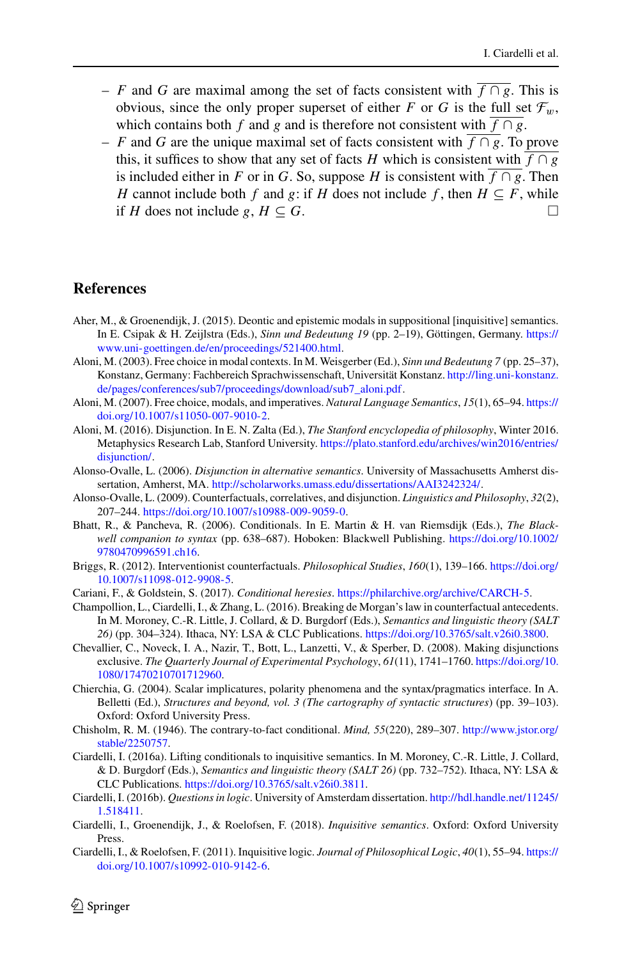- $-$  *F* and *G* are maximal among the set of facts consistent with  $\overline{f \cap g}$ . This is obvious, since the only proper superset of either *F* or *G* is the full set  $\mathcal{F}_w$ , which contains both *f* and *g* and is therefore not consistent with  $\overline{f \cap g}$ .
- *F* and *G* are the unique maximal set of facts consistent with *f* ∩ *g*. To prove this, it suffices to show that any set of facts *H* which is consistent with  $\overline{f \cap g}$ is included either in *F* or in *G*. So, suppose *H* is consistent with  $\overline{f \cap g}$ . Then *H* cannot include both *f* and *g*: if *H* does not include *f*, then  $H \subseteq F$ , while if *H* does not include *g*,  $H \subseteq G$ .

### **References**

- <span id="page-41-9"></span>Aher, M., & Groenendijk, J. (2015). Deontic and epistemic modals in suppositional [inquisitive] semantics. In E. Csipak & H. Zeijlstra (Eds.), *Sinn und Bedeutung 19* (pp. 2–19), Göttingen, Germany. [https://](https://www.uni-goettingen.de/en/proceedings/521400.html) [www.uni-goettingen.de/en/proceedings/521400.html.](https://www.uni-goettingen.de/en/proceedings/521400.html)
- <span id="page-41-14"></span>Aloni, M. (2003). Free choice in modal contexts. In M. Weisgerber (Ed.), *Sinn und Bedeutung 7* (pp. 25–37), Konstanz, Germany: Fachbereich Sprachwissenschaft, Universität Konstanz. [http://ling.uni-konstanz.](http://ling.uni-konstanz.de/pages/conferences/sub7/proceedings/download/sub7_aloni.pdf) [de/pages/conferences/sub7/proceedings/download/sub7\\_aloni.pdf.](http://ling.uni-konstanz.de/pages/conferences/sub7/proceedings/download/sub7_aloni.pdf)
- <span id="page-41-15"></span>Aloni, M. (2007). Free choice, modals, and imperatives. *Natural Language Semantics*, *15*(1), 65–94. [https://](https://doi.org/10.1007/s11050-007-9010-2) [doi.org/10.1007/s11050-007-9010-2.](https://doi.org/10.1007/s11050-007-9010-2)
- <span id="page-41-5"></span>Aloni, M. (2016). Disjunction. In E. N. Zalta (Ed.), *The Stanford encyclopedia of philosophy*, Winter 2016. Metaphysics Research Lab, Stanford University. [https://plato.stanford.edu/archives/win2016/entries/](https://plato.stanford.edu/archives/win2016/entries/disjunction/) [disjunction/.](https://plato.stanford.edu/archives/win2016/entries/disjunction/)
- <span id="page-41-1"></span>Alonso-Ovalle, L. (2006). *Disjunction in alternative semantics*. University of Massachusetts Amherst dissertation, Amherst, MA. [http://scholarworks.umass.edu/dissertations/AAI3242324/.](http://scholarworks.umass.edu/dissertations/AAI3242324/)
- <span id="page-41-2"></span>Alonso-Ovalle, L. (2009). Counterfactuals, correlatives, and disjunction. *Linguistics and Philosophy*, *32*(2), 207–244. [https://doi.org/10.1007/s10988-009-9059-0.](https://doi.org/10.1007/s10988-009-9059-0)
- <span id="page-41-11"></span>Bhatt, R., & Pancheva, R. (2006). Conditionals. In E. Martin & H. van Riemsdijk (Eds.), *The Blackwell companion to syntax* (pp. 638–687). Hoboken: Blackwell Publishing. [https://doi.org/10.1002/](https://doi.org/10.1002/9780470996591.ch16) [9780470996591.ch16.](https://doi.org/10.1002/9780470996591.ch16)
- <span id="page-41-3"></span>Briggs, R. (2012). Interventionist counterfactuals. *Philosophical Studies*, *160*(1), 139–166. [https://doi.org/](https://doi.org/10.1007/s11098-012-9908-5) [10.1007/s11098-012-9908-5.](https://doi.org/10.1007/s11098-012-9908-5)
- <span id="page-41-12"></span>Cariani, F., & Goldstein, S. (2017). *Conditional heresies*. [https://philarchive.org/archive/CARCH-5.](https://philarchive.org/archive/CARCH-5)
- <span id="page-41-16"></span>Champollion, L., Ciardelli, I., & Zhang, L. (2016). Breaking de Morgan's law in counterfactual antecedents. In M. Moroney, C.-R. Little, J. Collard, & D. Burgdorf (Eds.), *Semantics and linguistic theory (SALT 26)* (pp. 304–324). Ithaca, NY: LSA & CLC Publications. [https://doi.org/10.3765/salt.v26i0.3800.](https://doi.org/10.3765/salt.v26i0.3800)
- <span id="page-41-4"></span>Chevallier, C., Noveck, I. A., Nazir, T., Bott, L., Lanzetti, V., & Sperber, D. (2008). Making disjunctions exclusive. *The Quarterly Journal of Experimental Psychology*, *61*(11), 1741–1760. [https://doi.org/10.](https://doi.org/10.1080/17470210701712960) [1080/17470210701712960.](https://doi.org/10.1080/17470210701712960)
- <span id="page-41-6"></span>Chierchia, G. (2004). Scalar implicatures, polarity phenomena and the syntax/pragmatics interface. In A. Belletti (Ed.), *Structures and beyond, vol. 3 (The cartography of syntactic structures*) (pp. 39–103). Oxford: Oxford University Press.
- <span id="page-41-13"></span>Chisholm, R. M. (1946). The contrary-to-fact conditional. *Mind, 55*(220), 289–307. [http://www.jstor.org/](http://www.jstor.org/stable/2250757) [stable/2250757.](http://www.jstor.org/stable/2250757)
- <span id="page-41-10"></span>Ciardelli, I. (2016a). Lifting conditionals to inquisitive semantics. In M. Moroney, C.-R. Little, J. Collard, & D. Burgdorf (Eds.), *Semantics and linguistic theory (SALT 26)* (pp. 732–752). Ithaca, NY: LSA & CLC Publications. [https://doi.org/10.3765/salt.v26i0.3811.](https://doi.org/10.3765/salt.v26i0.3811)
- <span id="page-41-8"></span>Ciardelli, I. (2016b). *Questions in logic*. University of Amsterdam dissertation. [http://hdl.handle.net/11245/](http://hdl.handle.net/11245/1.518411) [1.518411.](http://hdl.handle.net/11245/1.518411)
- <span id="page-41-0"></span>Ciardelli, I., Groenendijk, J., & Roelofsen, F. (2018). *Inquisitive semantics*. Oxford: Oxford University Press.
- <span id="page-41-7"></span>Ciardelli, I., & Roelofsen, F. (2011). Inquisitive logic. *Journal of Philosophical Logic*, *40*(1), 55–94. [https://](https://doi.org/10.1007/s10992-010-9142-6) [doi.org/10.1007/s10992-010-9142-6.](https://doi.org/10.1007/s10992-010-9142-6)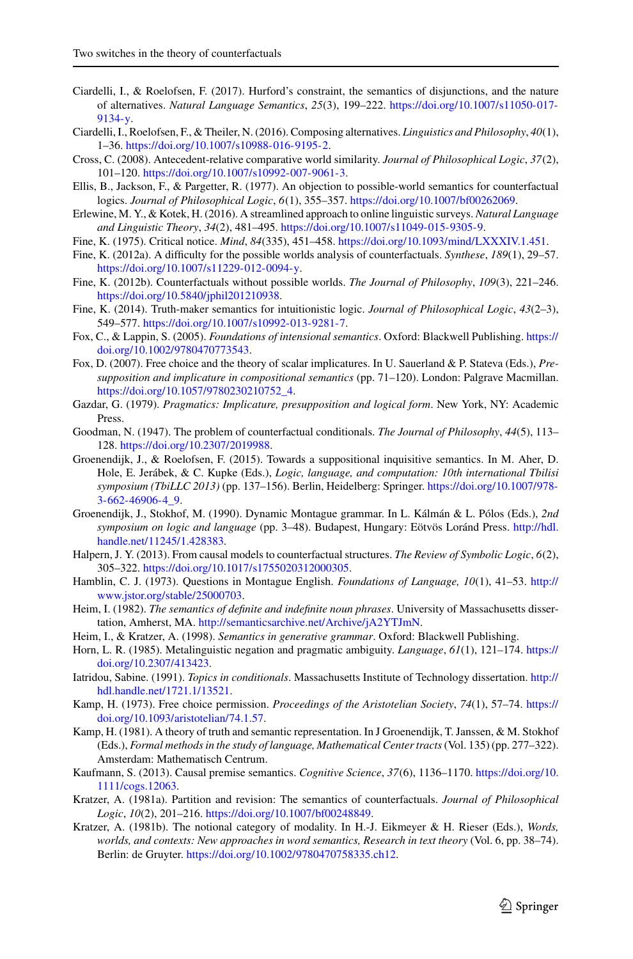- <span id="page-42-23"></span>Ciardelli, I., & Roelofsen, F. (2017). Hurford's constraint, the semantics of disjunctions, and the nature of alternatives. *Natural Language Semantics*, *25*(3), 199–222. [https://doi.org/10.1007/s11050-017-](https://doi.org/10.1007/s11050-017-9134-y) [9134-y.](https://doi.org/10.1007/s11050-017-9134-y)
- <span id="page-42-22"></span>Ciardelli, I., Roelofsen, F., & Theiler, N. (2016). Composing alternatives. *Linguistics and Philosophy*, *40*(1), 1–36. [https://doi.org/10.1007/s10988-016-9195-2.](https://doi.org/10.1007/s10988-016-9195-2)
- <span id="page-42-14"></span>Cross, C. (2008). Antecedent-relative comparative world similarity. *Journal of Philosophical Logic*, *37*(2), 101–120. [https://doi.org/10.1007/s10992-007-9061-3.](https://doi.org/10.1007/s10992-007-9061-3)
- <span id="page-42-20"></span>Ellis, B., Jackson, F., & Pargetter, R. (1977). An objection to possible-world semantics for counterfactual logics. *Journal of Philosophical Logic*, *6*(1), 355–357. [https://doi.org/10.1007/bf00262069.](https://doi.org/10.1007/bf00262069)
- <span id="page-42-10"></span>Erlewine, M. Y., & Kotek, H. (2016). A streamlined approach to online linguistic surveys. *Natural Language and Linguistic Theory*, *34*(2), 481–495. [https://doi.org/10.1007/s11049-015-9305-9.](https://doi.org/10.1007/s11049-015-9305-9)
- <span id="page-42-8"></span>Fine, K. (1975). Critical notice. *Mind*, *84*(335), 451–458. [https://doi.org/10.1093/mind/LXXXIV.1.451.](https://doi.org/10.1093/mind/LXXXIV.1.451)
- <span id="page-42-3"></span>Fine, K. (2012a). A difficulty for the possible worlds analysis of counterfactuals. *Synthese*, *189*(1), 29–57. [https://doi.org/10.1007/s11229-012-0094-y.](https://doi.org/10.1007/s11229-012-0094-y)
- <span id="page-42-19"></span>Fine, K. (2012b). Counterfactuals without possible worlds. *The Journal of Philosophy*, *109*(3), 221–246. [https://doi.org/10.5840/jphil201210938.](https://doi.org/10.5840/jphil201210938)
- <span id="page-42-21"></span>Fine, K. (2014). Truth-maker semantics for intuitionistic logic. *Journal of Philosophical Logic*, *43*(2–3), 549–577. [https://doi.org/10.1007/s10992-013-9281-7.](https://doi.org/10.1007/s10992-013-9281-7)
- <span id="page-42-1"></span>Fox, C., & Lappin, S. (2005). *Foundations of intensional semantics*. Oxford: Blackwell Publishing. [https://](https://doi.org/10.1002/9780470773543) [doi.org/10.1002/9780470773543.](https://doi.org/10.1002/9780470773543)
- <span id="page-42-13"></span>Fox, D. (2007). Free choice and the theory of scalar implicatures. In U. Sauerland & P. Stateva (Eds.), *Presupposition and implicature in compositional semantics* (pp. 71–120). London: Palgrave Macmillan. [https://doi.org/10.1057/9780230210752\\_4.](https://doi.org/10.1057/9780230210752_4)
- <span id="page-42-12"></span>Gazdar, G. (1979). *Pragmatics: Implicature, presupposition and logical form*. New York, NY: Academic Press.
- <span id="page-42-24"></span>Goodman, N. (1947). The problem of counterfactual conditionals. *The Journal of Philosophy*, *44*(5), 113– 128. [https://doi.org/10.2307/2019988.](https://doi.org/10.2307/2019988)
- <span id="page-42-15"></span>Groenendijk, J., & Roelofsen, F. (2015). Towards a suppositional inquisitive semantics. In M. Aher, D. Hole, E. Jerábek, & C. Kupke (Eds.), *Logic, language, and computation: 10th international Tbilisi symposium (TbiLLC 2013)* (pp. 137–156). Berlin, Heidelberg: Springer. [https://doi.org/10.1007/978-](https://doi.org/10.1007/978-3-662-46906-4_9) [3-662-46906-4\\_9.](https://doi.org/10.1007/978-3-662-46906-4_9)
- <span id="page-42-6"></span>Groenendijk, J., Stokhof, M. (1990). Dynamic Montague grammar. In L. Kálmán & L. Pólos (Eds.), *2nd symposium on logic and language* (pp. 3–48). Budapest, Hungary: Eötvös Loránd Press. [http://hdl.](http://hdl.handle.net/11245/1.428383) [handle.net/11245/1.428383.](http://hdl.handle.net/11245/1.428383)
- <span id="page-42-18"></span>Halpern, J. Y. (2013). From causal models to counterfactual structures. *The Review of Symbolic Logic*, *6*(2), 305–322. [https://doi.org/10.1017/s1755020312000305.](https://doi.org/10.1017/s1755020312000305)
- <span id="page-42-2"></span>Hamblin, C. J. (1973). Questions in Montague English. *Foundations of Language, 10*(1), 41–53. [http://](http://www.jstor.org/stable/25000703) [www.jstor.org/stable/25000703.](http://www.jstor.org/stable/25000703)
- <span id="page-42-5"></span>Heim, I. (1982). *The semantics of definite and indefinite noun phrases*. University of Massachusetts dissertation, Amherst, MA. [http://semanticsarchive.net/Archive/jA2YTJmN.](http://semanticsarchive.net/Archive/jA2YTJmN)
- <span id="page-42-0"></span>Heim, I., & Kratzer, A. (1998). *Semantics in generative grammar*. Oxford: Blackwell Publishing.
- <span id="page-42-11"></span>Horn, L. R. (1985). Metalinguistic negation and pragmatic ambiguity. *Language*, *61*(1), 121–174. [https://](https://doi.org/10.2307/413423) [doi.org/10.2307/413423.](https://doi.org/10.2307/413423)
- <span id="page-42-17"></span>Iatridou, Sabine. (1991). *Topics in conditionals*. Massachusetts Institute of Technology dissertation. [http://](http://hdl.handle.net/1721.1/13521) [hdl.handle.net/1721.1/13521.](http://hdl.handle.net/1721.1/13521)
- <span id="page-42-25"></span>Kamp, H. (1973). Free choice permission. *Proceedings of the Aristotelian Society*, *74*(1), 57–74. [https://](https://doi.org/10.1093/aristotelian/74.1.57) [doi.org/10.1093/aristotelian/74.1.57.](https://doi.org/10.1093/aristotelian/74.1.57)
- <span id="page-42-4"></span>Kamp, H. (1981). A theory of truth and semantic representation. In J Groenendijk, T. Janssen, & M. Stokhof (Eds.), *Formal methods in the study of language, Mathematical Center tracts*(Vol. 135) (pp. 277–322). Amsterdam: Mathematisch Centrum.
- <span id="page-42-16"></span>Kaufmann, S. (2013). Causal premise semantics. *Cognitive Science*, *37*(6), 1136–1170. [https://doi.org/10.](https://doi.org/10.1111/cogs.12063) [1111/cogs.12063.](https://doi.org/10.1111/cogs.12063)
- <span id="page-42-7"></span>Kratzer, A. (1981a). Partition and revision: The semantics of counterfactuals. *Journal of Philosophical Logic*, *10*(2), 201–216. [https://doi.org/10.1007/bf00248849.](https://doi.org/10.1007/bf00248849)
- <span id="page-42-9"></span>Kratzer, A. (1981b). The notional category of modality. In H.-J. Eikmeyer & H. Rieser (Eds.), *Words, worlds, and contexts: New approaches in word semantics, Research in text theory* (Vol. 6, pp. 38–74). Berlin: de Gruyter. [https://doi.org/10.1002/9780470758335.ch12.](https://doi.org/10.1002/9780470758335.ch12)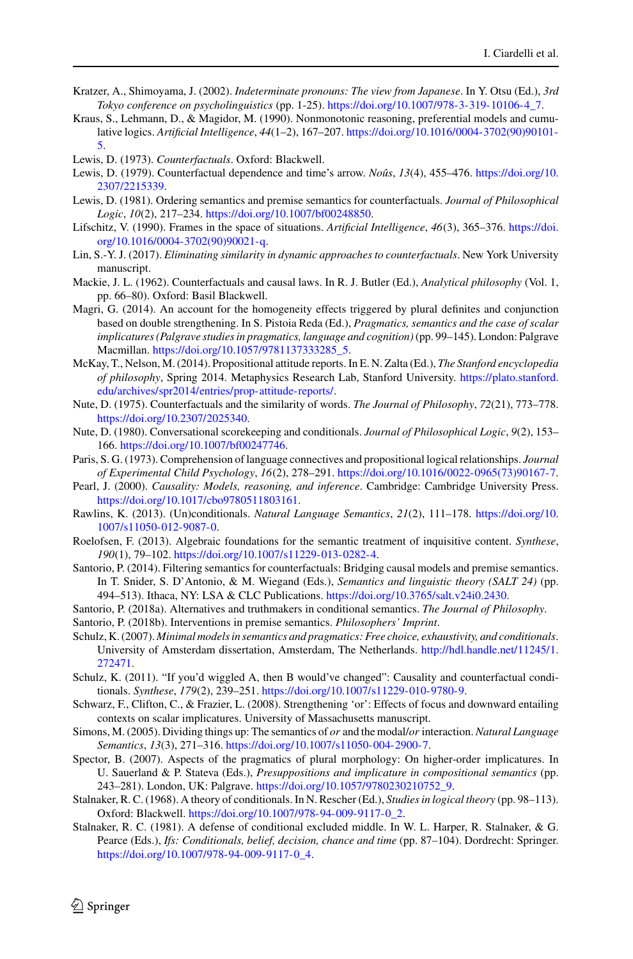- <span id="page-43-1"></span>Kratzer, A., Shimoyama, J. (2002). *Indeterminate pronouns: The view from Japanese*. In Y. Otsu (Ed.), *3rd Tokyo conference on psycholinguistics* (pp. 1-25). [https://doi.org/10.1007/978-3-319-10106-4\\_7.](https://doi.org/10.1007/978-3-319-10106-4_7)
- <span id="page-43-22"></span>Kraus, S., Lehmann, D., & Magidor, M. (1990). Nonmonotonic reasoning, preferential models and cumulative logics. *Artificial Intelligence*, *44*(1–2), 167–207. [https://doi.org/10.1016/0004-3702\(90\)90101-](https://doi.org/10.1016/0004-3702(90)90101-5) [5.](https://doi.org/10.1016/0004-3702(90)90101-5)
- <span id="page-43-3"></span>Lewis, D. (1973). *Counterfactuals*. Oxford: Blackwell.
- <span id="page-43-4"></span>Lewis, D. (1979). Counterfactual dependence and time's arrow. *Noûs*, *13*(4), 455–476. [https://doi.org/10.](https://doi.org/10.2307/2215339) [2307/2215339.](https://doi.org/10.2307/2215339)
- <span id="page-43-21"></span>Lewis, D. (1981). Ordering semantics and premise semantics for counterfactuals. *Journal of Philosophical Logic*, *10*(2), 217–234. [https://doi.org/10.1007/bf00248850.](https://doi.org/10.1007/bf00248850)
- <span id="page-43-8"></span>Lifschitz, V. (1990). Frames in the space of situations. *Artificial Intelligence*, *46*(3), 365–376. [https://doi.](https://doi.org/10.1016/0004-3702(90)90021-q) [org/10.1016/0004-3702\(90\)90021-q.](https://doi.org/10.1016/0004-3702(90)90021-q)
- <span id="page-43-19"></span>Lin, S.-Y. J. (2017). *Eliminating similarity in dynamic approaches to counterfactuals*. New York University manuscript.
- <span id="page-43-20"></span>Mackie, J. L. (1962). Counterfactuals and causal laws. In R. J. Butler (Ed.), *Analytical philosophy* (Vol. 1, pp. 66–80). Oxford: Basil Blackwell.
- <span id="page-43-7"></span>Magri, G. (2014). An account for the homogeneity effects triggered by plural definites and conjunction based on double strengthening. In S. Pistoia Reda (Ed.), *Pragmatics, semantics and the case of scalar implicatures (Palgrave studies in pragmatics, language and cognition)*(pp. 99–145). London: Palgrave Macmillan. [https://doi.org/10.1057/9781137333285\\_5.](https://doi.org/10.1057/9781137333285_5)
- <span id="page-43-0"></span>McKay, T., Nelson, M. (2014). Propositional attitude reports. In E. N. Zalta (Ed.), *The Stanford encyclopedia of philosophy*, Spring 2014. Metaphysics Research Lab, Stanford University. [https://plato.stanford.](https://plato.stanford.edu/archives/spr2014/entries/prop-attitude-reports/) [edu/archives/spr2014/entries/prop-attitude-reports/.](https://plato.stanford.edu/archives/spr2014/entries/prop-attitude-reports/)
- <span id="page-43-10"></span>Nute, D. (1975). Counterfactuals and the similarity of words. *The Journal of Philosophy*, *72*(21), 773–778. [https://doi.org/10.2307/2025340.](https://doi.org/10.2307/2025340)
- <span id="page-43-23"></span>Nute, D. (1980). Conversational scorekeeping and conditionals. *Journal of Philosophical Logic*, *9*(2), 153– 166. [https://doi.org/10.1007/bf00247746.](https://doi.org/10.1007/bf00247746)
- <span id="page-43-6"></span>Paris, S. G. (1973). Comprehension of language connectives and propositional logical relationships. *Journal of Experimental Child Psychology*, *16*(2), 278–291. [https://doi.org/10.1016/0022-0965\(73\)90167-7.](https://doi.org/10.1016/0022-0965(73)90167-7)
- <span id="page-43-5"></span>Pearl, J. (2000). *Causality: Models, reasoning, and inference*. Cambridge: Cambridge University Press. [https://doi.org/10.1017/cbo9780511803161.](https://doi.org/10.1017/cbo9780511803161)
- <span id="page-43-24"></span>Rawlins, K. (2013). (Un)conditionals. *Natural Language Semantics*, *21*(2), 111–178. [https://doi.org/10.](https://doi.org/10.1007/s11050-012-9087-0) [1007/s11050-012-9087-0.](https://doi.org/10.1007/s11050-012-9087-0)
- <span id="page-43-14"></span>Roelofsen, F. (2013). Algebraic foundations for the semantic treatment of inquisitive content. *Synthese*, *190*(1), 79–102. [https://doi.org/10.1007/s11229-013-0282-4.](https://doi.org/10.1007/s11229-013-0282-4)
- <span id="page-43-15"></span>Santorio, P. (2014). Filtering semantics for counterfactuals: Bridging causal models and premise semantics. In T. Snider, S. D'Antonio, & M. Wiegand (Eds.), *Semantics and linguistic theory (SALT 24)* (pp. 494–513). Ithaca, NY: LSA & CLC Publications. [https://doi.org/10.3765/salt.v24i0.2430.](https://doi.org/10.3765/salt.v24i0.2430)
- <span id="page-43-18"></span>Santorio, P. (2018a). Alternatives and truthmakers in conditional semantics. *The Journal of Philosophy*.
- <span id="page-43-16"></span>Santorio, P. (2018b). Interventions in premise semantics. *Philosophers' Imprint*.
- <span id="page-43-9"></span>Schulz, K. (2007). *Minimal models in semantics and pragmatics: Free choice, exhaustivity, and conditionals*. University of Amsterdam dissertation, Amsterdam, The Netherlands. [http://hdl.handle.net/11245/1.](http://hdl.handle.net/11245/1.272471) [272471.](http://hdl.handle.net/11245/1.272471)
- <span id="page-43-17"></span>Schulz, K. (2011). "If you'd wiggled A, then B would've changed": Causality and counterfactual conditionals. *Synthese*, *179*(2), 239–251. [https://doi.org/10.1007/s11229-010-9780-9.](https://doi.org/10.1007/s11229-010-9780-9)
- <span id="page-43-12"></span>Schwarz, F., Clifton, C., & Frazier, L. (2008). Strengthening 'or': Effects of focus and downward entailing contexts on scalar implicatures. University of Massachusetts manuscript.
- <span id="page-43-25"></span>Simons, M. (2005). Dividing things up: The semantics of *or* and the modal/*or* interaction. *Natural Language Semantics*, *13*(3), 271–316. [https://doi.org/10.1007/s11050-004-2900-7.](https://doi.org/10.1007/s11050-004-2900-7)
- <span id="page-43-11"></span>Spector, B. (2007). Aspects of the pragmatics of plural morphology: On higher-order implicatures. In U. Sauerland & P. Stateva (Eds.), *Presuppositions and implicature in compositional semantics* (pp. 243–281). London, UK: Palgrave. [https://doi.org/10.1057/9780230210752\\_9.](https://doi.org/10.1057/9780230210752_9)
- <span id="page-43-2"></span>Stalnaker, R. C. (1968). A theory of conditionals. In N. Rescher (Ed.), *Studies in logical theory* (pp. 98–113). Oxford: Blackwell. [https://doi.org/10.1007/978-94-009-9117-0\\_2.](https://doi.org/10.1007/978-94-009-9117-0_2)
- <span id="page-43-13"></span>Stalnaker, R. C. (1981). A defense of conditional excluded middle. In W. L. Harper, R. Stalnaker, & G. Pearce (Eds.), *Ifs: Conditionals, belief, decision, chance and time* (pp. 87–104). Dordrecht: Springer. [https://doi.org/10.1007/978-94-009-9117-0\\_4.](https://doi.org/10.1007/978-94-009-9117-0_4)